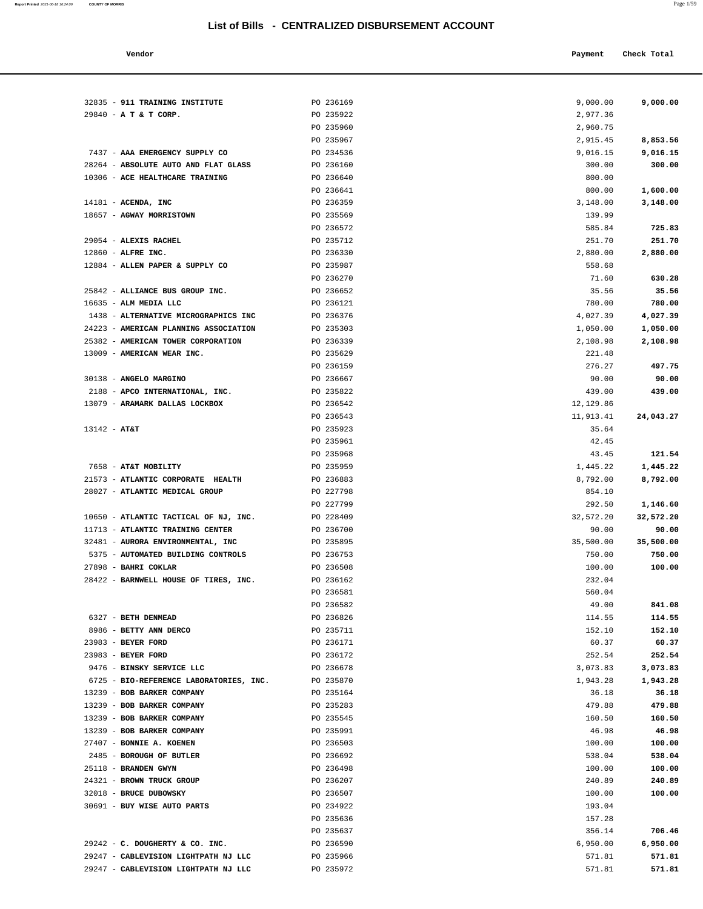| ∽ | ı<br>٠ |
|---|--------|

 **Vendor Check Total Payment Check Total** 

| 32835 - 911 TRAINING INSTITUTE                           | PO 236169              | 9,000.00           | 9,000.00           |
|----------------------------------------------------------|------------------------|--------------------|--------------------|
| 29840 - A T & T CORP.                                    | PO 235922              | 2,977.36           |                    |
|                                                          | PO 235960              | 2,960.75           |                    |
|                                                          | PO 235967              | 2,915.45           | 8,853.56           |
| 7437 - AAA EMERGENCY SUPPLY CO                           | PO 234536              | 9,016.15           | 9,016.15           |
| 28264 - ABSOLUTE AUTO AND FLAT GLASS                     | PO 236160              | 300.00             | 300.00             |
| 10306 - ACE HEALTHCARE TRAINING                          | PO 236640              | 800.00             |                    |
|                                                          | PO 236641              | 800.00             | 1,600.00           |
| $14181$ - ACENDA, INC                                    | PO 236359              | 3,148.00           | 3,148.00           |
| 18657 - AGWAY MORRISTOWN                                 | PO 235569              | 139.99             |                    |
|                                                          | PO 236572              | 585.84             | 725.83             |
| 29054 - ALEXIS RACHEL                                    | PO 235712              | 251.70             | 251.70             |
| $12860$ - ALFRE INC.                                     | PO 236330              | 2,880.00           | 2,880.00           |
| 12884 - ALLEN PAPER & SUPPLY CO                          | PO 235987              | 558.68             |                    |
|                                                          | PO 236270              | 71.60              | 630.28             |
| 25842 - ALLIANCE BUS GROUP INC.<br>16635 - ALM MEDIA LLC | PO 236652              | 35.56              | 35.56              |
| 1438 - ALTERNATIVE MICROGRAPHICS INC                     | PO 236121<br>PO 236376 | 780.00<br>4,027.39 | 780.00<br>4,027.39 |
| 24223 - AMERICAN PLANNING ASSOCIATION                    | PO 235303              | 1,050.00           | 1,050.00           |
| 25382 - AMERICAN TOWER CORPORATION                       | PO 236339              | 2,108.98           | 2,108.98           |
| 13009 - AMERICAN WEAR INC.                               | PO 235629              | 221.48             |                    |
|                                                          | PO 236159              | 276.27             | 497.75             |
| 30138 - ANGELO MARGINO                                   | PO 236667              | 90.00              | 90.00              |
| 2188 - APCO INTERNATIONAL, INC.                          | PO 235822              | 439.00             | 439.00             |
| 13079 - ARAMARK DALLAS LOCKBOX                           | PO 236542              | 12,129.86          |                    |
|                                                          | PO 236543              | 11,913.41          | 24,043.27          |
| $13142 - AT&T$                                           | PO 235923              | 35.64              |                    |
|                                                          | PO 235961              | 42.45              |                    |
|                                                          | PO 235968              | 43.45              | 121.54             |
| 7658 - AT&T MOBILITY                                     | PO 235959              | 1,445.22           | 1,445.22           |
| 21573 - ATLANTIC CORPORATE HEALTH                        | PO 236883              | 8,792.00           | 8,792.00           |
| 28027 - ATLANTIC MEDICAL GROUP                           | PO 227798              | 854.10             |                    |
|                                                          | PO 227799              | 292.50             | 1,146.60           |
| 10650 - ATLANTIC TACTICAL OF NJ, INC.                    | PO 228409              | 32,572.20          | 32,572.20          |
| 11713 - ATLANTIC TRAINING CENTER                         | PO 236700              | 90.00              | 90.00              |
| 32481 - AURORA ENVIRONMENTAL, INC                        | PO 235895              | 35,500.00          | 35,500.00          |
| 5375 - AUTOMATED BUILDING CONTROLS                       | PO 236753              | 750.00             | 750.00             |
| 27898 - BAHRI COKLAR                                     | PO 236508              | 100.00             | 100.00             |
| 28422 - BARNWELL HOUSE OF TIRES, INC.                    | PO 236162              | 232.04             |                    |
|                                                          | PO 236581              | 560.04             |                    |
|                                                          | PO 236582              | 49.00              | 841.08             |
| 6327 - BETH DENMEAD                                      | PO 236826              | 114.55             | 114.55             |
| 8986 - BETTY ANN DERCO<br>23983 - BEYER FORD             | PO 235711<br>PO 236171 | 152.10<br>60.37    | 152.10<br>60.37    |
| 23983 - BEYER FORD                                       | PO 236172              | 252.54             | 252.54             |
| 9476 - BINSKY SERVICE LLC                                | PO 236678              | 3,073.83           | 3,073.83           |
| 6725 - BIO-REFERENCE LABORATORIES, INC.                  | PO 235870              | 1,943.28           | 1,943.28           |
| 13239 - BOB BARKER COMPANY                               | PO 235164              | 36.18              | 36.18              |
| 13239 - BOB BARKER COMPANY                               | PO 235283              | 479.88             | 479.88             |
| 13239 - BOB BARKER COMPANY                               | PO 235545              | 160.50             | 160.50             |
| 13239 - BOB BARKER COMPANY                               | PO 235991              | 46.98              | 46.98              |
| 27407 - BONNIE A. KOENEN                                 | PO 236503              | 100.00             | 100.00             |
| 2485 - BOROUGH OF BUTLER                                 | PO 236692              | 538.04             | 538.04             |
| 25118 - BRANDEN GWYN                                     | PO 236498              | 100.00             | 100.00             |
| 24321 - BROWN TRUCK GROUP                                | PO 236207              | 240.89             | 240.89             |
| 32018 - BRUCE DUBOWSKY                                   | PO 236507              | 100.00             | 100.00             |
| 30691 - BUY WISE AUTO PARTS                              | PO 234922              | 193.04             |                    |
|                                                          | PO 235636              | 157.28             |                    |
|                                                          | PO 235637              | 356.14             | 706.46             |
| 29242 - C. DOUGHERTY & CO. INC.                          | PO 236590              | 6,950.00           | 6,950.00           |
| 29247 - CABLEVISION LIGHTPATH NJ LLC                     | PO 235966              | 571.81             | 571.81             |
| 29247 - CABLEVISION LIGHTPATH NJ LLC                     | PO 235972              | 571.81             | 571.81             |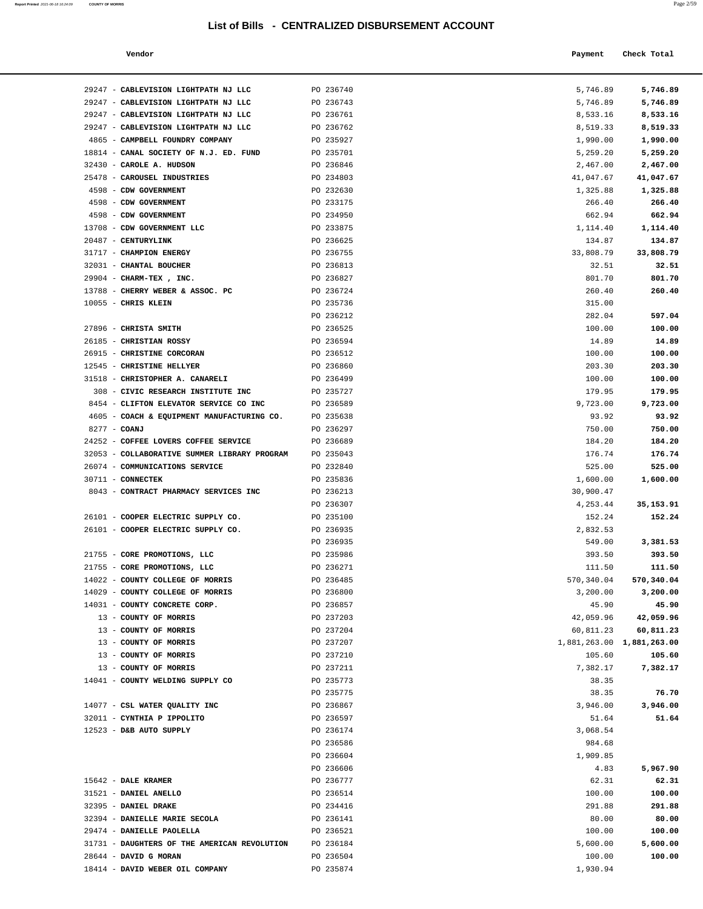| Report Printed 2021-06-18 16:24:09 COUNTY OF MORRIS |  | Page 2/59 |
|-----------------------------------------------------|--|-----------|
|                                                     |  |           |

| Vendor | Payment Check Total |
|--------|---------------------|
|        |                     |

| 29247 - CABLEVISION LIGHTPATH NJ LLC                 | PO 236740 | 5,746.89                  | 5,746.89            |
|------------------------------------------------------|-----------|---------------------------|---------------------|
| 29247 - CABLEVISION LIGHTPATH NJ LLC                 | PO 236743 | 5,746.89                  | 5,746.89            |
| 29247 - CABLEVISION LIGHTPATH NJ LLC                 | PO 236761 | 8,533.16                  | 8,533.16            |
| 29247 - CABLEVISION LIGHTPATH NJ LLC                 | PO 236762 | 8,519.33                  | 8,519.33            |
| 4865 - CAMPBELL FOUNDRY COMPANY                      | PO 235927 | 1,990.00                  | 1,990.00            |
| 18814 - CANAL SOCIETY OF N.J. ED. FUND               | PO 235701 | 5,259.20                  | 5,259.20            |
| 32430 - CAROLE A. HUDSON                             | PO 236846 | 2,467.00                  | 2,467.00            |
| 25478 - CAROUSEL INDUSTRIES                          | PO 234803 | 41,047.67                 | 41,047.67           |
| 4598 - CDW GOVERNMENT                                | PO 232630 | 1,325.88                  | 1,325.88            |
| 4598 - CDW GOVERNMENT                                | PO 233175 | 266.40                    | 266.40              |
| 4598 - CDW GOVERNMENT                                | PO 234950 | 662.94                    | 662.94              |
| 13708 - CDW GOVERNMENT LLC                           | PO 233875 | 1,114.40                  | 1,114.40            |
| 20487 - CENTURYLINK                                  | PO 236625 | 134.87                    | 134.87              |
| 31717 - CHAMPION ENERGY                              | PO 236755 | 33,808.79                 | 33,808.79           |
| 32031 - CHANTAL BOUCHER                              | PO 236813 | 32.51                     | 32.51               |
| 29904 - CHARM-TEX, INC.                              | PO 236827 | 801.70                    | 801.70              |
| 13788 - CHERRY WEBER & ASSOC. PC                     | PO 236724 | 260.40                    | 260.40              |
| 10055 - CHRIS KLEIN                                  | PO 235736 | 315.00                    |                     |
|                                                      | PO 236212 | 282.04                    | 597.04              |
| 27896 - CHRISTA SMITH                                | PO 236525 | 100.00                    | 100.00              |
| 26185 - CHRISTIAN ROSSY                              | PO 236594 | 14.89                     | 14.89               |
| 26915 - CHRISTINE CORCORAN                           | PO 236512 | 100.00                    | 100.00              |
| 12545 - CHRISTINE HELLYER                            | PO 236860 | 203.30                    | 203.30              |
| 31518 - CHRISTOPHER A. CANARELI                      | PO 236499 | 100.00                    | 100.00              |
| 308 - CIVIC RESEARCH INSTITUTE INC                   | PO 235727 | 179.95                    | 179.95              |
| 8454 - CLIFTON ELEVATOR SERVICE CO INC               | PO 236589 | 9,723.00                  | 9,723.00            |
| 4605 - COACH & EQUIPMENT MANUFACTURING CO. PO 235638 |           | 93.92                     | 93.92               |
| 8277 - COANJ                                         | PO 236297 | 750.00                    | 750.00              |
| 24252 - COFFEE LOVERS COFFEE SERVICE                 | PO 236689 | 184.20                    | 184.20              |
| 32053 - COLLABORATIVE SUMMER LIBRARY PROGRAM         | PO 235043 | 176.74                    | 176.74              |
| 26074 - COMMUNICATIONS SERVICE                       | PO 232840 | 525.00                    | 525.00              |
| 30711 - CONNECTEK                                    | PO 235836 | 1,600.00                  | 1,600.00            |
| 8043 - CONTRACT PHARMACY SERVICES INC                | PO 236213 | 30,900.47                 |                     |
|                                                      |           |                           |                     |
| 26101 - COOPER ELECTRIC SUPPLY CO.                   | PO 236307 | 4,253.44                  | 35,153.91<br>152.24 |
|                                                      | PO 235100 | 152.24                    |                     |
| 26101 - COOPER ELECTRIC SUPPLY CO.                   | PO 236935 | 2,832.53                  |                     |
|                                                      | PO 236935 | 549.00                    | 3,381.53            |
| 21755 - CORE PROMOTIONS, LLC                         | PO 235986 | 393.50                    | 393.50              |
| 21755 - CORE PROMOTIONS, LLC                         | PO 236271 | 111.50                    | 111.50              |
| 14022 - COUNTY COLLEGE OF MORRIS                     | PO 236485 | 570,340.04                | 570,340.04          |
| 14029 - COUNTY COLLEGE OF MORRIS                     | PO 236800 | 3,200.00                  | 3,200.00            |
| 14031 - COUNTY CONCRETE CORP.                        | PO 236857 | 45.90                     | 45.90               |
| 13 - COUNTY OF MORRIS                                | PO 237203 | 42,059.96                 | 42,059.96           |
| 13 - COUNTY OF MORRIS                                | PO 237204 | 60,811.23                 | 60,811.23           |
| 13 - COUNTY OF MORRIS                                | PO 237207 | 1,881,263.00 1,881,263.00 |                     |
| 13 - COUNTY OF MORRIS                                | PO 237210 | 105.60                    | 105.60              |
| 13 - COUNTY OF MORRIS                                | PO 237211 | 7,382.17                  | 7,382.17            |
| 14041 - COUNTY WELDING SUPPLY CO                     | PO 235773 | 38.35                     |                     |
|                                                      | PO 235775 | 38.35                     | 76.70               |
| 14077 - CSL WATER QUALITY INC                        | PO 236867 | 3,946.00                  | 3,946.00            |
| 32011 - CYNTHIA P IPPOLITO                           | PO 236597 | 51.64                     | 51.64               |
| 12523 - D&B AUTO SUPPLY                              | PO 236174 | 3,068.54                  |                     |
|                                                      | PO 236586 | 984.68                    |                     |
|                                                      | PO 236604 | 1,909.85                  |                     |
|                                                      | PO 236606 | 4.83                      | 5,967.90            |
| 15642 - DALE KRAMER                                  | PO 236777 | 62.31                     | 62.31               |
| 31521 - DANIEL ANELLO                                | PO 236514 | 100.00                    | 100.00              |
| 32395 - DANIEL DRAKE                                 | PO 234416 | 291.88                    | 291.88              |
| 32394 - DANIELLE MARIE SECOLA                        | PO 236141 | 80.00                     | 80.00               |
| 29474 - DANIELLE PAOLELLA                            | PO 236521 | 100.00                    | 100.00              |
| 31731 - DAUGHTERS OF THE AMERICAN REVOLUTION         | PO 236184 | 5,600.00                  | 5,600.00            |
| 28644 - DAVID G MORAN                                | PO 236504 | 100.00                    | 100.00              |

18414 - **DAVID WEBER OIL COMPANY** PO 235874 1,930.94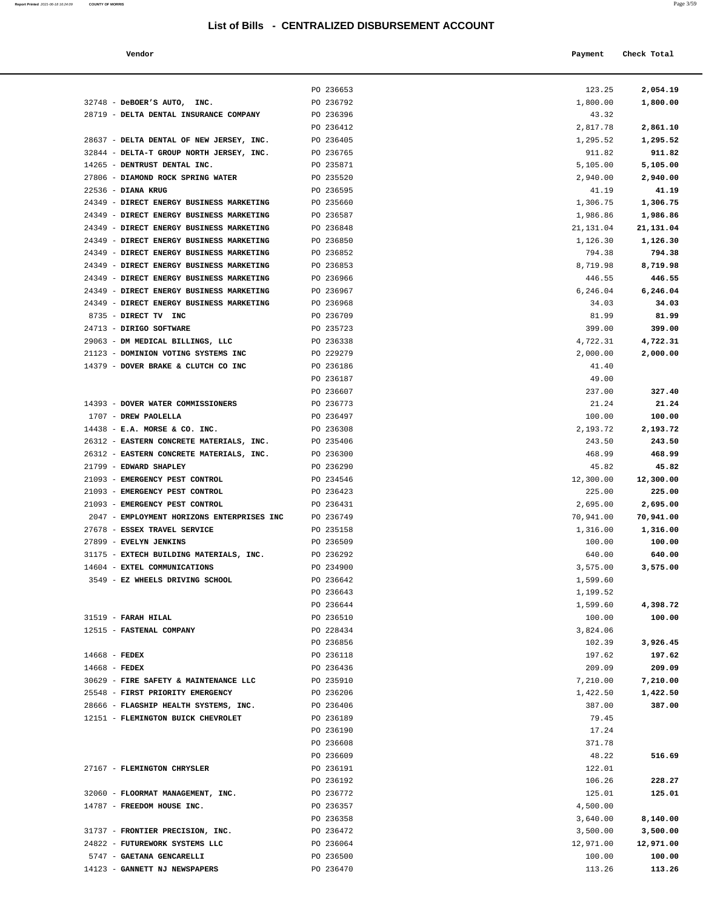| Report Printed 2021-06-18 16:24:09 | <b>COUNTY OF MORRIS</b> | Page 3/59 |  |
|------------------------------------|-------------------------|-----------|--|
|                                    |                         |           |  |

| Vendor | Payment | Check Total |
|--------|---------|-------------|
|--------|---------|-------------|

|                                                                         | PO 236653              | 123.25             | 2,054.19           |
|-------------------------------------------------------------------------|------------------------|--------------------|--------------------|
| 32748 - DeBOER'S AUTO, INC.                                             | PO 236792              | 1,800.00           | 1,800.00           |
| 28719 - DELTA DENTAL INSURANCE COMPANY                                  | PO 236396              | 43.32              |                    |
|                                                                         | PO 236412              | 2,817.78           | 2,861.10           |
| 28637 - DELTA DENTAL OF NEW JERSEY, INC.                                | PO 236405              | 1,295.52           | 1,295.52           |
| 32844 - DELTA-T GROUP NORTH JERSEY, INC.                                | PO 236765              | 911.82             | 911.82             |
| 14265 - DENTRUST DENTAL INC.                                            | PO 235871              | 5,105.00           | 5,105.00           |
| 27806 - DIAMOND ROCK SPRING WATER                                       | PO 235520              | 2,940.00           | 2,940.00           |
| $22536$ - DIANA KRUG                                                    | PO 236595              | 41.19              | 41.19              |
| 24349 - DIRECT ENERGY BUSINESS MARKETING                                | PO 235660              | 1,306.75           | 1,306.75           |
| 24349 - DIRECT ENERGY BUSINESS MARKETING                                | PO 236587              | 1,986.86           | 1,986.86           |
| 24349 - DIRECT ENERGY BUSINESS MARKETING                                | PO 236848              | 21,131.04          | 21,131.04          |
| 24349 - DIRECT ENERGY BUSINESS MARKETING                                | PO 236850              | 1,126.30           | 1,126.30           |
| 24349 - DIRECT ENERGY BUSINESS MARKETING                                | PO 236852              | 794.38             | 794.38             |
| 24349 - DIRECT ENERGY BUSINESS MARKETING                                | PO 236853              | 8,719.98           | 8,719.98           |
| 24349 - DIRECT ENERGY BUSINESS MARKETING                                | PO 236966              | 446.55             | 446.55             |
| 24349 - DIRECT ENERGY BUSINESS MARKETING                                | PO 236967              | 6,246.04           | 6,246.04           |
| 24349 - DIRECT ENERGY BUSINESS MARKETING                                | PO 236968              | 34.03              | 34.03              |
| 8735 - DIRECT TV INC                                                    | PO 236709              | 81.99              | 81.99              |
| 24713 - DIRIGO SOFTWARE                                                 | PO 235723              | 399.00             | 399.00             |
| 29063 - DM MEDICAL BILLINGS, LLC<br>21123 - DOMINION VOTING SYSTEMS INC | PO 236338<br>PO 229279 | 4,722.31           | 4,722.31           |
| 14379 - DOVER BRAKE & CLUTCH CO INC                                     | PO 236186              | 2,000.00<br>41.40  | 2,000.00           |
|                                                                         | PO 236187              | 49.00              |                    |
|                                                                         | PO 236607              | 237.00             | 327.40             |
| 14393 - DOVER WATER COMMISSIONERS                                       | PO 236773              | 21.24              | 21.24              |
| 1707 - DREW PAOLELLA                                                    | PO 236497              | 100.00             | 100.00             |
| $14438$ - E.A. MORSE & CO. INC.                                         | PO 236308              | 2,193.72           | 2,193.72           |
| 26312 - EASTERN CONCRETE MATERIALS, INC.                                | PO 235406              | 243.50             | 243.50             |
| 26312 - EASTERN CONCRETE MATERIALS, INC.                                | PO 236300              | 468.99             | 468.99             |
| 21799 - EDWARD SHAPLEY                                                  | PO 236290              | 45.82              | 45.82              |
| 21093 - EMERGENCY PEST CONTROL                                          | PO 234546              | 12,300.00          | 12,300.00          |
| 21093 - EMERGENCY PEST CONTROL                                          | PO 236423              | 225.00             | 225.00             |
| 21093 - EMERGENCY PEST CONTROL                                          | PO 236431              | 2,695.00           | 2,695.00           |
| 2047 - EMPLOYMENT HORIZONS ENTERPRISES INC                              | PO 236749              | 70,941.00          | 70,941.00          |
| 27678 - ESSEX TRAVEL SERVICE                                            | PO 235158              | 1,316.00           | 1,316.00           |
| 27899 - EVELYN JENKINS                                                  | PO 236509              | 100.00             | 100.00             |
| 31175 - EXTECH BUILDING MATERIALS, INC.                                 | PO 236292              | 640.00             | 640.00             |
| 14604 - EXTEL COMMUNICATIONS                                            | PO 234900              | 3,575.00           | 3,575.00           |
| 3549 - EZ WHEELS DRIVING SCHOOL                                         | PO 236642              | 1,599.60           |                    |
|                                                                         | PO 236643              | 1,199.52           |                    |
| 31519 - FARAH HILAL                                                     | PO 236644<br>PO 236510 | 1,599.60           | 4,398.72<br>100.00 |
| 12515 - FASTENAL COMPANY                                                | PO 228434              | 100.00<br>3,824.06 |                    |
|                                                                         | PO 236856              | 102.39             | 3,926.45           |
| $14668$ - FEDEX                                                         | PO 236118              | 197.62             | 197.62             |
| $14668$ - FEDEX                                                         | PO 236436              | 209.09             | 209.09             |
| 30629 - FIRE SAFETY & MAINTENANCE LLC                                   | PO 235910              | 7,210.00           | 7,210.00           |
| 25548 - FIRST PRIORITY EMERGENCY                                        | PO 236206              | 1,422.50           | 1,422.50           |
| 28666 - FLAGSHIP HEALTH SYSTEMS, INC.                                   | PO 236406              | 387.00             | 387.00             |
| 12151 - FLEMINGTON BUICK CHEVROLET                                      | PO 236189              | 79.45              |                    |
|                                                                         | PO 236190              | 17.24              |                    |
|                                                                         | PO 236608              | 371.78             |                    |
|                                                                         | PO 236609              | 48.22              | 516.69             |
| 27167 - FLEMINGTON CHRYSLER                                             | PO 236191              | 122.01             |                    |
|                                                                         | PO 236192              | 106.26             | 228.27             |
| 32060 - FLOORMAT MANAGEMENT, INC.                                       | PO 236772              | 125.01             | 125.01             |
| 14787 - FREEDOM HOUSE INC.                                              | PO 236357              | 4,500.00           |                    |
|                                                                         | PO 236358              | 3,640.00           | 8,140.00           |
| 31737 - FRONTIER PRECISION, INC.                                        | PO 236472              | 3,500.00           | 3,500.00           |
| 24822 - FUTUREWORK SYSTEMS LLC                                          | PO 236064              | 12,971.00          | 12,971.00          |
| 5747 - GAETANA GENCARELLI<br>14123 - GANNETT NJ NEWSPAPERS              | PO 236500<br>PO 236470 | 100.00<br>113.26   | 100.00<br>113.26   |
|                                                                         |                        |                    |                    |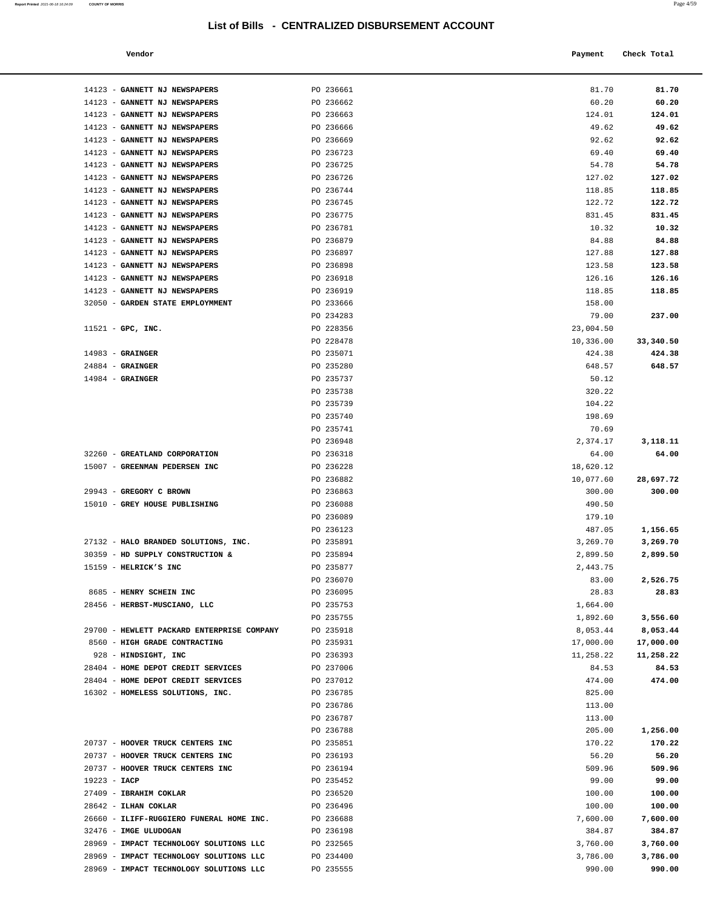#### **Vendor Check Total Payment Check Total**

| 14123 - GANNETT NJ NEWSPAPERS                                    | PO 236661              | 81.70                | 81.70                |
|------------------------------------------------------------------|------------------------|----------------------|----------------------|
| 14123 - GANNETT NJ NEWSPAPERS                                    | PO 236662              | 60.20                | 60.20                |
| 14123 - GANNETT NJ NEWSPAPERS                                    | PO 236663              | 124.01               | 124.01               |
| 14123 - GANNETT NJ NEWSPAPERS                                    | PO 236666              | 49.62                | 49.62                |
| 14123 - GANNETT NJ NEWSPAPERS                                    | PO 236669              | 92.62                | 92.62                |
| 14123 - GANNETT NJ NEWSPAPERS                                    | PO 236723              | 69.40                | 69.40                |
| 14123 - GANNETT NJ NEWSPAPERS                                    | PO 236725              | 54.78                | 54.78                |
| 14123 - GANNETT NJ NEWSPAPERS                                    | PO 236726              | 127.02               | 127.02               |
| 14123 - GANNETT NJ NEWSPAPERS                                    | PO 236744              | 118.85               | 118.85               |
| 14123 - GANNETT NJ NEWSPAPERS                                    | PO 236745              | 122.72               | 122.72               |
| 14123 - GANNETT NJ NEWSPAPERS                                    | PO 236775              | 831.45               | 831.45               |
| 14123 - GANNETT NJ NEWSPAPERS                                    | PO 236781              | 10.32                | 10.32                |
| 14123 - GANNETT NJ NEWSPAPERS                                    | PO 236879              | 84.88                | 84.88                |
| 14123 - GANNETT NJ NEWSPAPERS                                    | PO 236897              | 127.88               | 127.88               |
| 14123 - GANNETT NJ NEWSPAPERS                                    | PO 236898              | 123.58               | 123.58               |
| 14123 - GANNETT NJ NEWSPAPERS                                    | PO 236918              | 126.16               | 126.16               |
| 14123 - GANNETT NJ NEWSPAPERS                                    | PO 236919              | 118.85               | 118.85               |
| 32050 - GARDEN STATE EMPLOYMMENT                                 | PO 233666<br>PO 234283 | 158.00               |                      |
|                                                                  | PO 228356              | 79.00<br>23,004.50   | 237.00               |
| $11521$ - GPC, INC.                                              | PO 228478              | 10,336.00            | 33,340.50            |
| $14983$ - GRAINGER                                               | PO 235071              | 424.38               | 424.38               |
| $24884$ - GRAINGER                                               | PO 235280              | 648.57               | 648.57               |
| $14984$ - GRAINGER                                               | PO 235737              | 50.12                |                      |
|                                                                  | PO 235738              | 320.22               |                      |
|                                                                  | PO 235739              | 104.22               |                      |
|                                                                  | PO 235740              | 198.69               |                      |
|                                                                  | PO 235741              | 70.69                |                      |
|                                                                  | PO 236948              | 2,374.17             | 3,118.11             |
| 32260 - GREATLAND CORPORATION                                    | PO 236318              | 64.00                | 64.00                |
| 15007 - GREENMAN PEDERSEN INC                                    | PO 236228              | 18,620.12            |                      |
|                                                                  | PO 236882              | 10,077.60            | 28,697.72            |
| 29943 - GREGORY C BROWN                                          | PO 236863              | 300.00               | 300.00               |
| 15010 - GREY HOUSE PUBLISHING                                    | PO 236088              | 490.50               |                      |
|                                                                  | PO 236089              | 179.10               |                      |
|                                                                  | PO 236123              | 487.05               | 1,156.65             |
| 27132 - HALO BRANDED SOLUTIONS, INC.                             | PO 235891              | 3,269.70             | 3,269.70             |
| 30359 - HD SUPPLY CONSTRUCTION &                                 | PO 235894              | 2,899.50             | 2,899.50             |
| $15159$ - HELRICK'S INC                                          | PO 235877<br>PO 236070 | 2,443.75<br>83.00    | 2,526.75             |
| 8685 - HENRY SCHEIN INC                                          | PO 236095              | 28.83                | 28.83                |
| 28456 - HERBST-MUSCIANO, LLC                                     | PO 235753              | 1,664.00             |                      |
|                                                                  | PO 235755              | 1,892.60             | 3,556.60             |
| 29700 - HEWLETT PACKARD ENTERPRISE COMPANY                       | PO 235918              | 8,053.44             | 8,053.44             |
| 8560 - HIGH GRADE CONTRACTING                                    | PO 235931              | 17,000.00            | 17,000.00            |
| 928 - HINDSIGHT, INC                                             | PO 236393              | 11,258.22            | 11,258.22            |
|                                                                  |                        |                      |                      |
| 28404 - HOME DEPOT CREDIT SERVICES                               | PO 237006              | 84.53                | 84.53                |
| 28404 - HOME DEPOT CREDIT SERVICES                               | PO 237012              | 474.00               | 474.00               |
| 16302 - HOMELESS SOLUTIONS, INC.                                 | PO 236785              | 825.00               |                      |
|                                                                  | PO 236786              | 113.00               |                      |
|                                                                  | PO 236787              | 113.00               |                      |
|                                                                  | PO 236788              | 205.00               | 1,256.00             |
| 20737 - HOOVER TRUCK CENTERS INC                                 | PO 235851              | 170.22               | 170.22               |
| 20737 - HOOVER TRUCK CENTERS INC                                 | PO 236193              | 56.20                | 56.20                |
| 20737 - HOOVER TRUCK CENTERS INC                                 | PO 236194              | 509.96               | 509.96               |
| $19223 - IACP$                                                   | PO 235452              | 99.00                | 99.00                |
| 27409 - IBRAHIM COKLAR                                           | PO 236520              | 100.00               | 100.00               |
| 28642 - ILHAN COKLAR                                             | PO 236496              | 100.00               | 100.00               |
| 26660 - ILIFF-RUGGIERO FUNERAL HOME INC.                         | PO 236688              | 7,600.00             | 7,600.00             |
| 32476 - IMGE ULUDOGAN<br>28969 - IMPACT TECHNOLOGY SOLUTIONS LLC | PO 236198              | 384.87               | 384.87               |
| 28969 - IMPACT TECHNOLOGY SOLUTIONS LLC                          | PO 232565<br>PO 234400 | 3,760.00<br>3,786.00 | 3,760.00<br>3,786.00 |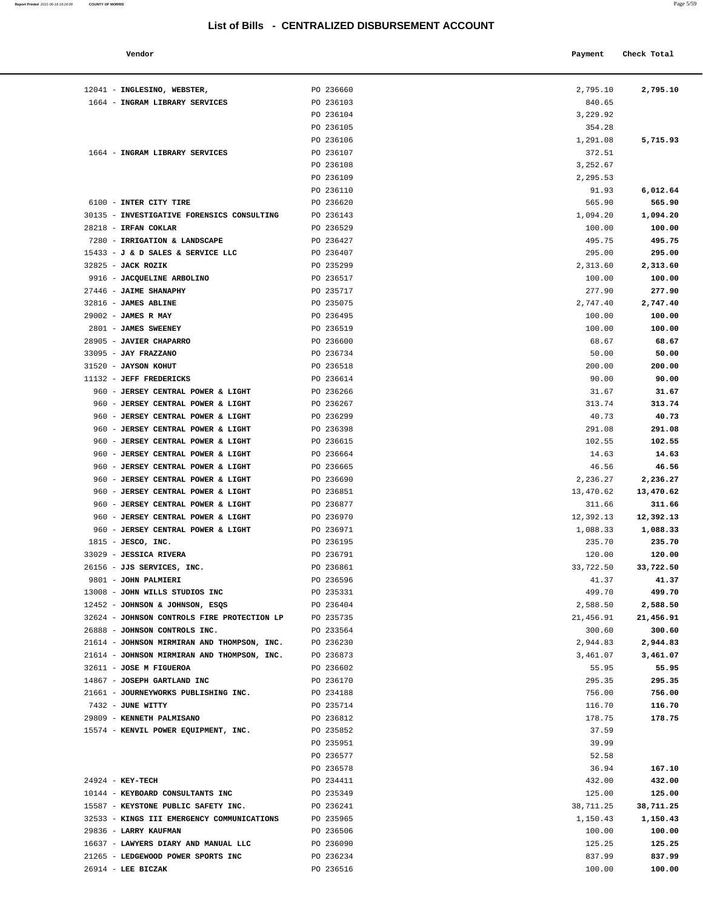#### **Vendor Payment** Check Total **Payment** Check Total **Payment**

**Report Printed** 2021-06-18 16:24:09 **COUNTY OF MORRIS** 

| 12041 - INGLESINO, WEBSTER,                 | PO 236660 | 2,795.10  | 2,795.10  |
|---------------------------------------------|-----------|-----------|-----------|
| 1664 - INGRAM LIBRARY SERVICES              | PO 236103 | 840.65    |           |
|                                             | PO 236104 | 3,229.92  |           |
|                                             | PO 236105 | 354.28    |           |
|                                             | PO 236106 | 1,291.08  | 5,715.93  |
| 1664 - INGRAM LIBRARY SERVICES              | PO 236107 | 372.51    |           |
|                                             | PO 236108 | 3,252.67  |           |
|                                             | PO 236109 | 2,295.53  |           |
|                                             | PO 236110 | 91.93     | 6,012.64  |
| 6100 - INTER CITY TIRE                      | PO 236620 | 565.90    | 565.90    |
| 30135 - INVESTIGATIVE FORENSICS CONSULTING  | PO 236143 | 1,094.20  | 1,094.20  |
| 28218 - IRFAN COKLAR                        | PO 236529 | 100.00    | 100.00    |
| 7280 - IRRIGATION & LANDSCAPE               | PO 236427 | 495.75    | 495.75    |
| 15433 - J & D SALES & SERVICE LLC           | PO 236407 | 295.00    | 295.00    |
| 32825 - JACK ROZIK                          | PO 235299 | 2,313.60  | 2,313.60  |
| 9916 - JACQUELINE ARBOLINO                  | PO 236517 | 100.00    | 100.00    |
| 27446 - JAIME SHANAPHY                      | PO 235717 | 277.90    | 277.90    |
| 32816 - JAMES ABLINE                        | PO 235075 | 2,747.40  | 2,747.40  |
| 29002 - JAMES R MAY                         | PO 236495 | 100.00    | 100.00    |
| 2801 - JAMES SWEENEY                        | PO 236519 | 100.00    | 100.00    |
| 28905 - JAVIER CHAPARRO                     | PO 236600 | 68.67     | 68.67     |
| 33095 - JAY FRAZZANO                        | PO 236734 | 50.00     | 50.00     |
| 31520 - JAYSON KOHUT                        | PO 236518 | 200.00    | 200.00    |
| 11132 - JEFF FREDERICKS                     | PO 236614 | 90.00     | 90.00     |
| 960 - JERSEY CENTRAL POWER & LIGHT          | PO 236266 | 31.67     | 31.67     |
| 960 - JERSEY CENTRAL POWER & LIGHT          | PO 236267 | 313.74    | 313.74    |
| 960 - JERSEY CENTRAL POWER & LIGHT          | PO 236299 | 40.73     | 40.73     |
| 960 - JERSEY CENTRAL POWER & LIGHT          | PO 236398 | 291.08    | 291.08    |
| 960 - JERSEY CENTRAL POWER & LIGHT          | PO 236615 | 102.55    | 102.55    |
| 960 - JERSEY CENTRAL POWER & LIGHT          | PO 236664 | 14.63     | 14.63     |
| 960 - JERSEY CENTRAL POWER & LIGHT          | PO 236665 | 46.56     | 46.56     |
| 960 - JERSEY CENTRAL POWER & LIGHT          | PO 236690 | 2,236.27  | 2,236.27  |
| 960 - JERSEY CENTRAL POWER & LIGHT          | PO 236851 | 13,470.62 | 13,470.62 |
| 960 - JERSEY CENTRAL POWER & LIGHT          | PO 236877 | 311.66    | 311.66    |
| 960 - JERSEY CENTRAL POWER & LIGHT          | PO 236970 | 12,392.13 | 12,392.13 |
| 960 - JERSEY CENTRAL POWER & LIGHT          | PO 236971 | 1,088.33  | 1,088.33  |
| $1815$ - JESCO, INC.                        | PO 236195 | 235.70    | 235.70    |
| 33029 - JESSICA RIVERA                      | PO 236791 | 120.00    | 120.00    |
| 26156 - JJS SERVICES, INC.                  | PO 236861 | 33,722.50 | 33,722.50 |
| 9801 - JOHN PALMIERI                        | PO 236596 | 41.37     | 41.37     |
| 13008 - JOHN WILLS STUDIOS INC              | PO 235331 | 499.70    | 499.70    |
| 12452 - JOHNSON & JOHNSON, ESQS             | PO 236404 | 2,588.50  | 2,588.50  |
| 32624 - JOHNSON CONTROLS FIRE PROTECTION LP | PO 235735 | 21,456.91 | 21,456.91 |
| 26888 - JOHNSON CONTROLS INC.               | PO 233564 | 300.60    | 300.60    |
| 21614 - JOHNSON MIRMIRAN AND THOMPSON, INC. | PO 236230 | 2,944.83  | 2,944.83  |
| 21614 - JOHNSON MIRMIRAN AND THOMPSON, INC. | PO 236873 | 3,461.07  | 3,461.07  |
| 32611 - JOSE M FIGUEROA                     | PO 236602 | 55.95     | 55.95     |
| 14867 - JOSEPH GARTLAND INC                 | PO 236170 | 295.35    | 295.35    |
| 21661 - JOURNEYWORKS PUBLISHING INC.        | PO 234188 | 756.00    | 756.00    |
| 7432 - JUNE WITTY                           | PO 235714 | 116.70    | 116.70    |
| 29809 - KENNETH PALMISANO                   | PO 236812 | 178.75    | 178.75    |
| 15574 - KENVIL POWER EQUIPMENT, INC.        | PO 235852 | 37.59     |           |
|                                             | PO 235951 | 39.99     |           |
|                                             | PO 236577 | 52.58     |           |
|                                             | PO 236578 | 36.94     | 167.10    |
| 24924 - KEY-TECH                            | PO 234411 | 432.00    | 432.00    |
| 10144 - KEYBOARD CONSULTANTS INC            | PO 235349 | 125.00    | 125.00    |
| 15587 - KEYSTONE PUBLIC SAFETY INC.         | PO 236241 | 38,711.25 | 38,711.25 |
| 32533 - KINGS III EMERGENCY COMMUNICATIONS  | PO 235965 | 1,150.43  | 1,150.43  |
| 29836 - LARRY KAUFMAN                       | PO 236506 | 100.00    | 100.00    |
| 16637 - LAWYERS DIARY AND MANUAL LLC        | PO 236090 | 125.25    | 125.25    |
| 21265 - LEDGEWOOD POWER SPORTS INC          | PO 236234 | 837.99    | 837.99    |
| $26914$ - LEE BICZAK                        | PO 236516 | 100.00    | 100.00    |
|                                             |           |           |           |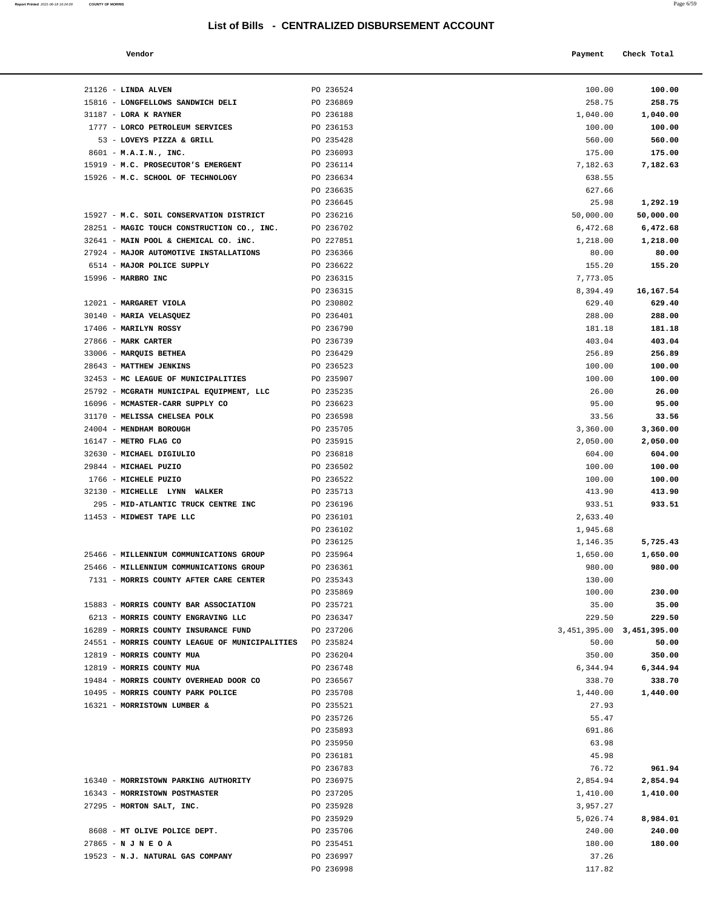| Report Printed 2021-06-18 16:24:09 | <b>COUNTY OF MORRIS</b> |  | Page 6/59 |
|------------------------------------|-------------------------|--|-----------|
|                                    |                         |  |           |

| Vendor | Payment Check Total |
|--------|---------------------|
|        |                     |

| 21126 - LINDA ALVEN                                    | PO 236524              | 100.00                        | 100.00             |
|--------------------------------------------------------|------------------------|-------------------------------|--------------------|
| 15816 - LONGFELLOWS SANDWICH DELI                      | PO 236869              | 258.75                        | 258.75             |
| $31187$ - LORA K RAYNER                                | PO 236188              | 1,040.00                      | 1,040.00           |
| 1777 - LORCO PETROLEUM SERVICES                        | PO 236153              | 100.00                        | 100.00             |
| 53 - LOVEYS PIZZA & GRILL                              | PO 235428              | 560.00                        | 560.00             |
| $8601 - M.A.I.N., INC.$                                | PO 236093              | 175.00                        | 175.00             |
| 15919 - M.C. PROSECUTOR'S EMERGENT                     | PO 236114              | 7,182.63                      | 7,182.63           |
| 15926 - M.C. SCHOOL OF TECHNOLOGY                      | PO 236634              | 638.55                        |                    |
|                                                        | PO 236635              | 627.66                        |                    |
|                                                        | PO 236645              | 25.98                         | 1,292.19           |
| 15927 - M.C. SOIL CONSERVATION DISTRICT                | PO 236216              | 50,000.00                     | 50,000.00          |
| 28251 - MAGIC TOUCH CONSTRUCTION CO., INC.             | PO 236702              | 6,472.68                      | 6,472.68           |
| 32641 - MAIN POOL & CHEMICAL CO. iNC.                  | PO 227851              | 1,218.00                      | 1,218.00           |
| 27924 - MAJOR AUTOMOTIVE INSTALLATIONS                 | PO 236366              | 80.00                         | 80.00              |
| 6514 - MAJOR POLICE SUPPLY<br>15996 - MARBRO INC       | PO 236622<br>PO 236315 | 155.20<br>7,773.05            | 155.20             |
|                                                        | PO 236315              | 8,394.49                      | 16,167.54          |
| 12021 - MARGARET VIOLA                                 | PO 230802              | 629.40                        | 629.40             |
| 30140 - MARIA VELASQUEZ                                | PO 236401              | 288.00                        | 288.00             |
| $17406$ - MARILYN ROSSY                                | PO 236790              | 181.18                        | 181.18             |
| 27866 - MARK CARTER                                    | PO 236739              | 403.04                        | 403.04             |
| 33006 - MARQUIS BETHEA                                 | PO 236429              | 256.89                        | 256.89             |
| 28643 - MATTHEW JENKINS                                | PO 236523              | 100.00                        | 100.00             |
| 32453 - MC LEAGUE OF MUNICIPALITIES                    | PO 235907              | 100.00                        | 100.00             |
| 25792 - MCGRATH MUNICIPAL EQUIPMENT, LLC               | PO 235235              | 26.00                         | 26.00              |
| 16096 - MCMASTER-CARR SUPPLY CO                        | PO 236623              | 95.00                         | 95.00              |
| 31170 - MELISSA CHELSEA POLK                           | PO 236598              | 33.56                         | 33.56              |
| 24004 - MENDHAM BOROUGH                                | PO 235705              | 3,360.00                      | 3,360.00           |
| 16147 - METRO FLAG CO                                  | PO 235915              | 2,050.00                      | 2,050.00           |
| 32630 - MICHAEL DIGIULIO<br>29844 - MICHAEL PUZIO      | PO 236818<br>PO 236502 | 604.00<br>100.00              | 604.00<br>100.00   |
| 1766 - MICHELE PUZIO                                   | PO 236522              | 100.00                        | 100.00             |
| 32130 - MICHELLE LYNN WALKER                           | PO 235713              | 413.90                        | 413.90             |
| 295 - MID-ATLANTIC TRUCK CENTRE INC                    | PO 236196              | 933.51                        | 933.51             |
| 11453 - MIDWEST TAPE LLC                               | PO 236101              | 2,633.40                      |                    |
|                                                        | PO 236102              | 1,945.68                      |                    |
|                                                        | PO 236125              | 1,146.35                      | 5,725.43           |
| 25466 - MILLENNIUM COMMUNICATIONS GROUP                | PO 235964              | 1,650.00                      | 1,650.00           |
| 25466 - MILLENNIUM COMMUNICATIONS GROUP                | PO 236361              | 980.00                        | 980.00             |
| 7131 - MORRIS COUNTY AFTER CARE CENTER                 | PO 235343              | 130.00                        |                    |
|                                                        | PO 235869              | 100.00                        | 230.00             |
| 15883 - MORRIS COUNTY BAR ASSOCIATION                  | PO 235721              | 35.00                         | 35.00              |
| 6213 - MORRIS COUNTY ENGRAVING LLC                     | PO 236347              | 229.50                        | 229.50             |
| 16289 - MORRIS COUNTY INSURANCE FUND                   | PO 237206              | 3, 451, 395.00 3, 451, 395.00 |                    |
| 24551 - MORRIS COUNTY LEAGUE OF MUNICIPALITIES         | PO 235824              | 50.00                         | 50.00              |
| 12819 - MORRIS COUNTY MUA<br>12819 - MORRIS COUNTY MUA | PO 236204<br>PO 236748 | 350.00<br>6,344.94            | 350.00<br>6,344.94 |
| 19484 - MORRIS COUNTY OVERHEAD DOOR CO                 | PO 236567              | 338.70                        | 338.70             |
| 10495 - MORRIS COUNTY PARK POLICE                      | PO 235708              | 1,440.00                      | 1,440.00           |
| 16321 - MORRISTOWN LUMBER &                            | PO 235521              | 27.93                         |                    |
|                                                        | PO 235726              | 55.47                         |                    |
|                                                        | PO 235893              | 691.86                        |                    |
|                                                        | PO 235950              | 63.98                         |                    |
|                                                        | PO 236181              | 45.98                         |                    |
|                                                        | PO 236783              | 76.72                         | 961.94             |
| 16340 - MORRISTOWN PARKING AUTHORITY                   | PO 236975              | 2,854.94                      | 2,854.94           |
| 16343 - MORRISTOWN POSTMASTER                          | PO 237205              | 1,410.00                      | 1,410.00           |
| 27295 - MORTON SALT, INC.                              | PO 235928              | 3,957.27                      |                    |
|                                                        | PO 235929              | 5,026.74                      | 8,984.01           |
| 8608 - MT OLIVE POLICE DEPT.                           | PO 235706              | 240.00                        | 240.00             |
| $27865 - N J N E O A$                                  | PO 235451              | 180.00                        | 180.00             |
| 19523 - N.J. NATURAL GAS COMPANY                       | PO 236997<br>PO 236998 | 37.26<br>117.82               |                    |
|                                                        |                        |                               |                    |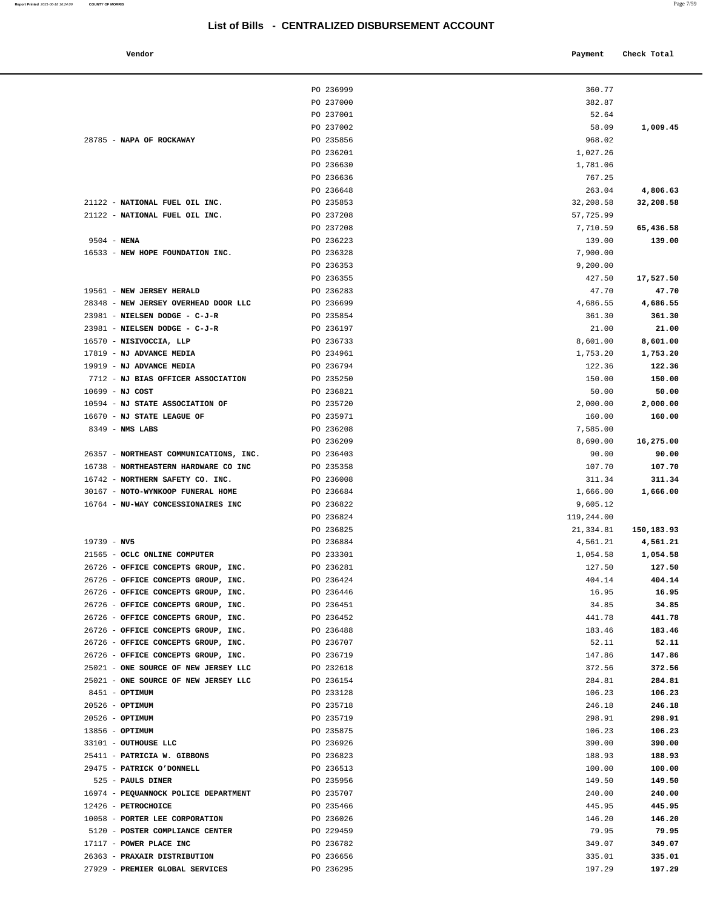28785 - **NAPA OF ROCKAWAY PO 235856** 

**Report Printed 2021-06-18 16:24:09 COUNTY OF MORRIS** 

| Vendor                                   |                        | Payment             | Check Total             |
|------------------------------------------|------------------------|---------------------|-------------------------|
|                                          | PO 236999              | 360.77              |                         |
|                                          | PO 237000              | 382.87              |                         |
|                                          | PO 237001              | 52.64               |                         |
|                                          | PO 237002              | 58.09               | 1,009.45                |
| NAPA OF ROCKAWAY                         | PO 235856              | 968.02              |                         |
|                                          | PO 236201              | 1,027.26            |                         |
|                                          | PO 236630              | 1,781.06            |                         |
|                                          | PO 236636              | 767.25              |                         |
|                                          | PO 236648              | 263.04              | 4,806.63                |
| NATIONAL FUEL OIL INC.                   | PO 235853              | 32,208.58           | 32,208.58               |
| NATIONAL FUEL OIL INC.                   | PO 237208              | 57,725.99           |                         |
|                                          | PO 237208              | 7,710.59            | 65,436.58               |
| NENA                                     | PO 236223              | 139.00              | 139.00                  |
| NEW HOPE FOUNDATION INC.                 | PO 236328              | 7,900.00            |                         |
|                                          | PO 236353              | 9,200.00            |                         |
|                                          | PO 236355              | 427.50              | 17,527.50               |
| <b>NEW JERSEY HERALD</b>                 | PO 236283              | 47.70               | 47.70                   |
| NEW JERSEY OVERHEAD DOOR LLC             | PO 236699              | 4,686.55            | 4,686.55                |
| NIELSEN DODGE - C-J-R                    | PO 235854              | 361.30              | 361.30                  |
| NIELSEN DODGE - C-J-R                    | PO 236197              | 21.00               | 21.00                   |
| NISIVOCCIA, LLP                          | PO 236733              | 8,601.00            | 8,601.00                |
| <b>NJ ADVANCE MEDIA</b>                  | PO 234961              | 1,753.20            | 1,753.20                |
| <b>NJ ADVANCE MEDIA</b>                  | PO 236794              | 122.36              | 122.36                  |
| NJ BIAS OFFICER ASSOCIATION              | PO 235250              | 150.00              | 150.00                  |
| NJ COST                                  | PO 236821              | 50.00               | 50.00                   |
| <b>NJ STATE ASSOCIATION OF</b>           | PO 235720              | 2,000.00            | 2,000.00                |
| <b>NJ STATE LEAGUE OF</b>                | PO 235971              | 160.00              | 160.00                  |
| NMS LABS                                 | PO 236208              | 7,585.00            |                         |
|                                          | PO 236209              | 8,690.00            | 16,275.00               |
| NORTHEAST COMMUNICATIONS, INC.           | PO 236403              | 90.00               | 90.00                   |
| <b>NORTHEASTERN HARDWARE CO INC</b>      | PO 235358              | 107.70              | 107.70                  |
| NORTHERN SAFETY CO. INC.                 | PO 236008              | 311.34              | 311.34                  |
| NOTO-WYNKOOP FUNERAL HOME                | PO 236684              | 1,666.00            | 1,666.00                |
| NU-WAY CONCESSIONAIRES INC               | PO 236822              | 9,605.12            |                         |
|                                          | PO 236824              | 119,244.00          |                         |
|                                          | PO 236825              | 21,334.81           | 150,183.93              |
| NV5                                      | PO 236884              | 4,561.21            | 4,561.21                |
| OCLC ONLINE COMPUTER                     | PO 233301              | 1,054.58            | 1,054.58                |
| OFFICE CONCEPTS GROUP, INC.              | PO 236281              | 127.50              | 127.50                  |
| OFFICE CONCEPTS GROUP, INC.              | PO 236424              | 404.14              | 404.14                  |
| OFFICE CONCEPTS GROUP, INC.              | PO 236446              | 16.95               | 16.95                   |
| OFFICE CONCEPTS GROUP, INC.              | PO 236451              | 34.85               | 34.85                   |
| OFFICE CONCEPTS GROUP, INC.              | PO 236452              | 441.78              | 441.78                  |
| OFFICE CONCEPTS GROUP, INC.              | PO 236488              | 183.46              | 183.46                  |
| OFFICE CONCEPTS GROUP, INC.              | PO 236707              | 52.11               | 52.11                   |
| OFFICE CONCEPTS GROUP, INC.              |                        |                     |                         |
| ONE SOURCE OF NEW JERSEY LLC             | PO 236719              | 147.86<br>372.56    | 147.86<br>372.56        |
| ONE SOURCE OF NEW JERSEY LLC             | PO 232618              | 284.81              |                         |
| OPTIMUM                                  | PO 236154<br>PO 233128 | 106.23              | 284.81<br>106.23        |
|                                          |                        |                     |                         |
| OPTIMUM                                  | PO 235718              | 246.18              | 246.18                  |
| OPTIMUM                                  | PO 235719              | 298.91              | 298.91                  |
| OPTIMUM                                  | PO 235875              | 106.23              | 106.23                  |
| OUTHOUSE LLC                             | PO 236926              | 390.00              | 390.00                  |
| <b>PATRICIA W. GIBBONS</b>               | PO 236823              | 188.93              | 188.93                  |
| <b>PATRICK O'DONNELL</b><br>DAIT C DINED | PO 236513<br>DO 22FOEC | 100.00<br>1.40 E.O. | 100.00<br><b>140 EQ</b> |

|                                                                       | PO 236201              | 1,027.26           |                    |
|-----------------------------------------------------------------------|------------------------|--------------------|--------------------|
|                                                                       | PO 236630              | 1,781.06           |                    |
|                                                                       | PO 236636              | 767.25             |                    |
|                                                                       | PO 236648              | 263.04             | 4,806.63           |
| 21122 - NATIONAL FUEL OIL INC.                                        | PO 235853              | 32,208.58          | 32,208.58          |
| 21122 - NATIONAL FUEL OIL INC.                                        | PO 237208              | 57,725.99          |                    |
|                                                                       | PO 237208              | 7,710.59           | 65,436.58          |
| $9504 - NENA$                                                         | PO 236223              | 139.00             | 139.00             |
| 16533 - NEW HOPE FOUNDATION INC.                                      | PO 236328<br>PO 236353 | 7,900.00           |                    |
|                                                                       | PO 236355              | 9,200.00<br>427.50 | 17,527.50          |
| 19561 - NEW JERSEY HERALD                                             | PO 236283              | 47.70              | 47.70              |
| 28348 - NEW JERSEY OVERHEAD DOOR LLC                                  | PO 236699              | 4,686.55           | 4,686.55           |
| 23981 - NIELSEN DODGE - C-J-R                                         | PO 235854              | 361.30             | 361.30             |
| 23981 - NIELSEN DODGE - C-J-R                                         | PO 236197              | 21.00              | 21.00              |
| 16570 - NISIVOCCIA, LLP                                               | PO 236733              | 8,601.00           | 8,601.00           |
| 17819 - NJ ADVANCE MEDIA                                              | PO 234961              | 1,753.20           | 1,753.20           |
| 19919 - NJ ADVANCE MEDIA                                              | PO 236794              | 122.36             | 122.36             |
| 7712 - NJ BIAS OFFICER ASSOCIATION                                    | PO 235250              | 150.00             | 150.00             |
| $10699 - NJ COST$                                                     | PO 236821              | 50.00              | 50.00              |
| 10594 - NJ STATE ASSOCIATION OF                                       | PO 235720              | 2,000.00           | 2,000.00           |
| 16670 - NJ STATE LEAGUE OF                                            | PO 235971              | 160.00             | 160.00             |
| $8349$ - NMS LABS                                                     | PO 236208              | 7,585.00           |                    |
|                                                                       | PO 236209              | 8,690.00           | 16,275.00          |
| 26357 - NORTHEAST COMMUNICATIONS, INC.                                | PO 236403              | 90.00              | 90.00              |
| 16738 - NORTHEASTERN HARDWARE CO INC                                  | PO 235358              | 107.70             | 107.70             |
| 16742 - NORTHERN SAFETY CO. INC.<br>30167 - NOTO-WYNKOOP FUNERAL HOME | PO 236008<br>PO 236684 | 311.34<br>1,666.00 | 311.34<br>1,666.00 |
| 16764 - NU-WAY CONCESSIONAIRES INC                                    | PO 236822              | 9,605.12           |                    |
|                                                                       | PO 236824              | 119,244.00         |                    |
|                                                                       | PO 236825              | 21,334.81          | 150,183.93         |
| $19739 - NV5$                                                         | PO 236884              | 4,561.21           | 4,561.21           |
| 21565 - OCLC ONLINE COMPUTER                                          | PO 233301              | 1,054.58           | 1,054.58           |
| 26726 - OFFICE CONCEPTS GROUP, INC.                                   | PO 236281              | 127.50             | 127.50             |
| 26726 - OFFICE CONCEPTS GROUP, INC.                                   | PO 236424              | 404.14             | 404.14             |
| 26726 - OFFICE CONCEPTS GROUP, INC.                                   | PO 236446              | 16.95              | 16.95              |
| 26726 - OFFICE CONCEPTS GROUP, INC.                                   | PO 236451              | 34.85              | 34.85              |
| 26726 - OFFICE CONCEPTS GROUP, INC.                                   | PO 236452              | 441.78             | 441.78             |
| 26726 - OFFICE CONCEPTS GROUP, INC.                                   | PO 236488              | 183.46             | 183.46             |
| 26726 - OFFICE CONCEPTS GROUP, INC.                                   | PO 236707              | 52.11              | 52.11              |
| 26726 - OFFICE CONCEPTS GROUP, INC.                                   | PO 236719              | 147.86             | 147.86             |
| 25021 - ONE SOURCE OF NEW JERSEY LLC                                  | PO 232618              | 372.56             | 372.56             |
| 25021 - ONE SOURCE OF NEW JERSEY LLC<br>8451 - <b>OPTIMUM</b>         | PO 236154<br>PO 233128 | 284.81<br>106.23   | 284.81<br>106.23   |
| 20526 - OPTIMUM                                                       | PO 235718              | 246.18             | 246.18             |
| 20526 - OPTIMUM                                                       | PO 235719              | 298.91             | 298.91             |
| 13856 - OPTIMUM                                                       | PO 235875              | 106.23             | 106.23             |
| 33101 - OUTHOUSE LLC                                                  | PO 236926              | 390.00             | 390.00             |
| 25411 - PATRICIA W. GIBBONS                                           | PO 236823              | 188.93             | 188.93             |
| 29475 - PATRICK O'DONNELL                                             | PO 236513              | 100.00             | 100.00             |
| 525 - PAULS DINER                                                     | PO 235956              | 149.50             | 149.50             |
| 16974 - PEQUANNOCK POLICE DEPARTMENT                                  | PO 235707              | 240.00             | 240.00             |
| 12426 - PETROCHOICE                                                   | PO 235466              | 445.95             | 445.95             |
| 10058 - PORTER LEE CORPORATION                                        | PO 236026              | 146.20             | 146.20             |
| 5120 - POSTER COMPLIANCE CENTER                                       | PO 229459              | 79.95              | 79.95              |
| 17117 - POWER PLACE INC                                               | PO 236782              | 349.07             | 349.07             |
| 26363 - PRAXAIR DISTRIBUTION                                          | PO 236656              | 335.01             | 335.01             |
| 27929 - PREMIER GLOBAL SERVICES                                       | PO 236295              | 197.29             | 197.29             |
|                                                                       |                        |                    |                    |
|                                                                       |                        |                    |                    |
|                                                                       |                        |                    |                    |
|                                                                       |                        |                    |                    |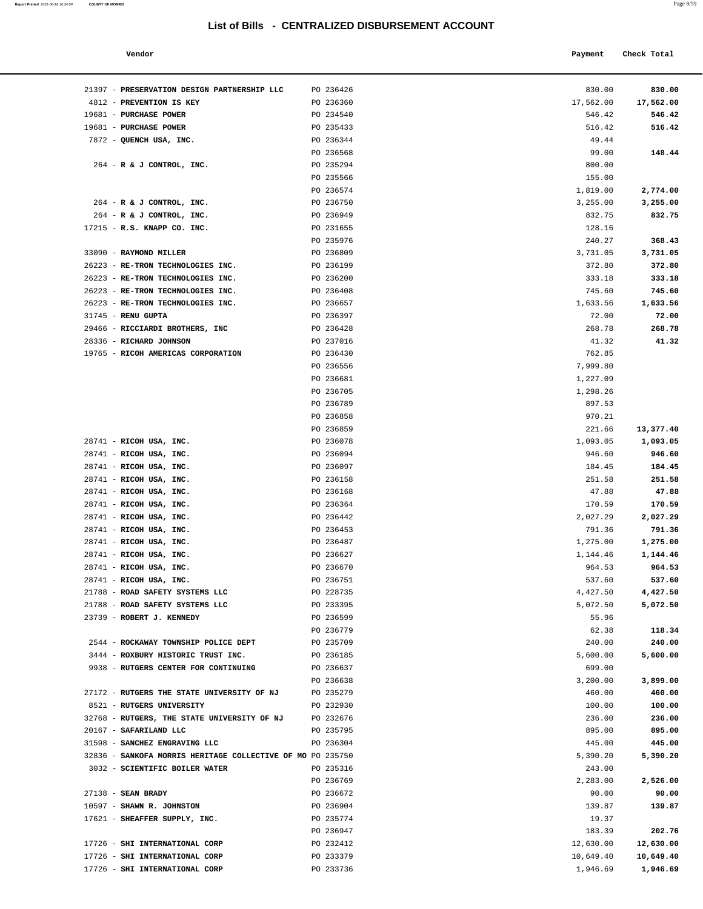**Report Printed**  2021-06-18 16:24:09 **COUNTY OF MORRIS** 

| ٧<br>×<br>٠ |
|-------------|
|             |

| Vendor | Payment Check Total |  |
|--------|---------------------|--|
|--------|---------------------|--|

| 21397 - PRESERVATION DESIGN PARTNERSHIP LLC                | PO 236426              | 830.00             | 830.00             |
|------------------------------------------------------------|------------------------|--------------------|--------------------|
| 4812 - PREVENTION IS KEY                                   | PO 236360              | 17,562.00          | 17,562.00          |
| 19681 - PURCHASE POWER                                     | PO 234540              | 546.42             | 546.42             |
| 19681 - PURCHASE POWER                                     | PO 235433              | 516.42             | 516.42             |
| 7872 - QUENCH USA, INC.                                    | PO 236344              | 49.44              |                    |
|                                                            | PO 236568              | 99.00              | 148.44             |
| 264 - R & J CONTROL, INC.                                  | PO 235294              | 800.00             |                    |
|                                                            | PO 235566              | 155.00             |                    |
|                                                            | PO 236574              | 1,819.00           | 2,774.00           |
| 264 - R & J CONTROL, INC.                                  | PO 236750              | 3,255.00           | 3,255.00           |
| 264 - R & J CONTROL, INC.                                  | PO 236949              | 832.75             | 832.75             |
| 17215 - R.S. KNAPP CO. INC.                                | PO 231655              | 128.16             |                    |
|                                                            | PO 235976              | 240.27             | 368.43             |
| 33090 - RAYMOND MILLER                                     | PO 236809              | 3,731.05           | 3,731.05           |
| 26223 - RE-TRON TECHNOLOGIES INC.                          | PO 236199              | 372.80             | 372.80             |
| 26223 - RE-TRON TECHNOLOGIES INC.                          | PO 236200              | 333.18             | 333.18             |
| 26223 - RE-TRON TECHNOLOGIES INC.                          | PO 236408              | 745.60             | 745.60             |
| 26223 - RE-TRON TECHNOLOGIES INC.                          | PO 236657              | 1,633.56           | 1,633.56           |
| 31745 - RENU GUPTA                                         | PO 236397              | 72.00              | 72.00              |
| 29466 - RICCIARDI BROTHERS, INC                            | PO 236428              | 268.78             | 268.78             |
| 28336 - RICHARD JOHNSON                                    | PO 237016              | 41.32              | 41.32              |
| 19765 - RICOH AMERICAS CORPORATION                         | PO 236430              | 762.85             |                    |
|                                                            | PO 236556              | 7,999.80           |                    |
|                                                            | PO 236681              | 1,227.09           |                    |
|                                                            | PO 236705              | 1,298.26           |                    |
|                                                            | PO 236789              | 897.53             |                    |
|                                                            | PO 236858              | 970.21             |                    |
|                                                            | PO 236859              | 221.66             | 13,377.40          |
| 28741 - RICOH USA, INC.                                    | PO 236078              | 1,093.05           | 1,093.05           |
| 28741 - RICOH USA, INC.                                    | PO 236094              | 946.60             | 946.60             |
| 28741 - RICOH USA, INC.                                    | PO 236097              | 184.45             | 184.45             |
| 28741 - RICOH USA, INC.                                    | PO 236158              | 251.58             | 251.58             |
| 28741 - RICOH USA, INC.                                    | PO 236168              | 47.88              | 47.88              |
| 28741 - RICOH USA, INC.<br>28741 - RICOH USA, INC.         | PO 236364<br>PO 236442 | 170.59             | 170.59             |
| 28741 - RICOH USA, INC.                                    | PO 236453              | 2,027.29<br>791.36 | 2,027.29<br>791.36 |
| 28741 - RICOH USA, INC.                                    | PO 236487              | 1,275.00           | 1,275.00           |
| 28741 - RICOH USA, INC.                                    | PO 236627              | 1,144.46           | 1,144.46           |
| 28741 - RICOH USA, INC.                                    | PO 236670              | 964.53             | 964.53             |
| 28741 - RICOH USA, INC.                                    | PO 236751              | 537.60             | 537.60             |
| 21788 - ROAD SAFETY SYSTEMS LLC                            | PO 228735              | 4,427.50           | 4,427.50           |
| 21788 - ROAD SAFETY SYSTEMS LLC                            | PO 233395              | 5,072.50           | 5,072.50           |
| 23739 - ROBERT J. KENNEDY                                  | PO 236599              | 55.96              |                    |
|                                                            | PO 236779              | 62.38              | 118.34             |
| 2544 - ROCKAWAY TOWNSHIP POLICE DEPT                       | PO 235709              | 240.00             | 240.00             |
| 3444 - ROXBURY HISTORIC TRUST INC.                         | PO 236185              | 5,600.00           | 5,600.00           |
| 9938 - RUTGERS CENTER FOR CONTINUING                       | PO 236637              | 699.00             |                    |
|                                                            | PO 236638              | 3,200.00           | 3,899.00           |
| 27172 - RUTGERS THE STATE UNIVERSITY OF NJ                 | PO 235279              | 460.00             | 460.00             |
| 8521 - RUTGERS UNIVERSITY                                  | PO 232930              | 100.00             | 100.00             |
| 32768 - RUTGERS, THE STATE UNIVERSITY OF NJ                | PO 232676              | 236.00             | 236.00             |
| 20167 - SAFARILAND LLC                                     | PO 235795              | 895.00             | 895.00             |
| 31598 - SANCHEZ ENGRAVING LLC                              | PO 236304              | 445.00             | 445.00             |
| 32836 - SANKOFA MORRIS HERITAGE COLLECTIVE OF MO PO 235750 |                        | 5,390.20           | 5,390.20           |
| 3032 - SCIENTIFIC BOILER WATER                             | PO 235316              | 243.00             |                    |
|                                                            | PO 236769              | 2,283.00           | 2,526.00           |
| $27138$ - SEAN BRADY                                       | PO 236672              | 90.00              | 90.00              |
| 10597 - SHAWN R. JOHNSTON                                  | PO 236904              | 139.87             | 139.87             |
| 17621 - SHEAFFER SUPPLY, INC.                              | PO 235774              | 19.37              |                    |
|                                                            | PO 236947              | 183.39             | 202.76             |
| 17726 - SHI INTERNATIONAL CORP                             | PO 232412              | 12,630.00          | 12,630.00          |
| 17726 - SHI INTERNATIONAL CORP                             | PO 233379              | 10,649.40          | 10,649.40          |
| 17726 - SHI INTERNATIONAL CORP                             | PO 233736              | 1,946.69           | 1,946.69           |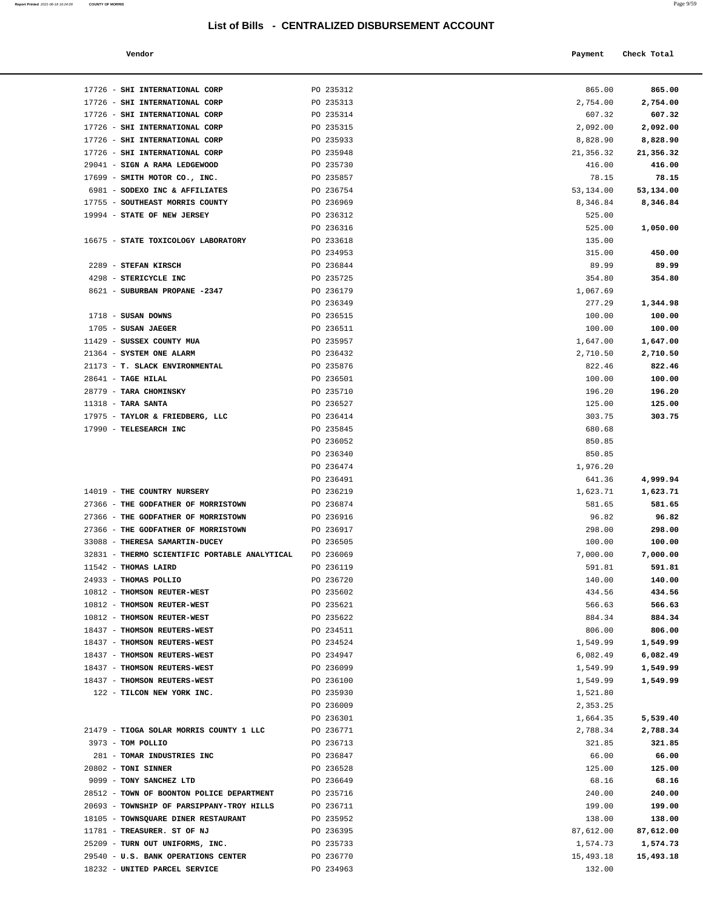**Report Printed** 2021-06-18 16:24:09 **COUNTY OF MORRIS** Page 9/59

| Vendor                                                       |                        | Payment          | Check Total        |
|--------------------------------------------------------------|------------------------|------------------|--------------------|
|                                                              |                        |                  |                    |
| 17726 - SHI INTERNATIONAL CORP                               | PO 235312              | 865.00           | 865.00             |
| 17726 - SHI INTERNATIONAL CORP                               | PO 235313              | 2,754.00         | 2,754.00           |
| 17726 - SHI INTERNATIONAL CORP                               | PO 235314              | 607.32           | 607.32             |
| 17726 - SHI INTERNATIONAL CORP                               | PO 235315              | 2,092.00         | 2,092.00           |
| 17726 - SHI INTERNATIONAL CORP                               | PO 235933              | 8,828.90         | 8,828.90           |
| 17726 - SHI INTERNATIONAL CORP                               | PO 235948              | 21,356.32        | 21,356.32          |
| 29041 - SIGN A RAMA LEDGEWOOD                                | PO 235730              | 416.00           | 416.00             |
| 17699 - SMITH MOTOR CO., INC.                                | PO 235857              | 78.15            | 78.15              |
| 6981 - SODEXO INC & AFFILIATES                               | PO 236754              | 53, 134.00       | 53,134.00          |
| 17755 - SOUTHEAST MORRIS COUNTY                              | PO 236969              | 8,346.84         | 8,346.84           |
| 19994 - STATE OF NEW JERSEY                                  | PO 236312              | 525.00           |                    |
|                                                              | PO 236316              | 525.00           | 1,050.00           |
| 16675 - STATE TOXICOLOGY LABORATORY                          | PO 233618              | 135.00           |                    |
|                                                              | PO 234953              | 315.00           | 450.00             |
| 2289 - STEFAN KIRSCH                                         | PO 236844              | 89.99            | 89.99              |
| 4298 - STERICYCLE INC                                        | PO 235725              | 354.80           | 354.80             |
| 8621 - SUBURBAN PROPANE -2347                                | PO 236179              | 1,067.69         |                    |
| $1718$ - SUSAN DOWNS                                         | PO 236349<br>PO 236515 | 277.29           | 1,344.98           |
| 1705 - SUSAN JAEGER                                          | PO 236511              | 100.00<br>100.00 | 100.00<br>100.00   |
| 11429 - SUSSEX COUNTY MUA                                    | PO 235957              | 1,647.00         | 1,647.00           |
| 21364 - SYSTEM ONE ALARM                                     | PO 236432              | 2,710.50         | 2,710.50           |
| 21173 - T. SLACK ENVIRONMENTAL                               | PO 235876              | 822.46           | 822.46             |
| 28641 - TAGE HILAL                                           | PO 236501              | 100.00           | 100.00             |
| 28779 - TARA CHOMINSKY                                       | PO 235710              | 196.20           | 196.20             |
| $11318$ - TARA SANTA                                         | PO 236527              | 125.00           | 125.00             |
| 17975 - TAYLOR & FRIEDBERG, LLC                              | PO 236414              | 303.75           | 303.75             |
| 17990 - TELESEARCH INC                                       | PO 235845              | 680.68           |                    |
|                                                              | PO 236052              | 850.85           |                    |
|                                                              | PO 236340              | 850.85           |                    |
|                                                              | PO 236474              | 1,976.20         |                    |
|                                                              | PO 236491              | 641.36           | 4,999.94           |
| 14019 - THE COUNTRY NURSERY                                  | PO 236219              | 1,623.71         | 1,623.71           |
| 27366 - THE GODFATHER OF MORRISTOWN                          | PO 236874              | 581.65           | 581.65             |
| 27366 - THE GODFATHER OF MORRISTOWN                          | PO 236916              | 96.82            | 96.82              |
| 27366 - THE GODFATHER OF MORRISTOWN                          | PO 236917              | 298.00           | 298.00             |
| 33088 - THERESA SAMARTIN-DUCEY                               | PO 236505              | 100.00           | 100.00             |
| 32831 - THERMO SCIENTIFIC PORTABLE ANALYTICAL                | PO 236069              | 7,000.00         | 7,000.00           |
| 11542 - THOMAS LAIRD                                         | PO 236119              | 591.81           | 591.81             |
| 24933 - THOMAS POLLIO                                        | PO 236720              | 140.00           | 140.00             |
| 10812 - THOMSON REUTER-WEST                                  | PO 235602              | 434.56           | 434.56             |
| 10812 - THOMSON REUTER-WEST                                  | PO 235621              | 566.63           | 566.63             |
| 10812 - THOMSON REUTER-WEST                                  | PO 235622              | 884.34           | 884.34             |
| 18437 - THOMSON REUTERS-WEST                                 | PO 234511              | 806.00           | 806.00             |
| 18437 - THOMSON REUTERS-WEST                                 | PO 234524              | 1,549.99         | 1,549.99           |
| 18437 - THOMSON REUTERS-WEST                                 | PO 234947              | 6,082.49         | 6,082.49           |
| 18437 - THOMSON REUTERS-WEST                                 | PO 236099              | 1,549.99         | 1,549.99           |
| 18437 - THOMSON REUTERS-WEST                                 | PO 236100              | 1,549.99         | 1,549.99           |
| 122 - TILCON NEW YORK INC.                                   | PO 235930              | 1,521.80         |                    |
|                                                              | PO 236009              | 2,353.25         |                    |
|                                                              | PO 236301              | 1,664.35         | 5,539.40           |
| 21479 - TIOGA SOLAR MORRIS COUNTY 1 LLC<br>3973 - TOM POLLIO | PO 236771<br>PO 236713 | 2,788.34         | 2,788.34<br>321.85 |
| 281 - TOMAR INDUSTRIES INC                                   | PO 236847              | 321.85           | 66.00              |
| 20802 - TONI SINNER                                          | PO 236528              | 66.00<br>125.00  | 125.00             |
| 9099 - TONY SANCHEZ LTD                                      | PO 236649              | 68.16            | 68.16              |
| 28512 - TOWN OF BOONTON POLICE DEPARTMENT                    | PO 235716              | 240.00           | 240.00             |
| 20693 - TOWNSHIP OF PARSIPPANY-TROY HILLS                    | PO 236711              | 199.00           | 199.00             |
| 18105 - TOWNSQUARE DINER RESTAURANT                          | PO 235952              | 138.00           | 138.00             |
| 11781 - TREASURER. ST OF NJ                                  | PO 236395              | 87,612.00        | 87,612.00          |
| 25209 - TURN OUT UNIFORMS, INC.                              | PO 235733              | 1,574.73         | 1,574.73           |
| 29540 - U.S. BANK OPERATIONS CENTER                          | PO 236770              | 15,493.18        | 15,493.18          |
| 18232 - UNITED PARCEL SERVICE                                | PO 234963              | 132.00           |                    |
|                                                              |                        |                  |                    |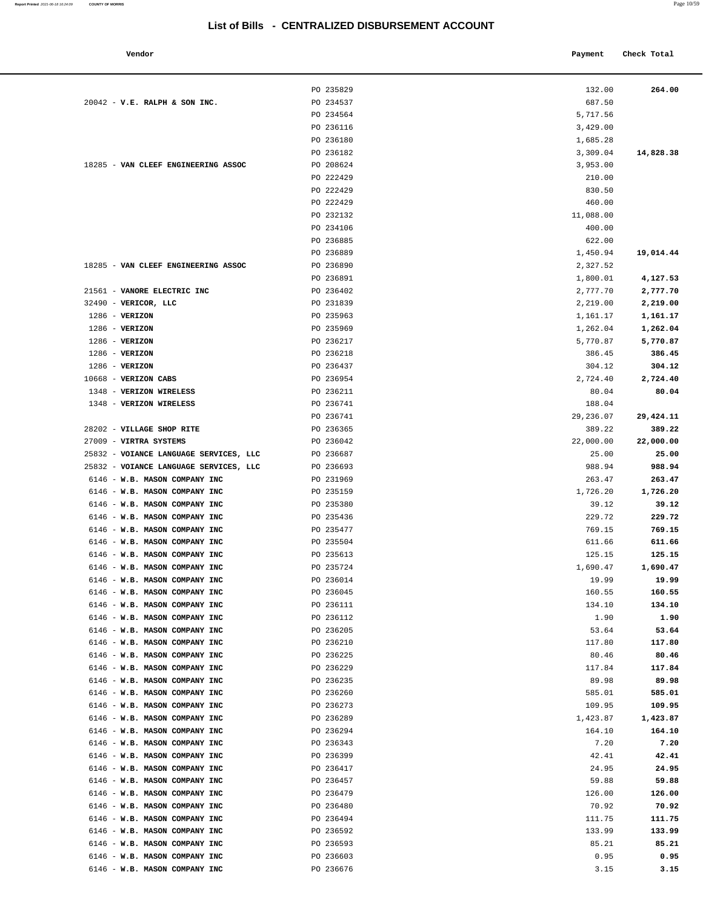Payment Check Total

# **List of Bills - CENTRALIZED DISBURSEMENT ACCOUNT**

| Vendot |  |
|--------|--|

|                                                                | PO 235829              | 132.00             | 264.00             |
|----------------------------------------------------------------|------------------------|--------------------|--------------------|
| $20042$ - V.E. RALPH & SON INC.                                | PO 234537              | 687.50             |                    |
|                                                                | PO 234564              | 5,717.56           |                    |
|                                                                | PO 236116              | 3,429.00           |                    |
|                                                                | PO 236180              | 1,685.28           |                    |
|                                                                | PO 236182              | 3,309.04           | 14,828.38          |
| 18285 - VAN CLEEF ENGINEERING ASSOC                            | PO 208624<br>PO 222429 | 3,953.00           |                    |
|                                                                | PO 222429              | 210.00<br>830.50   |                    |
|                                                                | PO 222429              | 460.00             |                    |
|                                                                | PO 232132              | 11,088.00          |                    |
|                                                                | PO 234106              | 400.00             |                    |
|                                                                | PO 236885              | 622.00             |                    |
|                                                                | PO 236889              | 1,450.94           | 19,014.44          |
| 18285 - VAN CLEEF ENGINEERING ASSOC                            | PO 236890              | 2,327.52           |                    |
|                                                                | PO 236891              | 1,800.01           | 4,127.53           |
| 21561 - VANORE ELECTRIC INC                                    | PO 236402              | 2,777.70           | 2,777.70           |
| 32490 - VERICOR, LLC                                           | PO 231839              | 2,219.00           | 2,219.00           |
| $1286$ - VERIZON                                               | PO 235963              | 1,161.17           | 1,161.17           |
| $1286$ - VERIZON                                               | PO 235969              | 1,262.04           | 1,262.04           |
| $1286$ - VERIZON                                               | PO 236217              | 5,770.87           | 5,770.87           |
| $1286$ - VERIZON                                               | PO 236218              | 386.45             | 386.45             |
| $1286$ - VERIZON<br>10668 - VERIZON CABS                       | PO 236437<br>PO 236954 | 304.12<br>2,724.40 | 304.12<br>2,724.40 |
| 1348 - VERIZON WIRELESS                                        | PO 236211              | 80.04              | 80.04              |
| 1348 - VERIZON WIRELESS                                        | PO 236741              | 188.04             |                    |
|                                                                | PO 236741              | 29,236.07          | 29,424.11          |
| 28202 - VILLAGE SHOP RITE                                      | PO 236365              | 389.22             | 389.22             |
| 27009 - VIRTRA SYSTEMS                                         | PO 236042              | 22,000.00          | 22,000.00          |
| 25832 - VOIANCE LANGUAGE SERVICES, LLC                         | PO 236687              | 25.00              | 25.00              |
| 25832 - VOIANCE LANGUAGE SERVICES, LLC                         | PO 236693              | 988.94             | 988.94             |
| 6146 - W.B. MASON COMPANY INC                                  | PO 231969              | 263.47             | 263.47             |
| 6146 - W.B. MASON COMPANY INC                                  | PO 235159              | 1,726.20           | 1,726.20           |
| 6146 - W.B. MASON COMPANY INC                                  | PO 235380              | 39.12              | 39.12              |
| 6146 - W.B. MASON COMPANY INC<br>6146 - W.B. MASON COMPANY INC | PO 235436              | 229.72             | 229.72             |
|                                                                | PO 235477              | 769.15             | 769.15             |
| 6146 - W.B. MASON COMPANY INC<br>6146 - W.B. MASON COMPANY INC | PO 235504<br>PO 235613 | 611.66<br>125.15   | 611.66<br>125.15   |
| 6146 - W.B. MASON COMPANY INC                                  | PO 235724              | 1,690.47           | 1,690.47           |
| 6146 - W.B. MASON COMPANY INC                                  | PO 236014              | 19.99              | 19.99              |
| 6146 - W.B. MASON COMPANY INC                                  | PO 236045              | 160.55             | 160.55             |
| 6146 - W.B. MASON COMPANY INC                                  | PO 236111              | 134.10             | 134.10             |
| 6146 - W.B. MASON COMPANY INC                                  | PO 236112              | 1.90               | 1.90               |
| 6146 - W.B. MASON COMPANY INC                                  | PO 236205              | 53.64              | 53.64              |
| 6146 - W.B. MASON COMPANY INC                                  | PO 236210              | 117.80             | 117.80             |
| 6146 - W.B. MASON COMPANY INC                                  | PO 236225              | 80.46              | 80.46              |
| 6146 - W.B. MASON COMPANY INC                                  | PO 236229              | 117.84             | 117.84             |
| 6146 - W.B. MASON COMPANY INC                                  | PO 236235              | 89.98              | 89.98              |
| 6146 - W.B. MASON COMPANY INC<br>6146 - W.B. MASON COMPANY INC | PO 236260<br>PO 236273 | 585.01<br>109.95   | 585.01<br>109.95   |
| 6146 - W.B. MASON COMPANY INC                                  | PO 236289              | 1,423.87           | 1,423.87           |
| 6146 - W.B. MASON COMPANY INC                                  | PO 236294              | 164.10             | 164.10             |
| 6146 - W.B. MASON COMPANY INC                                  | PO 236343              | 7.20               | 7.20               |
| 6146 - W.B. MASON COMPANY INC                                  | PO 236399              | 42.41              | 42.41              |
| 6146 - W.B. MASON COMPANY INC                                  | PO 236417              | 24.95              | 24.95              |
| 6146 - W.B. MASON COMPANY INC                                  | PO 236457              | 59.88              | 59.88              |
| 6146 - W.B. MASON COMPANY INC                                  | PO 236479              | 126.00             | 126.00             |
| 6146 - W.B. MASON COMPANY INC                                  | PO 236480              | 70.92              | 70.92              |
| 6146 - W.B. MASON COMPANY INC                                  | PO 236494              | 111.75             | 111.75             |
| 6146 - W.B. MASON COMPANY INC                                  | PO 236592              | 133.99             | 133.99             |
| 6146 - W.B. MASON COMPANY INC                                  | PO 236593              | 85.21              | 85.21              |
| 6146 - W.B. MASON COMPANY INC                                  | PO 236603              | 0.95               | 0.95               |
| 6146 - W.B. MASON COMPANY INC                                  | PO 236676              | 3.15               | 3.15               |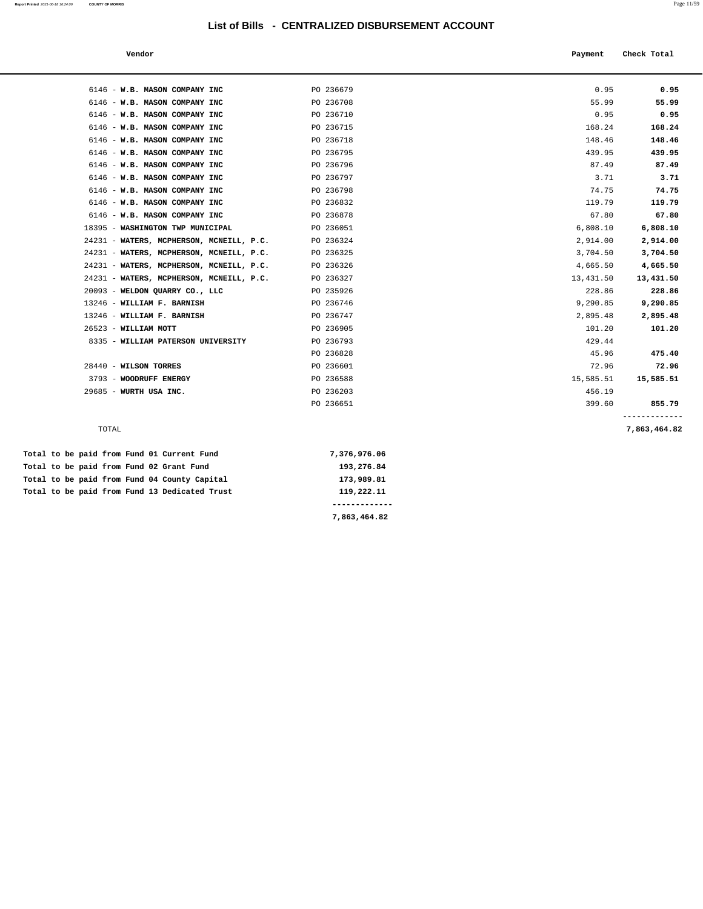**Report Printed** 2021-06-18 16:24:09 **COUNTY OF MORRIS** Page 11/59

| Vendor                                        |              | Payment   | Check Total                   |
|-----------------------------------------------|--------------|-----------|-------------------------------|
|                                               |              |           |                               |
| 6146 - W.B. MASON COMPANY INC                 | PO 236679    | 0.95      | 0.95                          |
| 6146 - W.B. MASON COMPANY INC                 | PO 236708    | 55.99     | 55.99                         |
| 6146 - W.B. MASON COMPANY INC                 | PO 236710    | 0.95      | 0.95                          |
| 6146 - W.B. MASON COMPANY INC                 | PO 236715    | 168.24    | 168.24                        |
| 6146 - W.B. MASON COMPANY INC                 | PO 236718    | 148.46    | 148.46                        |
| 6146 - W.B. MASON COMPANY INC                 | PO 236795    | 439.95    | 439.95                        |
| 6146 - W.B. MASON COMPANY INC                 | PO 236796    | 87.49     | 87.49                         |
| 6146 - W.B. MASON COMPANY INC                 | PO 236797    | 3.71      | 3.71                          |
| 6146 - W.B. MASON COMPANY INC                 | PO 236798    | 74.75     | 74.75                         |
| 6146 - W.B. MASON COMPANY INC                 | PO 236832    | 119.79    | 119.79                        |
| 6146 - W.B. MASON COMPANY INC                 | PO 236878    | 67.80     | 67.80                         |
| 18395 - WASHINGTON TWP MUNICIPAL              | PO 236051    | 6,808.10  | 6,808.10                      |
| 24231 - WATERS, MCPHERSON, MCNEILL, P.C.      | PO 236324    | 2,914.00  | 2,914.00                      |
| 24231 - WATERS, MCPHERSON, MCNEILL, P.C.      | PO 236325    | 3,704.50  | 3,704.50                      |
| 24231 - WATERS, MCPHERSON, MCNEILL, P.C.      | PO 236326    | 4,665.50  | 4,665.50                      |
| 24231 - WATERS, MCPHERSON, MCNEILL, P.C.      | PO 236327    | 13,431.50 | 13,431.50                     |
| 20093 - WELDON QUARRY CO., LLC                | PO 235926    | 228.86    | 228.86                        |
| 13246 - WILLIAM F. BARNISH                    | PO 236746    | 9,290.85  | 9,290.85                      |
| 13246 - WILLIAM F. BARNISH                    | PO 236747    | 2,895.48  | 2,895.48                      |
| 26523 - WILLIAM MOTT                          | PO 236905    | 101.20    | 101.20                        |
| 8335 - WILLIAM PATERSON UNIVERSITY            | PO 236793    | 429.44    |                               |
|                                               | PO 236828    | 45.96     | 475.40                        |
| 28440 - WILSON TORRES                         | PO 236601    | 72.96     | 72.96                         |
| 3793 - WOODRUFF ENERGY                        | PO 236588    | 15,585.51 | 15,585.51                     |
| 29685 - WURTH USA INC.                        | PO 236203    | 456.19    |                               |
|                                               | PO 236651    | 399.60    | 855.79                        |
| TOTAL                                         |              |           | -------------<br>7,863,464.82 |
| Total to be paid from Fund 01 Current Fund    | 7,376,976.06 |           |                               |
| Total to be paid from Fund 02 Grant Fund      | 193,276.84   |           |                               |
| Total to be paid from Fund 04 County Capital  | 173,989.81   |           |                               |
| Total to be paid from Fund 13 Dedicated Trust | 119,222.11   |           |                               |

**7,863,464.82**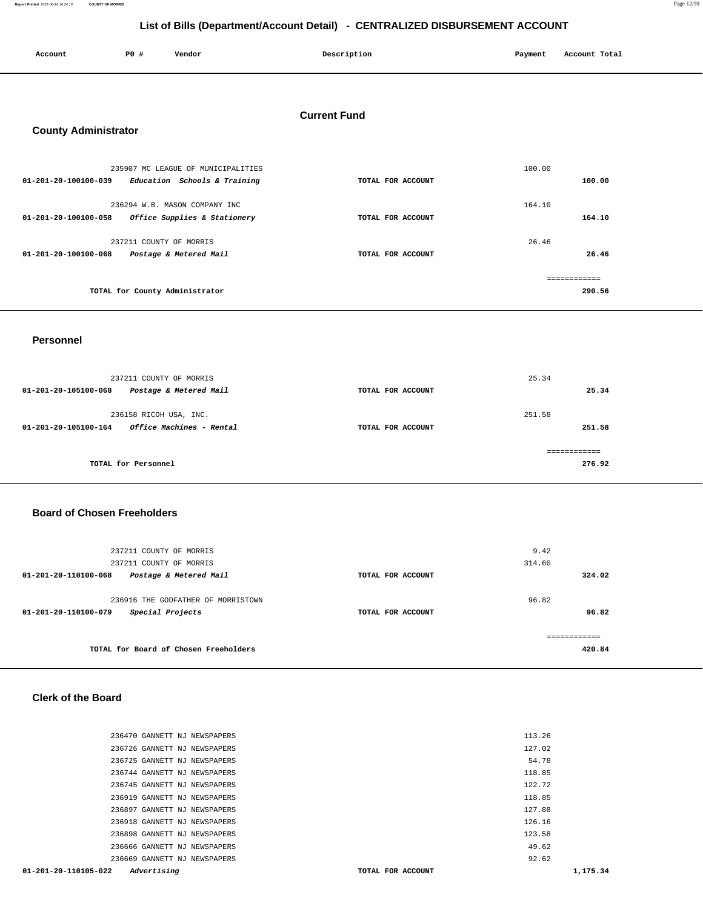**Report Printed** 2021-06-18 16:24:16 **COUNTY OF MORRIS** Page 12/59

# **List of Bills (Department/Account Detail) - CENTRALIZED DISBURSEMENT ACCOUNT**

| List of Dilis (Department/Account Detail) - CLIVITALIZED DISDONSEMENT ACCOUNT |                         |                                    |                     |         |                        |
|-------------------------------------------------------------------------------|-------------------------|------------------------------------|---------------------|---------|------------------------|
| Account                                                                       | P0 #                    | Vendor                             | Description         | Payment | Account Total          |
| <b>County Administrator</b>                                                   |                         |                                    | <b>Current Fund</b> |         |                        |
| 01-201-20-100100-039 Education Schools & Training                             |                         | 235907 MC LEAGUE OF MUNICIPALITIES | TOTAL FOR ACCOUNT   | 100.00  | 100.00                 |
| 01-201-20-100100-058 Office Supplies & Stationery                             |                         | 236294 W.B. MASON COMPANY INC      | TOTAL FOR ACCOUNT   | 164.10  | 164.10                 |
| 01-201-20-100100-068                                                          | 237211 COUNTY OF MORRIS | Postage & Metered Mail             | TOTAL FOR ACCOUNT   | 26.46   | 26.46                  |
|                                                                               |                         | TOTAL for County Administrator     |                     |         | ============<br>290.56 |

#### **Personnel**

| 237211 COUNTY OF MORRIS<br>Postage & Metered Mail<br>01-201-20-105100-068  | TOTAL FOR ACCOUNT | 25.34<br>25.34   |
|----------------------------------------------------------------------------|-------------------|------------------|
| 236158 RICOH USA, INC.<br>Office Machines - Rental<br>01-201-20-105100-164 | TOTAL FOR ACCOUNT | 251.58<br>251.58 |
| TOTAL for Personnel                                                        |                   | 276.92           |

#### **Board of Chosen Freeholders**

| 237211 COUNTY OF MORRIS<br>237211 COUNTY OF MORRIS                             |                   | 9.42<br>314.60         |
|--------------------------------------------------------------------------------|-------------------|------------------------|
| 01-201-20-110100-068<br>Postage & Metered Mail                                 | TOTAL FOR ACCOUNT | 324.02                 |
| 236916 THE GODFATHER OF MORRISTOWN<br>Special Projects<br>01-201-20-110100-079 | TOTAL FOR ACCOUNT | 96.82<br>96.82         |
| TOTAL for Board of Chosen Freeholders                                          |                   | ------------<br>420.84 |

#### **Clerk of the Board**

| 113.26<br>236470 GANNETT NJ NEWSPAPERS                                         |  |
|--------------------------------------------------------------------------------|--|
| 236726 GANNETT NJ NEWSPAPERS<br>127.02                                         |  |
| 236725 GANNETT NJ NEWSPAPERS<br>54.78                                          |  |
| 118.85<br>236744 GANNETT NJ NEWSPAPERS                                         |  |
| 236745 GANNETT NJ NEWSPAPERS<br>122.72                                         |  |
| 118.85<br>236919 GANNETT NJ NEWSPAPERS                                         |  |
| 127.88<br>236897 GANNETT NJ NEWSPAPERS                                         |  |
| 236918 GANNETT NJ NEWSPAPERS<br>126.16                                         |  |
| 236898 GANNETT NJ NEWSPAPERS<br>123.58                                         |  |
| 236666 GANNETT NJ NEWSPAPERS<br>49.62                                          |  |
| 92.62<br>236669 GANNETT NJ NEWSPAPERS                                          |  |
| $01 - 201 - 20 - 110105 - 022$<br>Advertising<br>1,175.34<br>TOTAL FOR ACCOUNT |  |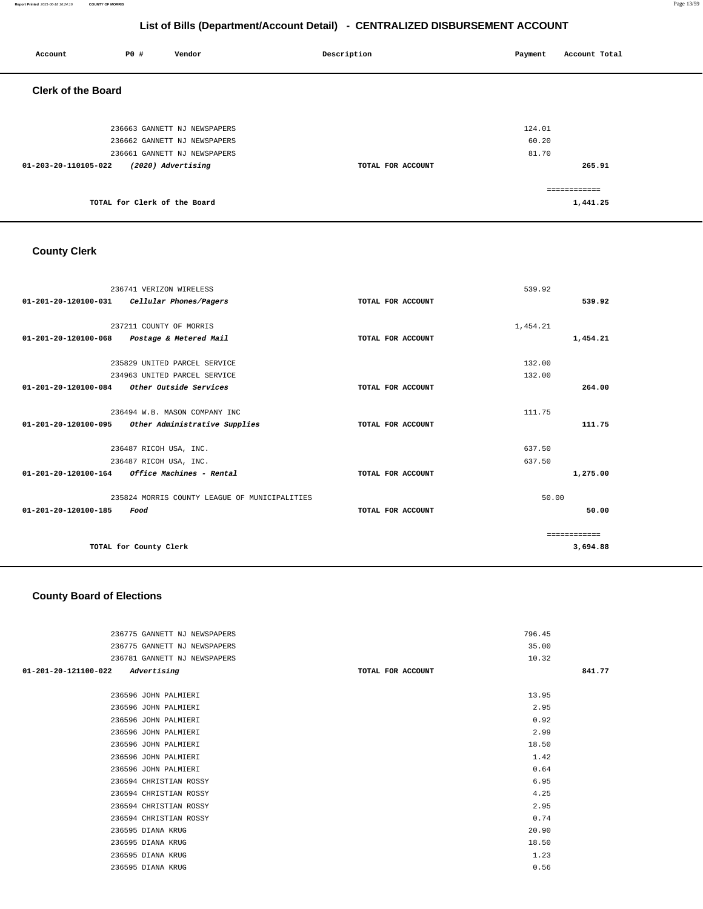**Report Printed** 2021-06-18 16:24:16 **COUNTY OF MORRIS** Page 13/59

# **List of Bills (Department/Account Detail) - CENTRALIZED DISBURSEMENT ACCOUNT**

| Account                   | <b>PO #</b>                  | Vendor                       | Description       | Payment | Account Total |
|---------------------------|------------------------------|------------------------------|-------------------|---------|---------------|
| <b>Clerk of the Board</b> |                              |                              |                   |         |               |
|                           |                              | 236663 GANNETT NJ NEWSPAPERS |                   | 124.01  |               |
|                           |                              | 236662 GANNETT NJ NEWSPAPERS |                   | 60.20   |               |
|                           |                              | 236661 GANNETT NJ NEWSPAPERS |                   | 81.70   |               |
| 01-203-20-110105-022      |                              | (2020) Advertising           | TOTAL FOR ACCOUNT |         | 265.91        |
|                           |                              |                              |                   |         | ============  |
|                           | TOTAL for Clerk of the Board |                              |                   |         | 1,441.25      |

# **County Clerk**

| 236741 VERIZON WIRELESS                                    |                   | 539.92       |  |
|------------------------------------------------------------|-------------------|--------------|--|
| 01-201-20-120100-031    Cellular Phones/Pagers             | TOTAL FOR ACCOUNT | 539.92       |  |
| 237211 COUNTY OF MORRIS                                    |                   | 1,454.21     |  |
| 01-201-20-120100-068<br>Postage & Metered Mail             | TOTAL FOR ACCOUNT | 1,454.21     |  |
|                                                            |                   |              |  |
| 235829 UNITED PARCEL SERVICE                               |                   | 132.00       |  |
| 234963 UNITED PARCEL SERVICE                               |                   | 132.00       |  |
| Other Outside Services<br>01-201-20-120100-084             | TOTAL FOR ACCOUNT | 264.00       |  |
|                                                            |                   |              |  |
| 236494 W.B. MASON COMPANY INC                              |                   | 111.75       |  |
| Other Administrative Supplies<br>01-201-20-120100-095      | TOTAL FOR ACCOUNT | 111.75       |  |
| 236487 RICOH USA, INC.                                     |                   | 637.50       |  |
| 236487 RICOH USA, INC.                                     |                   | 637.50       |  |
| $01 - 201 - 20 - 120100 - 164$<br>Office Machines - Rental | TOTAL FOR ACCOUNT | 1,275.00     |  |
| 235824 MORRIS COUNTY LEAGUE OF MUNICIPALITIES              |                   | 50.00        |  |
| 01-201-20-120100-185<br>Food                               | TOTAL FOR ACCOUNT | 50.00        |  |
|                                                            |                   |              |  |
|                                                            |                   | ------------ |  |
| TOTAL for County Clerk                                     |                   | 3,694.88     |  |

### **County Board of Elections**

| 236775 GANNETT NJ NEWSPAPERS        |                   | 796.45 |        |
|-------------------------------------|-------------------|--------|--------|
| 236775 GANNETT NJ NEWSPAPERS        |                   | 35.00  |        |
| 236781 GANNETT NJ NEWSPAPERS        |                   | 10.32  |        |
| 01-201-20-121100-022<br>Advertising | TOTAL FOR ACCOUNT |        | 841.77 |
|                                     |                   |        |        |
| 236596 JOHN PALMIERI                |                   | 13.95  |        |
| 236596 JOHN PALMIERI                |                   | 2.95   |        |
| 236596 JOHN PALMIERI                |                   | 0.92   |        |
| 236596 JOHN PALMIERI                |                   | 2.99   |        |
| 236596 JOHN PALMIERI                |                   | 18.50  |        |
| 236596 JOHN PALMIERI                |                   | 1.42   |        |
| 236596 JOHN PALMIERI                |                   | 0.64   |        |
| 236594 CHRISTIAN ROSSY              |                   | 6.95   |        |
| 236594 CHRISTIAN ROSSY              |                   | 4.25   |        |
| 236594 CHRISTIAN ROSSY              |                   | 2.95   |        |
| 236594 CHRISTIAN ROSSY              |                   | 0.74   |        |
| 236595 DIANA KRUG                   |                   | 20.90  |        |
| 236595 DIANA KRUG                   |                   | 18.50  |        |
| 236595 DIANA KRUG                   |                   | 1.23   |        |
| 236595 DIANA KRUG                   |                   | 0.56   |        |
|                                     |                   |        |        |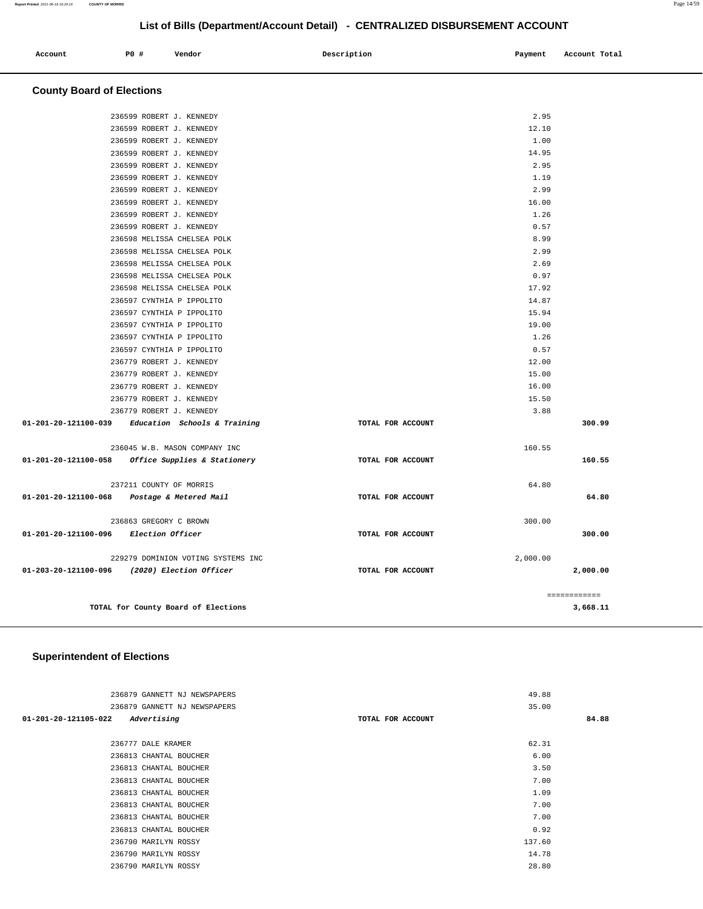| Account | PO# | Vendor | Description | Payment | Account Total |
|---------|-----|--------|-------------|---------|---------------|
|         |     |        |             |         |               |

# **County Board of Elections**

|                                       | TOTAL for County Board of Elections                                                |                   |              | ============<br>3,668.11 |
|---------------------------------------|------------------------------------------------------------------------------------|-------------------|--------------|--------------------------|
|                                       |                                                                                    |                   |              |                          |
|                                       | 229279 DOMINION VOTING SYSTEMS INC<br>01-203-20-121100-096 (2020) Election Officer | TOTAL FOR ACCOUNT | 2,000.00     | 2,000.00                 |
| 01-201-20-121100-096 Election Officer |                                                                                    | TOTAL FOR ACCOUNT |              | 300.00                   |
|                                       | 236863 GREGORY C BROWN                                                             |                   | 300.00       |                          |
|                                       | 01-201-20-121100-068 Postage & Metered Mail                                        | TOTAL FOR ACCOUNT |              | 64.80                    |
|                                       | 237211 COUNTY OF MORRIS                                                            |                   | 64.80        |                          |
|                                       | 236045 W.B. MASON COMPANY INC<br>01-201-20-121100-058 Office Supplies & Stationery | TOTAL FOR ACCOUNT | 160.55       | 160.55                   |
|                                       | 01-201-20-121100-039 Education Schools & Training                                  | TOTAL FOR ACCOUNT |              | 300.99                   |
|                                       | 236779 ROBERT J. KENNEDY                                                           |                   | 3.88         |                          |
|                                       | 236779 ROBERT J. KENNEDY                                                           |                   | 15.50        |                          |
|                                       | 236779 ROBERT J. KENNEDY                                                           |                   | 16.00        |                          |
|                                       | 236779 ROBERT J. KENNEDY                                                           |                   | 15.00        |                          |
|                                       | 236779 ROBERT J. KENNEDY                                                           |                   | 12.00        |                          |
|                                       | 236597 CYNTHIA P IPPOLITO                                                          |                   | 0.57         |                          |
|                                       | 236597 CYNTHIA P IPPOLITO                                                          |                   | 1.26         |                          |
|                                       | 236597 CYNTHIA P IPPOLITO                                                          |                   | 19.00        |                          |
|                                       | 236597 CYNTHIA P IPPOLITO                                                          |                   | 15.94        |                          |
|                                       | 236597 CYNTHIA P IPPOLITO                                                          |                   | 14.87        |                          |
|                                       | 236598 MELISSA CHELSEA POLK                                                        |                   | 17.92        |                          |
|                                       | 236598 MELISSA CHELSEA POLK                                                        |                   | 0.97         |                          |
|                                       | 236598 MELISSA CHELSEA POLK                                                        |                   | 2.69         |                          |
|                                       | 236598 MELISSA CHELSEA POLK<br>236598 MELISSA CHELSEA POLK                         |                   | 8.99<br>2.99 |                          |
|                                       | 236599 ROBERT J. KENNEDY                                                           |                   | 0.57         |                          |
|                                       | 236599 ROBERT J. KENNEDY                                                           |                   | 1.26         |                          |
|                                       | 236599 ROBERT J. KENNEDY                                                           |                   | 16.00        |                          |
|                                       | 236599 ROBERT J. KENNEDY                                                           |                   | 2.99         |                          |
|                                       | 236599 ROBERT J. KENNEDY                                                           |                   | 1.19         |                          |
|                                       | 236599 ROBERT J. KENNEDY                                                           |                   | 2.95         |                          |
|                                       | 236599 ROBERT J. KENNEDY                                                           |                   | 14.95        |                          |
|                                       | 236599 ROBERT J. KENNEDY                                                           |                   | 1.00         |                          |
|                                       | 236599 ROBERT J. KENNEDY                                                           |                   | 12.10        |                          |
|                                       | 236599 ROBERT J. KENNEDY                                                           |                   | 2.95         |                          |

# **Superintendent of Elections**

| 236879 GANNETT NJ NEWSPAPERS        |                   | 49.88  |       |
|-------------------------------------|-------------------|--------|-------|
| 236879 GANNETT NJ NEWSPAPERS        |                   | 35.00  |       |
| Advertising<br>01-201-20-121105-022 | TOTAL FOR ACCOUNT |        | 84.88 |
|                                     |                   |        |       |
| 236777 DALE KRAMER                  |                   | 62.31  |       |
| 236813 CHANTAL BOUCHER              |                   | 6.00   |       |
| 236813 CHANTAL BOUCHER              |                   | 3.50   |       |
| 236813 CHANTAL BOUCHER              |                   | 7.00   |       |
| 236813 CHANTAL BOUCHER              |                   | 1.09   |       |
| 236813 CHANTAL BOUCHER              |                   | 7.00   |       |
| 236813 CHANTAL BOUCHER              |                   | 7.00   |       |
| 236813 CHANTAL BOUCHER              |                   | 0.92   |       |
| 236790 MARILYN ROSSY                |                   | 137.60 |       |
| 236790 MARILYN ROSSY                |                   | 14.78  |       |
| 236790 MARILYN ROSSY                |                   | 28.80  |       |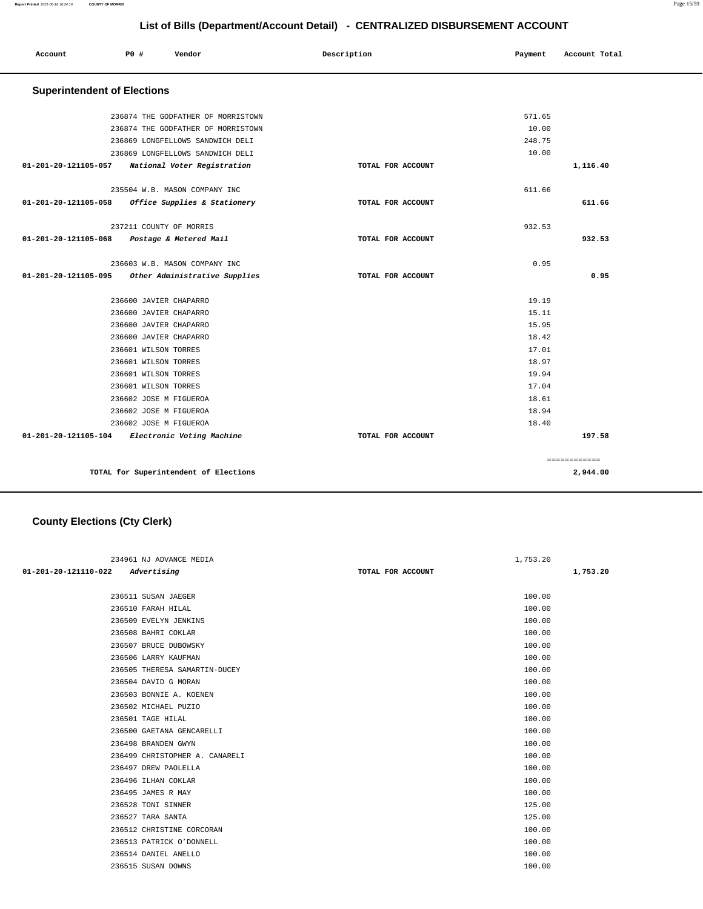| a. |  |
|----|--|
|    |  |

| Account                            | P0 #                    | Vendor                                | Description       | Payment | Account Total |
|------------------------------------|-------------------------|---------------------------------------|-------------------|---------|---------------|
| <b>Superintendent of Elections</b> |                         |                                       |                   |         |               |
|                                    |                         | 236874 THE GODFATHER OF MORRISTOWN    |                   | 571.65  |               |
|                                    |                         | 236874 THE GODFATHER OF MORRISTOWN    |                   | 10.00   |               |
|                                    |                         | 236869 LONGFELLOWS SANDWICH DELI      |                   | 248.75  |               |
|                                    |                         | 236869 LONGFELLOWS SANDWICH DELI      |                   | 10.00   |               |
| 01-201-20-121105-057               |                         | National Voter Registration           | TOTAL FOR ACCOUNT |         | 1,116.40      |
|                                    |                         | 235504 W.B. MASON COMPANY INC         |                   | 611.66  |               |
| 01-201-20-121105-058               |                         | Office Supplies & Stationery          | TOTAL FOR ACCOUNT |         | 611.66        |
|                                    | 237211 COUNTY OF MORRIS |                                       |                   | 932.53  |               |
| 01-201-20-121105-068               |                         | Postage & Metered Mail                | TOTAL FOR ACCOUNT |         | 932.53        |
|                                    |                         | 236603 W.B. MASON COMPANY INC         |                   | 0.95    |               |
| 01-201-20-121105-095               |                         | Other Administrative Supplies         | TOTAL FOR ACCOUNT |         | 0.95          |
|                                    | 236600 JAVIER CHAPARRO  |                                       |                   | 19.19   |               |
|                                    | 236600 JAVIER CHAPARRO  |                                       |                   | 15.11   |               |
|                                    | 236600 JAVIER CHAPARRO  |                                       |                   | 15.95   |               |
|                                    | 236600 JAVIER CHAPARRO  |                                       |                   | 18.42   |               |
|                                    | 236601 WILSON TORRES    |                                       |                   | 17.01   |               |
|                                    | 236601 WILSON TORRES    |                                       |                   | 18.97   |               |
|                                    | 236601 WILSON TORRES    |                                       |                   | 19.94   |               |
|                                    | 236601 WILSON TORRES    |                                       |                   | 17.04   |               |
|                                    | 236602 JOSE M FIGUEROA  |                                       |                   | 18.61   |               |
|                                    | 236602 JOSE M FIGUEROA  |                                       |                   | 18.94   |               |
|                                    | 236602 JOSE M FIGUEROA  |                                       |                   | 18.40   |               |
| 01-201-20-121105-104               |                         | Electronic Voting Machine             | TOTAL FOR ACCOUNT |         | 197.58        |
|                                    |                         |                                       |                   |         | ============  |
|                                    |                         | TOTAL for Superintendent of Elections |                   |         | 2,944.00      |

# **County Elections (Cty Clerk)**

|                      | 234961 NJ ADVANCE MEDIA        |                   | 1,753.20 |
|----------------------|--------------------------------|-------------------|----------|
| 01-201-20-121110-022 | Advertising                    | TOTAL FOR ACCOUNT | 1,753.20 |
|                      |                                |                   |          |
|                      | 236511 SUSAN JAEGER            |                   | 100.00   |
|                      | 236510 FARAH HILAL             |                   | 100.00   |
|                      | 236509 EVELYN JENKINS          |                   | 100.00   |
|                      | 236508 BAHRI COKLAR            |                   | 100.00   |
|                      | 236507 BRUCE DUBOWSKY          |                   | 100.00   |
|                      | 236506 LARRY KAUFMAN           |                   | 100.00   |
|                      | 236505 THERESA SAMARTIN-DUCEY  |                   | 100.00   |
|                      | 236504 DAVID G MORAN           |                   | 100.00   |
|                      | 236503 BONNIE A. KOENEN        |                   | 100.00   |
|                      | 236502 MICHAEL PUZIO           |                   | 100.00   |
|                      | 236501 TAGE HILAL              |                   | 100.00   |
|                      | 236500 GAETANA GENCARELLI      |                   | 100.00   |
|                      | 236498 BRANDEN GWYN            |                   | 100.00   |
|                      | 236499 CHRISTOPHER A. CANARELI |                   | 100.00   |
|                      | 236497 DREW PAOLELLA           |                   | 100.00   |
|                      | 236496 ILHAN COKLAR            |                   | 100.00   |
|                      | 236495 JAMES R MAY             |                   | 100.00   |
|                      | 236528 TONI SINNER             |                   | 125.00   |
|                      | 236527 TARA SANTA              |                   | 125.00   |
|                      | 236512 CHRISTINE CORCORAN      |                   | 100.00   |
|                      | 236513 PATRICK O'DONNELL       |                   | 100.00   |
|                      | 236514 DANIEL ANELLO           |                   | 100.00   |
|                      | 236515 SUSAN DOWNS             |                   | 100.00   |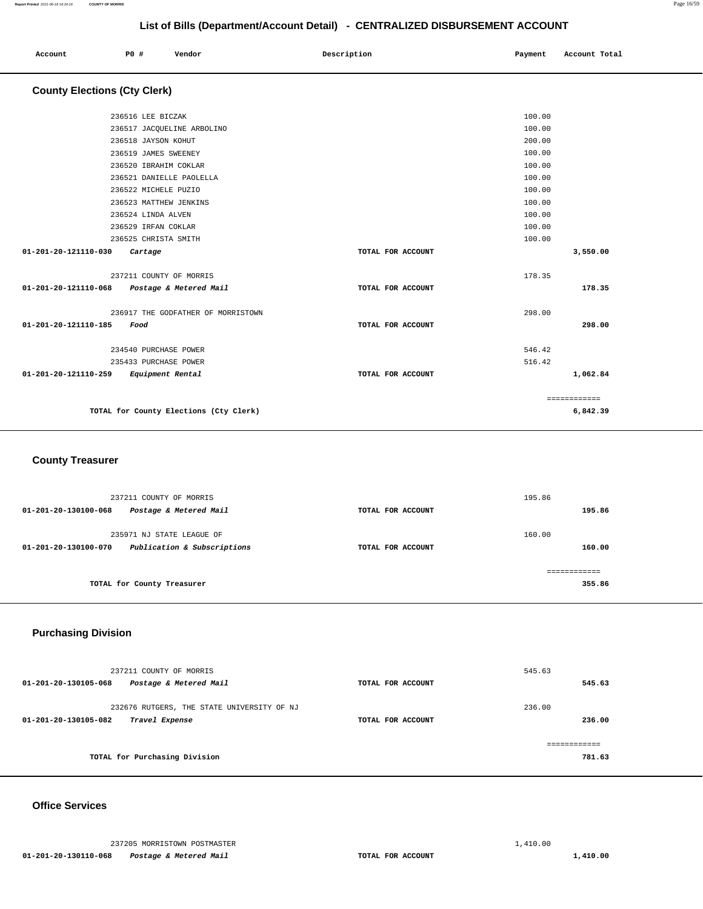|                                             | List of Dilis (DepartmentAccount Detail) - CENTRALIZED DISDORSEMENT ACCOUNT |                      |                                    |                   |         |               |
|---------------------------------------------|-----------------------------------------------------------------------------|----------------------|------------------------------------|-------------------|---------|---------------|
| Account                                     | <b>PO #</b>                                                                 |                      | Vendor                             | Description       | Payment | Account Total |
| <b>County Elections (Cty Clerk)</b>         |                                                                             |                      |                                    |                   |         |               |
|                                             |                                                                             | 236516 LEE BICZAK    |                                    |                   | 100.00  |               |
|                                             |                                                                             |                      | 236517 JACQUELINE ARBOLINO         |                   | 100.00  |               |
|                                             |                                                                             | 236518 JAYSON KOHUT  |                                    |                   | 200.00  |               |
|                                             |                                                                             | 236519 JAMES SWEENEY |                                    |                   | 100.00  |               |
|                                             |                                                                             |                      | 236520 IBRAHIM COKLAR              |                   | 100.00  |               |
|                                             |                                                                             |                      | 236521 DANIELLE PAOLELLA           |                   | 100.00  |               |
|                                             |                                                                             | 236522 MICHELE PUZIO |                                    |                   | 100.00  |               |
|                                             |                                                                             |                      | 236523 MATTHEW JENKINS             |                   | 100.00  |               |
|                                             |                                                                             | 236524 LINDA ALVEN   |                                    |                   | 100.00  |               |
|                                             |                                                                             | 236529 IRFAN COKLAR  |                                    |                   | 100.00  |               |
|                                             |                                                                             | 236525 CHRISTA SMITH |                                    |                   | 100.00  |               |
| 01-201-20-121110-030                        |                                                                             | Cartage              |                                    | TOTAL FOR ACCOUNT |         | 3,550.00      |
|                                             |                                                                             |                      | 237211 COUNTY OF MORRIS            |                   | 178.35  |               |
| 01-201-20-121110-068 Postage & Metered Mail |                                                                             |                      |                                    | TOTAL FOR ACCOUNT |         | 178.35        |
|                                             |                                                                             |                      | 236917 THE GODFATHER OF MORRISTOWN |                   | 298.00  |               |
| 01-201-20-121110-185                        | Food                                                                        |                      |                                    | TOTAL FOR ACCOUNT |         | 298.00        |
|                                             |                                                                             |                      | 234540 PURCHASE POWER              |                   | 546.42  |               |
|                                             |                                                                             |                      | 235433 PURCHASE POWER              |                   | 516.42  |               |
| 01-201-20-121110-259                        |                                                                             | Equipment Rental     |                                    | TOTAL FOR ACCOUNT |         | 1,062.84      |
|                                             |                                                                             |                      |                                    |                   |         | ============  |

**TOTAL for County Elections (Cty Clerk)** 

 **County Treasurer** 

| 237211 COUNTY OF MORRIS<br>Postage & Metered Mail<br>01-201-20-130100-068        | TOTAL FOR ACCOUNT | 195.86<br>195.86 |
|----------------------------------------------------------------------------------|-------------------|------------------|
| 235971 NJ STATE LEAGUE OF<br>Publication & Subscriptions<br>01-201-20-130100-070 | TOTAL FOR ACCOUNT | 160.00<br>160.00 |
| TOTAL for County Treasurer                                                       |                   | 355.86           |

# **Purchasing Division**

| 237211 COUNTY OF MORRIS<br>Postage & Metered Mail<br>01-201-20-130105-068            | TOTAL FOR ACCOUNT | 545.63<br>545.63 |
|--------------------------------------------------------------------------------------|-------------------|------------------|
| 232676 RUTGERS, THE STATE UNIVERSITY OF NJ<br>01-201-20-130105-082<br>Travel Expense | TOTAL FOR ACCOUNT | 236.00<br>236.00 |
| TOTAL for Purchasing Division                                                        |                   | 781.63           |

### **Office Services**

**6,842.39**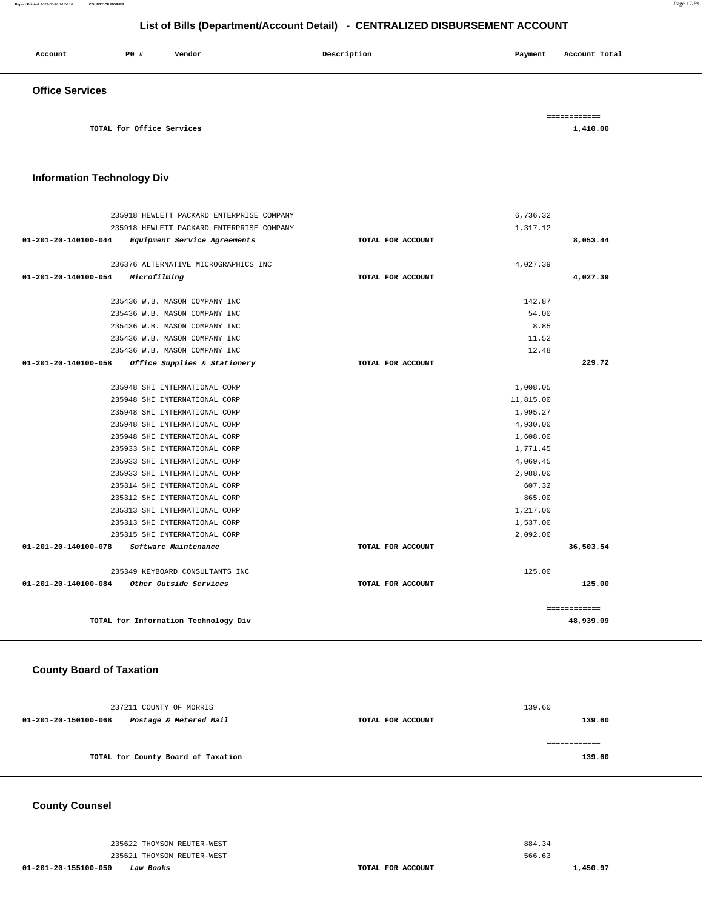#### **Report Printed** 2021-06-18 16:24:16 **COUNTY OF MORRIS** Page 17/59

# **List of Bills (Department/Account Detail) - CENTRALIZED DISBURSEMENT ACCOUNT**

| Account                | P0 #                      | Vendor | Description | Payment | Account Total |
|------------------------|---------------------------|--------|-------------|---------|---------------|
| <b>Office Services</b> |                           |        |             |         |               |
|                        |                           |        |             |         | ============  |
|                        | TOTAL for Office Services |        |             |         | 1,410.00      |

### **Information Technology Div**

| 235918 HEWLETT PACKARD ENTERPRISE COMPANY                      |                   | 6,736.32  |              |
|----------------------------------------------------------------|-------------------|-----------|--------------|
| 235918 HEWLETT PACKARD ENTERPRISE COMPANY                      |                   | 1,317.12  |              |
| $01 - 201 - 20 - 140100 - 044$<br>Equipment Service Agreements | TOTAL FOR ACCOUNT |           | 8,053.44     |
| 236376 ALTERNATIVE MICROGRAPHICS INC                           |                   | 4,027.39  |              |
| 01-201-20-140100-054<br>Microfilming                           | TOTAL FOR ACCOUNT |           | 4,027.39     |
|                                                                |                   |           |              |
| 235436 W.B. MASON COMPANY INC                                  |                   | 142.87    |              |
| 235436 W.B. MASON COMPANY INC                                  |                   | 54.00     |              |
| 235436 W.B. MASON COMPANY INC                                  |                   | 8.85      |              |
| 235436 W.B. MASON COMPANY INC                                  |                   | 11.52     |              |
| 235436 W.B. MASON COMPANY INC                                  |                   | 12.48     |              |
| $01 - 201 - 20 - 140100 - 058$<br>Office Supplies & Stationery | TOTAL FOR ACCOUNT |           | 229.72       |
|                                                                |                   |           |              |
| 235948 SHI INTERNATIONAL CORP                                  |                   | 1,008.05  |              |
| 235948 SHI INTERNATIONAL CORP                                  |                   | 11,815.00 |              |
| 235948 SHI INTERNATIONAL CORP                                  |                   | 1,995.27  |              |
| 235948 SHI INTERNATIONAL CORP                                  |                   | 4,930,00  |              |
| 235948 SHI INTERNATIONAL CORP                                  |                   | 1,608.00  |              |
| 235933 SHI INTERNATIONAL CORP                                  |                   | 1,771.45  |              |
| 235933 SHI INTERNATIONAL CORP                                  |                   | 4,069.45  |              |
| 235933 SHI INTERNATIONAL CORP                                  |                   | 2,988.00  |              |
| 235314 SHI INTERNATIONAL CORP                                  |                   | 607.32    |              |
| 235312 SHI INTERNATIONAL CORP                                  |                   | 865.00    |              |
| 235313 SHI INTERNATIONAL CORP                                  |                   | 1,217.00  |              |
| 235313 SHI INTERNATIONAL CORP                                  |                   | 1,537.00  |              |
| 235315 SHI INTERNATIONAL CORP                                  |                   | 2,092.00  |              |
| 01-201-20-140100-078<br>Software Maintenance                   | TOTAL FOR ACCOUNT |           | 36,503.54    |
| 235349 KEYBOARD CONSULTANTS INC                                |                   | 125.00    |              |
| $01 - 201 - 20 - 140100 - 084$<br>Other Outside Services       | TOTAL FOR ACCOUNT |           | 125.00       |
|                                                                |                   |           | ============ |
| TOTAL for Information Technology Div                           |                   |           | 48,939.09    |

#### **County Board of Taxation**

| 237211 COUNTY OF MORRIS                        |                   | 139.60 |
|------------------------------------------------|-------------------|--------|
| 01-201-20-150100-068<br>Postage & Metered Mail | TOTAL FOR ACCOUNT | 139.60 |
|                                                |                   |        |
|                                                |                   |        |
| TOTAL for County Board of Taxation             |                   | 139.60 |
|                                                |                   |        |

### **County Counsel**

235622 THOMSON REUTER-WEST 235621 THOMSON REUTER-WEST

**01-201-20-155100-050 Law Books TOTAL FOR ACCOUNT** 

884.34 566.63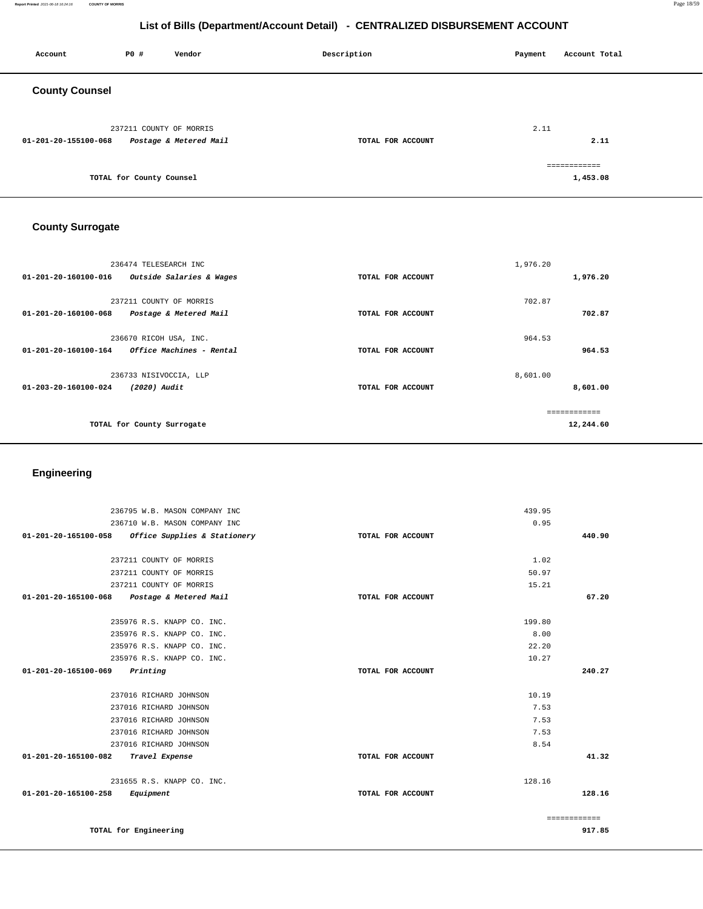#### **Report Printed** 2021-06-18 16:24:16 **COUNTY OF MORRIS** Page 18/59

# **List of Bills (Department/Account Detail) - CENTRALIZED DISBURSEMENT ACCOUNT**

| Account               | P0 #                     | Vendor                                            | Description       | Payment | Account Total            |
|-----------------------|--------------------------|---------------------------------------------------|-------------------|---------|--------------------------|
| <b>County Counsel</b> |                          |                                                   |                   |         |                          |
| 01-201-20-155100-068  |                          | 237211 COUNTY OF MORRIS<br>Postage & Metered Mail | TOTAL FOR ACCOUNT | 2.11    | 2.11                     |
|                       | TOTAL for County Counsel |                                                   |                   |         | ============<br>1,453.08 |

# **County Surrogate**

| 236474 TELESEARCH INC<br>Outside Salaries & Wages<br>01-201-20-160100-016 | TOTAL FOR ACCOUNT | 1,976.20<br>1,976.20      |
|---------------------------------------------------------------------------|-------------------|---------------------------|
| 237211 COUNTY OF MORRIS<br>Postage & Metered Mail<br>01-201-20-160100-068 | TOTAL FOR ACCOUNT | 702.87<br>702.87          |
| 236670 RICOH USA, INC.                                                    |                   | 964.53                    |
| Office Machines - Rental<br>01-201-20-160100-164                          | TOTAL FOR ACCOUNT | 964.53                    |
| 236733 NISIVOCCIA, LLP<br>01-203-20-160100-024<br>(2020) Audit            | TOTAL FOR ACCOUNT | 8,601.00<br>8,601.00      |
| TOTAL for County Surrogate                                                |                   | ============<br>12,244.60 |

# **Engineering**

| 236795 W.B. MASON COMPANY INC                        |                   | 439.95 |              |
|------------------------------------------------------|-------------------|--------|--------------|
| 236710 W.B. MASON COMPANY INC                        |                   | 0.95   |              |
| 01-201-20-165100-058<br>Office Supplies & Stationery | TOTAL FOR ACCOUNT |        | 440.90       |
|                                                      |                   |        |              |
| 237211 COUNTY OF MORRIS                              |                   | 1.02   |              |
| 237211 COUNTY OF MORRIS                              |                   | 50.97  |              |
| 237211 COUNTY OF MORRIS                              |                   | 15.21  |              |
| 01-201-20-165100-068 Postage & Metered Mail          | TOTAL FOR ACCOUNT |        | 67.20        |
| 235976 R.S. KNAPP CO. INC.                           |                   | 199.80 |              |
| 235976 R.S. KNAPP CO. INC.                           |                   | 8.00   |              |
| 235976 R.S. KNAPP CO. INC.                           |                   | 22.20  |              |
| 235976 R.S. KNAPP CO. INC.                           |                   | 10.27  |              |
| 01-201-20-165100-069<br>Printing                     | TOTAL FOR ACCOUNT |        | 240.27       |
| 237016 RICHARD JOHNSON                               |                   | 10.19  |              |
| 237016 RICHARD JOHNSON                               |                   | 7.53   |              |
| 237016 RICHARD JOHNSON                               |                   | 7.53   |              |
| 237016 RICHARD JOHNSON                               |                   | 7.53   |              |
| 237016 RICHARD JOHNSON                               |                   | 8.54   |              |
| 01-201-20-165100-082<br>Travel Expense               | TOTAL FOR ACCOUNT |        | 41.32        |
| 231655 R.S. KNAPP CO. INC.                           |                   | 128.16 |              |
| 01-201-20-165100-258<br>Equipment                    | TOTAL FOR ACCOUNT |        | 128.16       |
|                                                      |                   |        | ============ |
| TOTAL for Engineering                                |                   |        | 917.85       |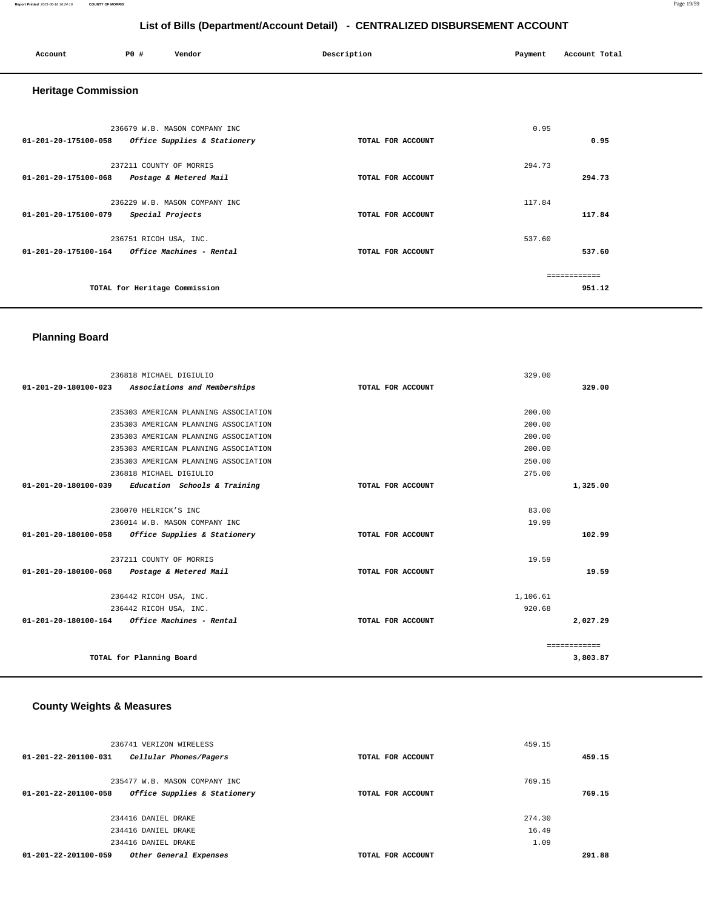#### **Report Printed** 2021-06-18 16:24:16 **COUNTY OF MORRIS** Page 19/59

# **List of Bills (Department/Account Detail) - CENTRALIZED DISBURSEMENT ACCOUNT**

| Account                    | P0 #<br>Vendor                                                          | Description       | Payment | Account Total          |
|----------------------------|-------------------------------------------------------------------------|-------------------|---------|------------------------|
| <b>Heritage Commission</b> |                                                                         |                   |         |                        |
| 01-201-20-175100-058       | 236679 W.B. MASON COMPANY INC<br>Office Supplies & Stationery           | TOTAL FOR ACCOUNT | 0.95    | 0.95                   |
| 01-201-20-175100-068       | 237211 COUNTY OF MORRIS<br>Postage & Metered Mail                       | TOTAL FOR ACCOUNT | 294.73  | 294.73                 |
| 01-201-20-175100-079       | 236229 W.B. MASON COMPANY INC<br>Special Projects                       | TOTAL FOR ACCOUNT | 117.84  | 117.84                 |
|                            | 236751 RICOH USA, INC.<br>01-201-20-175100-164 Office Machines - Rental | TOTAL FOR ACCOUNT | 537.60  | 537.60                 |
|                            | TOTAL for Heritage Commission                                           |                   |         | ============<br>951.12 |

### **Planning Board**

| 236818 MICHAEL DIGIULIO                              |                   | 329.00   |              |
|------------------------------------------------------|-------------------|----------|--------------|
| 01-201-20-180100-023<br>Associations and Memberships | TOTAL FOR ACCOUNT |          | 329.00       |
|                                                      |                   |          |              |
| 235303 AMERICAN PLANNING ASSOCIATION                 |                   | 200.00   |              |
| 235303 AMERICAN PLANNING ASSOCIATION                 |                   | 200.00   |              |
| 235303 AMERICAN PLANNING ASSOCIATION                 |                   | 200.00   |              |
| 235303 AMERICAN PLANNING ASSOCIATION                 |                   | 200.00   |              |
| 235303 AMERICAN PLANNING ASSOCIATION                 |                   | 250.00   |              |
| 236818 MICHAEL DIGIULIO                              |                   | 275.00   |              |
| 01-201-20-180100-039<br>Education Schools & Training | TOTAL FOR ACCOUNT |          | 1,325.00     |
|                                                      |                   |          |              |
| 236070 HELRICK'S INC                                 |                   | 83.00    |              |
| 236014 W.B. MASON COMPANY INC                        |                   | 19.99    |              |
| Office Supplies & Stationery<br>01-201-20-180100-058 | TOTAL FOR ACCOUNT |          | 102.99       |
|                                                      |                   |          |              |
| 237211 COUNTY OF MORRIS                              |                   | 19.59    |              |
| 01-201-20-180100-068<br>Postage & Metered Mail       | TOTAL FOR ACCOUNT |          | 19.59        |
|                                                      |                   |          |              |
| 236442 RICOH USA, INC.                               |                   | 1,106.61 |              |
| 236442 RICOH USA, INC.                               |                   | 920.68   |              |
| 01-201-20-180100-164<br>Office Machines - Rental     | TOTAL FOR ACCOUNT |          | 2,027.29     |
|                                                      |                   |          |              |
|                                                      |                   |          | ============ |
| TOTAL for Planning Board                             |                   |          | 3,803.87     |
|                                                      |                   |          |              |

#### **County Weights & Measures**

| 236741 VERIZON WIRELESS                                        |                   | 459.15 |        |
|----------------------------------------------------------------|-------------------|--------|--------|
| $01 - 201 - 22 - 201100 - 031$<br>Cellular Phones/Pagers       | TOTAL FOR ACCOUNT |        | 459.15 |
| 235477 W.B. MASON COMPANY INC                                  |                   | 769.15 |        |
| Office Supplies & Stationery<br>$01 - 201 - 22 - 201100 - 058$ | TOTAL FOR ACCOUNT |        | 769.15 |
| 234416 DANIEL DRAKE                                            |                   | 274.30 |        |
| 234416 DANIEL DRAKE                                            |                   | 16.49  |        |
| 234416 DANIEL DRAKE                                            |                   | 1.09   |        |
| $01 - 201 - 22 - 201100 - 059$<br>Other General Expenses       | TOTAL FOR ACCOUNT |        | 291.88 |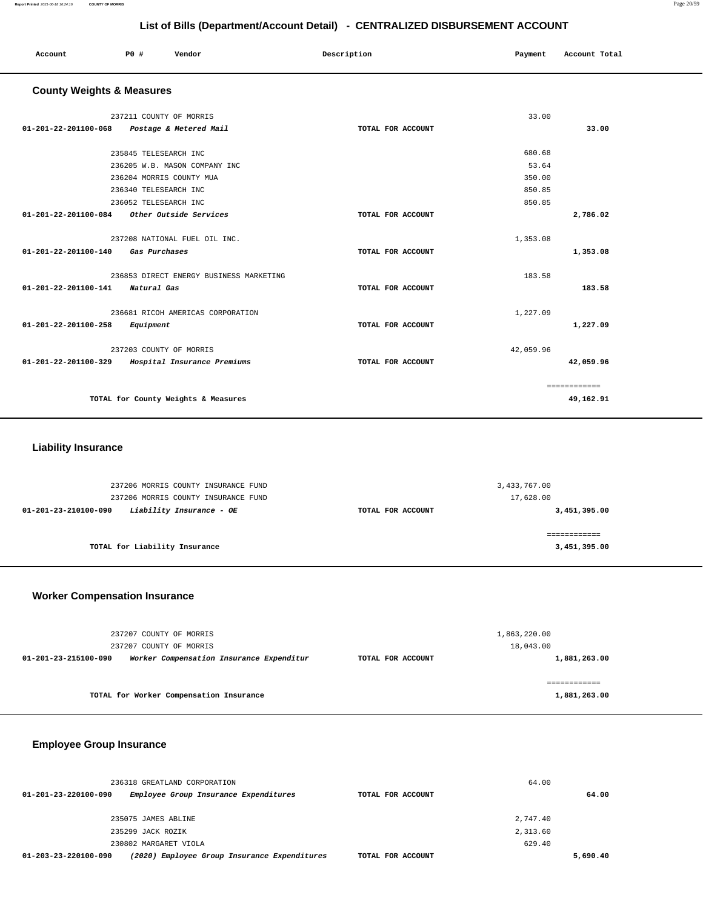| Account                                     | P0 #                     | Vendor                                  | Description       | Payment   | Account Total |
|---------------------------------------------|--------------------------|-----------------------------------------|-------------------|-----------|---------------|
| <b>County Weights &amp; Measures</b>        |                          |                                         |                   |           |               |
|                                             |                          |                                         |                   |           |               |
|                                             | 237211 COUNTY OF MORRIS  |                                         |                   | 33.00     |               |
| $01 - 201 - 22 - 201100 - 068$              |                          | Postage & Metered Mail                  | TOTAL FOR ACCOUNT |           | 33.00         |
|                                             |                          |                                         |                   |           |               |
|                                             | 235845 TELESEARCH INC    |                                         |                   | 680.68    |               |
|                                             |                          | 236205 W.B. MASON COMPANY INC           |                   | 53.64     |               |
|                                             | 236204 MORRIS COUNTY MUA |                                         |                   | 350.00    |               |
|                                             | 236340 TELESEARCH INC    |                                         |                   | 850.85    |               |
|                                             | 236052 TELESEARCH INC    |                                         |                   | 850.85    |               |
| 01-201-22-201100-084 Other Outside Services |                          |                                         | TOTAL FOR ACCOUNT |           | 2,786.02      |
|                                             |                          |                                         |                   |           |               |
|                                             |                          | 237208 NATIONAL FUEL OIL INC.           |                   | 1,353.08  |               |
| 01-201-22-201100-140                        | Gas Purchases            |                                         | TOTAL FOR ACCOUNT |           | 1,353.08      |
|                                             |                          | 236853 DIRECT ENERGY BUSINESS MARKETING |                   | 183.58    |               |
| 01-201-22-201100-141                        | Natural Gas              |                                         | TOTAL FOR ACCOUNT |           | 183.58        |
|                                             |                          |                                         |                   |           |               |
|                                             |                          | 236681 RICOH AMERICAS CORPORATION       |                   | 1,227.09  |               |
| 01-201-22-201100-258                        | Equipment                |                                         | TOTAL FOR ACCOUNT |           | 1,227.09      |
|                                             |                          |                                         |                   |           |               |
|                                             | 237203 COUNTY OF MORRIS  |                                         |                   | 42,059.96 |               |
| 01-201-22-201100-329                        |                          | Hospital Insurance Premiums             | TOTAL FOR ACCOUNT |           | 42,059.96     |
|                                             |                          |                                         |                   |           |               |
|                                             |                          |                                         |                   |           | ============  |
|                                             |                          | TOTAL for County Weights & Measures     |                   |           | 49,162.91     |
|                                             |                          |                                         |                   |           |               |

### **Liability Insurance**

| 237206 MORRIS COUNTY INSURANCE FUND<br>237206 MORRIS COUNTY INSURANCE FUND | 3,433,767.00      | 17,628.00    |
|----------------------------------------------------------------------------|-------------------|--------------|
| Liability Insurance - OE<br>01-201-23-210100-090                           | TOTAL FOR ACCOUNT | 3,451,395.00 |
| TOTAL for Liability Insurance                                              |                   | 3,451,395.00 |

### **Worker Compensation Insurance**

| 237207 COUNTY OF MORRIS                                          |                   | 1,863,220.00 |
|------------------------------------------------------------------|-------------------|--------------|
| 237207 COUNTY OF MORRIS                                          |                   | 18,043.00    |
| Worker Compensation Insurance Expenditur<br>01-201-23-215100-090 | TOTAL FOR ACCOUNT | 1,881,263.00 |
|                                                                  |                   |              |
|                                                                  |                   |              |
| TOTAL for Worker Compensation Insurance                          |                   | 1,881,263.00 |

# **Employee Group Insurance**

| 236318 GREATLAND CORPORATION                                         |                   | 64.00    |
|----------------------------------------------------------------------|-------------------|----------|
| Employee Group Insurance Expenditures<br>01-201-23-220100-090        | TOTAL FOR ACCOUNT | 64.00    |
| 235075 JAMES ABLINE                                                  |                   | 2,747.40 |
| 235299 JACK ROZIK                                                    |                   | 2,313.60 |
| 230802 MARGARET VIOLA                                                |                   | 629.40   |
| (2020) Employee Group Insurance Expenditures<br>01-203-23-220100-090 | TOTAL FOR ACCOUNT | 5,690.40 |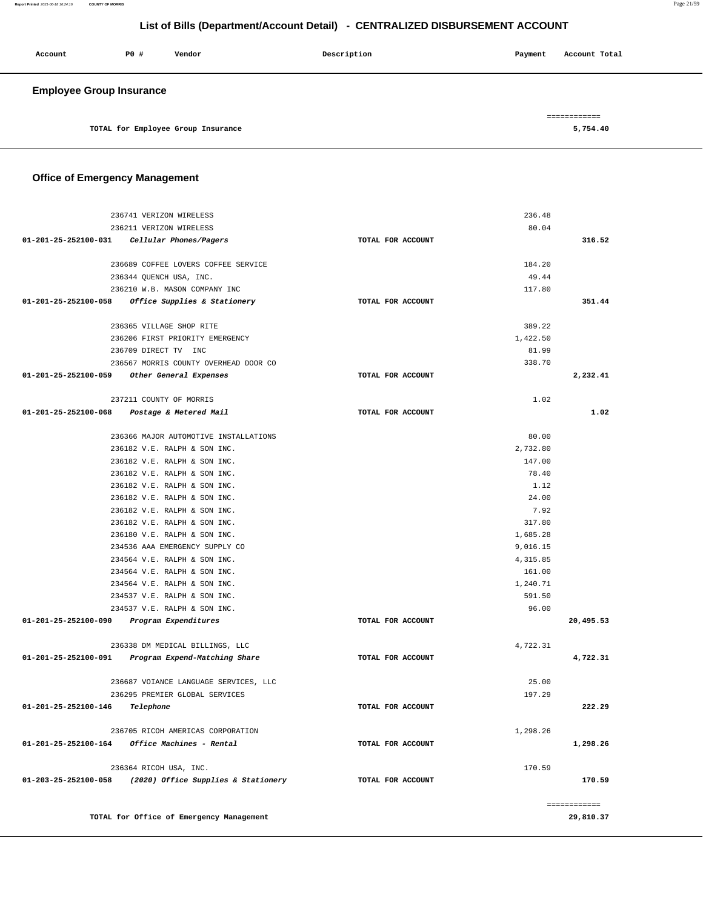**Report Printed** 2021-06-18 16:24:16 **COUNTY OF MORRIS** Page 21/59

# **List of Bills (Department/Account Detail) - CENTRALIZED DISBURSEMENT ACCOUNT**

| Account                         | P0# | Vendor                             | Description | Payment | Account Total |
|---------------------------------|-----|------------------------------------|-------------|---------|---------------|
| <b>Employee Group Insurance</b> |     |                                    |             |         |               |
|                                 |     |                                    |             |         | ============  |
|                                 |     | TOTAL for Employee Group Insurance |             |         | 5,754.40      |

# **Office of Emergency Management**

|                                                | 236741 VERIZON WIRELESS                                 |                   | 236.48   |              |
|------------------------------------------------|---------------------------------------------------------|-------------------|----------|--------------|
|                                                | 236211 VERIZON WIRELESS                                 |                   | 80.04    |              |
| 01-201-25-252100-031    Cellular Phones/Pagers |                                                         | TOTAL FOR ACCOUNT |          | 316.52       |
|                                                | 236689 COFFEE LOVERS COFFEE SERVICE                     |                   | 184.20   |              |
|                                                | 236344 QUENCH USA, INC.                                 |                   | 49.44    |              |
|                                                | 236210 W.B. MASON COMPANY INC                           |                   | 117.80   |              |
|                                                | 01-201-25-252100-058 Office Supplies & Stationery       | TOTAL FOR ACCOUNT |          | 351.44       |
|                                                | 236365 VILLAGE SHOP RITE                                |                   | 389.22   |              |
|                                                | 236206 FIRST PRIORITY EMERGENCY                         |                   | 1,422.50 |              |
|                                                | 236709 DIRECT TV INC                                    |                   | 81.99    |              |
|                                                | 236567 MORRIS COUNTY OVERHEAD DOOR CO                   |                   | 338.70   |              |
| 01-201-25-252100-059 Other General Expenses    |                                                         | TOTAL FOR ACCOUNT |          | 2,232.41     |
|                                                |                                                         |                   |          |              |
|                                                | 237211 COUNTY OF MORRIS                                 |                   | 1.02     |              |
| 01-201-25-252100-068 Postage & Metered Mail    |                                                         | TOTAL FOR ACCOUNT |          | 1.02         |
|                                                | 236366 MAJOR AUTOMOTIVE INSTALLATIONS                   |                   | 80.00    |              |
|                                                | 236182 V.E. RALPH & SON INC.                            |                   | 2,732.80 |              |
|                                                | 236182 V.E. RALPH & SON INC.                            |                   | 147.00   |              |
|                                                | 236182 V.E. RALPH & SON INC.                            |                   | 78.40    |              |
|                                                | 236182 V.E. RALPH & SON INC.                            |                   | 1.12     |              |
|                                                | 236182 V.E. RALPH & SON INC.                            |                   | 24.00    |              |
|                                                | 236182 V.E. RALPH & SON INC.                            |                   | 7.92     |              |
|                                                | 236182 V.E. RALPH & SON INC.                            |                   | 317.80   |              |
|                                                | 236180 V.E. RALPH & SON INC.                            |                   | 1,685.28 |              |
|                                                | 234536 AAA EMERGENCY SUPPLY CO                          |                   | 9,016.15 |              |
|                                                | 234564 V.E. RALPH & SON INC.                            |                   | 4,315.85 |              |
|                                                | 234564 V.E. RALPH & SON INC.                            |                   | 161.00   |              |
|                                                | 234564 V.E. RALPH & SON INC.                            |                   | 1,240.71 |              |
|                                                | 234537 V.E. RALPH & SON INC.                            |                   | 591.50   |              |
|                                                | 234537 V.E. RALPH & SON INC.                            |                   | 96.00    |              |
| 01-201-25-252100-090 Program Expenditures      |                                                         | TOTAL FOR ACCOUNT |          | 20,495.53    |
|                                                | 236338 DM MEDICAL BILLINGS, LLC                         |                   | 4,722.31 |              |
|                                                | 01-201-25-252100-091 Program Expend-Matching Share      | TOTAL FOR ACCOUNT |          | 4,722.31     |
|                                                | 236687 VOIANCE LANGUAGE SERVICES, LLC                   |                   | 25.00    |              |
|                                                | 236295 PREMIER GLOBAL SERVICES                          |                   | 197.29   |              |
| 01-201-25-252100-146                           | Telephone                                               | TOTAL FOR ACCOUNT |          | 222.29       |
|                                                | 236705 RICOH AMERICAS CORPORATION                       |                   | 1,298.26 |              |
|                                                | $01 - 201 - 25 - 252100 - 164$ Office Machines - Rental | TOTAL FOR ACCOUNT |          | 1,298.26     |
|                                                | 236364 RICOH USA, INC.                                  |                   | 170.59   |              |
| 01-203-25-252100-058                           | (2020) Office Supplies & Stationery                     | TOTAL FOR ACCOUNT |          | 170.59       |
|                                                |                                                         |                   |          |              |
|                                                |                                                         |                   |          | ============ |
|                                                | TOTAL for Office of Emergency Management                |                   |          | 29,810.37    |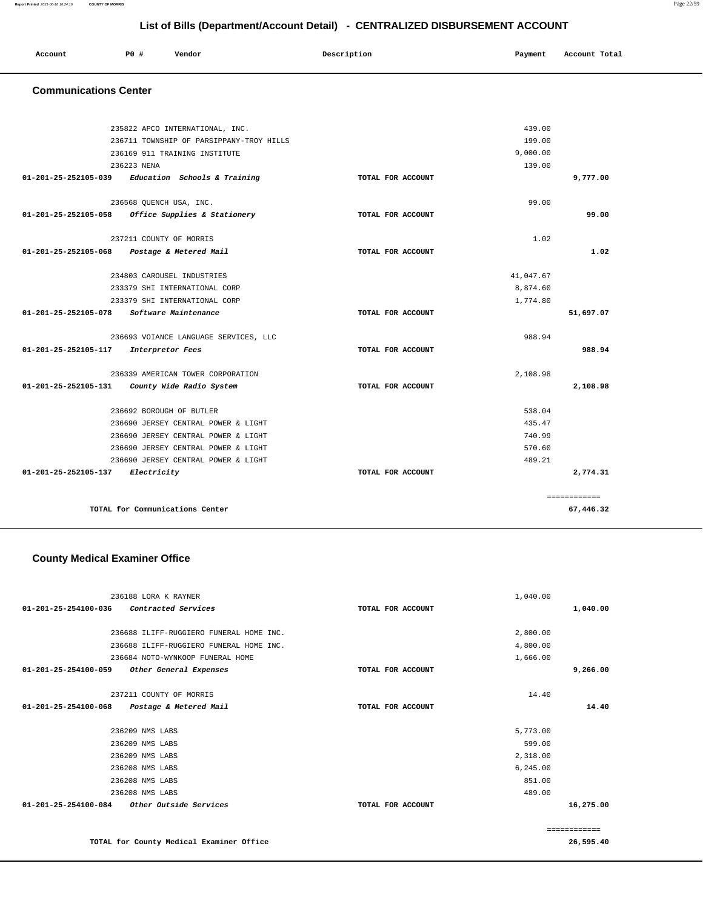#### **Report Printed** 2021-06-18 16:24:16 **COUNTY OF MORRIS** Page 22/59

**List of Bills (Department/Account Detail) - CENTRALIZED DISBURSEMENT ACCOUNT**

| Account | P0# | Vendor | Description | Payment | Account Total |
|---------|-----|--------|-------------|---------|---------------|
|         |     |        |             |         |               |

### **Communications Center**

|                                  | 235822 APCO INTERNATIONAL, INC.               |                   | 439.00    |              |
|----------------------------------|-----------------------------------------------|-------------------|-----------|--------------|
|                                  | 236711 TOWNSHIP OF PARSIPPANY-TROY HILLS      |                   | 199.00    |              |
|                                  | 236169 911 TRAINING INSTITUTE                 |                   | 9,000.00  |              |
|                                  | 236223 NENA                                   |                   | 139.00    |              |
| 01-201-25-252105-039             | Education Schools & Training                  | TOTAL FOR ACCOUNT |           | 9,777.00     |
|                                  |                                               |                   |           |              |
|                                  | 236568 QUENCH USA, INC.                       |                   | 99.00     |              |
| $01 - 201 - 25 - 252105 - 058$   | Office Supplies & Stationery                  | TOTAL FOR ACCOUNT |           | 99.00        |
|                                  | 237211 COUNTY OF MORRIS                       |                   | 1.02      |              |
| $01 - 201 - 25 - 252105 - 068$   | Postage & Metered Mail                        | TOTAL FOR ACCOUNT |           | 1.02         |
|                                  | 234803 CAROUSEL INDUSTRIES                    |                   | 41.047.67 |              |
|                                  | 233379 SHI INTERNATIONAL CORP                 |                   | 8,874.60  |              |
|                                  | 233379 SHI INTERNATIONAL CORP                 |                   | 1,774.80  |              |
| $01 - 201 - 25 - 252105 - 078$   | Software Maintenance                          | TOTAL FOR ACCOUNT |           | 51,697.07    |
|                                  | 236693 VOIANCE LANGUAGE SERVICES, LLC         |                   | 988.94    |              |
| 01-201-25-252105-117             | Interpretor Fees                              | TOTAL FOR ACCOUNT |           | 988.94       |
|                                  | 236339 AMERICAN TOWER CORPORATION             |                   | 2,108.98  |              |
|                                  | 01-201-25-252105-131 County Wide Radio System | TOTAL FOR ACCOUNT |           | 2,108.98     |
|                                  | 236692 BOROUGH OF BUTLER                      |                   | 538.04    |              |
|                                  | 236690 JERSEY CENTRAL POWER & LIGHT           |                   | 435.47    |              |
|                                  | 236690 JERSEY CENTRAL POWER & LIGHT           |                   | 740.99    |              |
|                                  | 236690 JERSEY CENTRAL POWER & LIGHT           |                   | 570.60    |              |
|                                  | 236690 JERSEY CENTRAL POWER & LIGHT           |                   | 489.21    |              |
| 01-201-25-252105-137 Electricity |                                               | TOTAL FOR ACCOUNT |           | 2,774.31     |
|                                  |                                               |                   |           | ============ |
|                                  | TOTAL for Communications Center               |                   |           | 67,446.32    |

### **County Medical Examiner Office**

| 236188 LORA K RAYNER                                     |                   | 1,040.00 |           |
|----------------------------------------------------------|-------------------|----------|-----------|
| $01 - 201 - 25 - 254100 - 036$<br>Contracted Services    | TOTAL FOR ACCOUNT |          | 1,040.00  |
|                                                          |                   |          |           |
| 236688 ILIFF-RUGGIERO FUNERAL HOME INC.                  |                   | 2,800.00 |           |
| 236688 ILIFF-RUGGIERO FUNERAL HOME INC.                  |                   | 4,800.00 |           |
| 236684 NOTO-WYNKOOP FUNERAL HOME                         |                   | 1,666.00 |           |
| 01-201-25-254100-059<br>Other General Expenses           | TOTAL FOR ACCOUNT |          | 9,266.00  |
|                                                          |                   |          |           |
| 237211 COUNTY OF MORRIS                                  |                   | 14.40    |           |
| 01-201-25-254100-068<br>Postage & Metered Mail           | TOTAL FOR ACCOUNT |          | 14.40     |
|                                                          |                   |          |           |
| 236209 NMS LABS                                          |                   | 5,773.00 |           |
| 236209 NMS LABS                                          |                   | 599.00   |           |
| 236209 NMS LABS                                          |                   | 2,318.00 |           |
| 236208 NMS LABS                                          |                   | 6,245.00 |           |
| 236208 NMS LABS                                          |                   | 851.00   |           |
| 236208 NMS LABS                                          |                   | 489.00   |           |
| $01 - 201 - 25 - 254100 - 084$<br>Other Outside Services | TOTAL FOR ACCOUNT |          | 16,275.00 |
|                                                          |                   |          |           |
|                                                          |                   |          |           |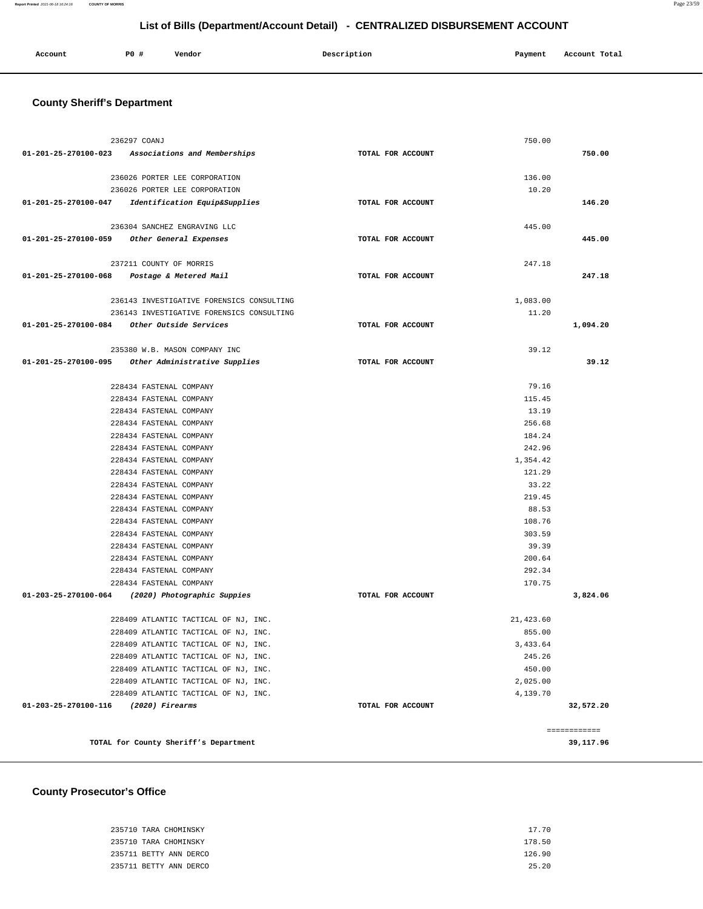#### **Report Printed** 2021-06-18 16:24:16 **COUNTY OF MORRIS** Page 23/59

# **List of Bills (Department/Account Detail) - CENTRALIZED DISBURSEMENT ACCOUNT**

| Account | <b>PO #</b> | Vendor | Description | Payment | Account Total |
|---------|-------------|--------|-------------|---------|---------------|
|         |             |        |             |         |               |

# **County Sheriff's Department**

| 236297 COANJ                                     |                                                                              |                   | 750.00              |              |
|--------------------------------------------------|------------------------------------------------------------------------------|-------------------|---------------------|--------------|
|                                                  | 01-201-25-270100-023 Associations and Memberships                            | TOTAL FOR ACCOUNT |                     | 750.00       |
|                                                  | 236026 PORTER LEE CORPORATION                                                |                   | 136.00              |              |
|                                                  | 236026 PORTER LEE CORPORATION                                                |                   | 10.20               |              |
|                                                  | 01-201-25-270100-047 Identification Equip&Supplies                           | TOTAL FOR ACCOUNT |                     | 146.20       |
|                                                  | 236304 SANCHEZ ENGRAVING LLC                                                 |                   | 445.00              |              |
| 01-201-25-270100-059 Other General Expenses      |                                                                              | TOTAL FOR ACCOUNT |                     | 445.00       |
|                                                  |                                                                              |                   |                     |              |
|                                                  | 237211 COUNTY OF MORRIS                                                      |                   | 247.18              |              |
| 01-201-25-270100-068 Postage & Metered Mail      |                                                                              | TOTAL FOR ACCOUNT |                     | 247.18       |
|                                                  | 236143 INVESTIGATIVE FORENSICS CONSULTING                                    |                   | 1,083.00            |              |
|                                                  | 236143 INVESTIGATIVE FORENSICS CONSULTING                                    |                   | 11.20               |              |
| 01-201-25-270100-084 Other Outside Services      |                                                                              | TOTAL FOR ACCOUNT |                     | 1,094.20     |
|                                                  | 235380 W.B. MASON COMPANY INC                                                |                   | 39.12               |              |
| 01-201-25-270100-095                             | Other Administrative Supplies                                                | TOTAL FOR ACCOUNT |                     | 39.12        |
|                                                  | 228434 FASTENAL COMPANY                                                      |                   | 79.16               |              |
|                                                  | 228434 FASTENAL COMPANY                                                      |                   | 115.45              |              |
|                                                  | 228434 FASTENAL COMPANY                                                      |                   | 13.19               |              |
|                                                  | 228434 FASTENAL COMPANY                                                      |                   | 256.68              |              |
|                                                  | 228434 FASTENAL COMPANY                                                      |                   | 184.24              |              |
|                                                  | 228434 FASTENAL COMPANY                                                      |                   | 242.96              |              |
|                                                  | 228434 FASTENAL COMPANY                                                      |                   | 1,354.42            |              |
|                                                  | 228434 FASTENAL COMPANY                                                      |                   | 121.29              |              |
|                                                  | 228434 FASTENAL COMPANY                                                      |                   | 33.22               |              |
|                                                  | 228434 FASTENAL COMPANY                                                      |                   | 219.45              |              |
|                                                  | 228434 FASTENAL COMPANY                                                      |                   | 88.53               |              |
|                                                  | 228434 FASTENAL COMPANY                                                      |                   | 108.76              |              |
|                                                  | 228434 FASTENAL COMPANY                                                      |                   | 303.59              |              |
|                                                  | 228434 FASTENAL COMPANY                                                      |                   | 39.39               |              |
|                                                  | 228434 FASTENAL COMPANY                                                      |                   | 200.64              |              |
|                                                  | 228434 FASTENAL COMPANY<br>228434 FASTENAL COMPANY                           |                   | 292.34<br>170.75    |              |
| 01-203-25-270100-064 (2020) Photographic Suppies |                                                                              | TOTAL FOR ACCOUNT |                     | 3,824.06     |
|                                                  |                                                                              |                   |                     |              |
|                                                  | 228409 ATLANTIC TACTICAL OF NJ, INC.<br>228409 ATLANTIC TACTICAL OF NJ, INC. |                   | 21,423.60<br>855.00 |              |
|                                                  | 228409 ATLANTIC TACTICAL OF NJ, INC.                                         |                   | 3,433.64            |              |
|                                                  | 228409 ATLANTIC TACTICAL OF NJ, INC.                                         |                   | 245.26              |              |
|                                                  | 228409 ATLANTIC TACTICAL OF NJ, INC.                                         |                   | 450.00              |              |
|                                                  | 228409 ATLANTIC TACTICAL OF NJ, INC.                                         |                   | 2,025.00            |              |
|                                                  | 228409 ATLANTIC TACTICAL OF NJ, INC.                                         |                   | 4,139.70            |              |
| 01-203-25-270100-116                             | (2020) Firearms                                                              | TOTAL FOR ACCOUNT |                     | 32,572.20    |
|                                                  |                                                                              |                   |                     | ============ |
|                                                  | TOTAL for County Sheriff's Department                                        |                   |                     | 39,117.96    |

### **County Prosecutor's Office**

| 235710 TARA CHOMINSKY  | 17.70  |
|------------------------|--------|
| 235710 TARA CHOMINSKY  | 178.50 |
| 235711 BETTY ANN DERCO | 126.90 |
| 235711 BETTY ANN DERCO | 25.20  |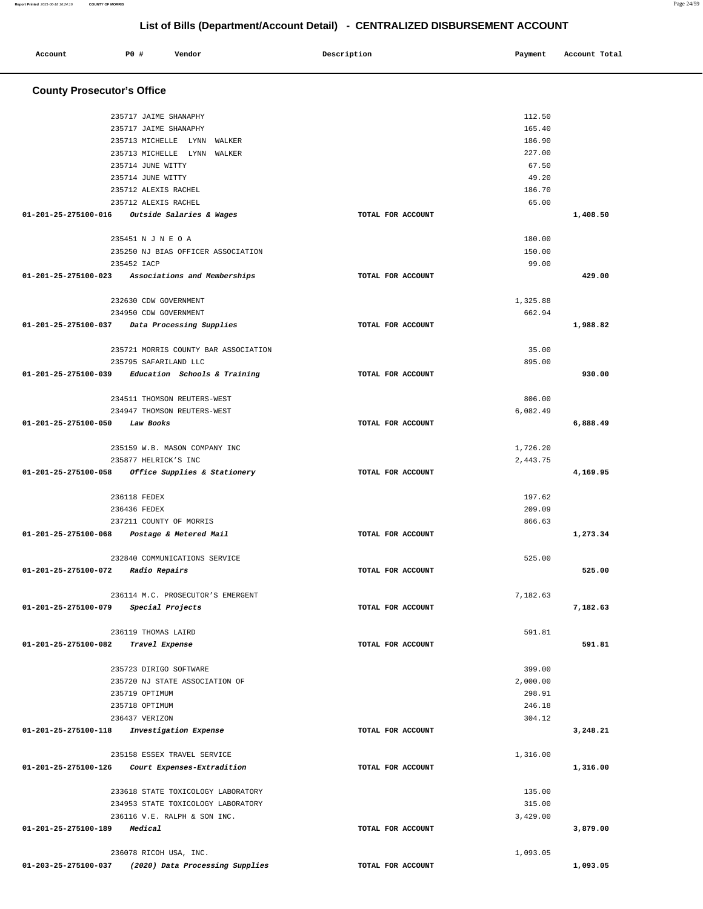| Account                           | P0 #         | Vendor                                                             | Description       | Payment            | Account Total |
|-----------------------------------|--------------|--------------------------------------------------------------------|-------------------|--------------------|---------------|
|                                   |              |                                                                    |                   |                    |               |
| <b>County Prosecutor's Office</b> |              |                                                                    |                   |                    |               |
|                                   |              | 235717 JAIME SHANAPHY                                              |                   | 112.50             |               |
|                                   |              | 235717 JAIME SHANAPHY                                              |                   | 165.40             |               |
|                                   |              | 235713 MICHELLE LYNN WALKER                                        |                   | 186.90             |               |
|                                   |              | 235713 MICHELLE LYNN WALKER                                        |                   | 227.00             |               |
|                                   |              | 235714 JUNE WITTY                                                  |                   | 67.50              |               |
|                                   |              | 235714 JUNE WITTY                                                  |                   | 49.20              |               |
|                                   |              | 235712 ALEXIS RACHEL                                               |                   | 186.70             |               |
|                                   |              | 235712 ALEXIS RACHEL                                               |                   | 65.00              |               |
|                                   |              | 01-201-25-275100-016 Outside Salaries & Wages                      | TOTAL FOR ACCOUNT |                    | 1,408.50      |
|                                   |              | 235451 N J N E O A                                                 |                   | 180.00             |               |
|                                   |              | 235250 NJ BIAS OFFICER ASSOCIATION                                 |                   | 150.00             |               |
|                                   | 235452 IACP  |                                                                    |                   | 99.00              |               |
|                                   |              | 01-201-25-275100-023 Associations and Memberships                  | TOTAL FOR ACCOUNT |                    | 429.00        |
|                                   |              | 232630 CDW GOVERNMENT                                              |                   | 1,325.88           |               |
|                                   |              | 234950 CDW GOVERNMENT                                              |                   | 662.94             |               |
|                                   |              | 01-201-25-275100-037 Data Processing Supplies                      | TOTAL FOR ACCOUNT |                    | 1,988.82      |
|                                   |              | 235721 MORRIS COUNTY BAR ASSOCIATION                               |                   | 35.00              |               |
|                                   |              | 235795 SAFARILAND LLC                                              |                   | 895.00             |               |
|                                   |              | 01-201-25-275100-039 Education Schools & Training                  | TOTAL FOR ACCOUNT |                    | 930.00        |
|                                   |              |                                                                    |                   |                    |               |
|                                   |              | 234511 THOMSON REUTERS-WEST                                        |                   | 806.00             |               |
|                                   |              | 234947 THOMSON REUTERS-WEST                                        |                   | 6,082.49           |               |
| 01-201-25-275100-050              |              | Law Books                                                          | TOTAL FOR ACCOUNT |                    | 6,888.49      |
|                                   |              | 235159 W.B. MASON COMPANY INC                                      |                   | 1,726.20           |               |
|                                   |              | 235877 HELRICK'S INC                                               |                   | 2,443.75           |               |
| 01-201-25-275100-058              |              | <i>Office Supplies &amp; Stationery</i>                            | TOTAL FOR ACCOUNT |                    | 4,169.95      |
|                                   |              |                                                                    |                   |                    |               |
|                                   | 236118 FEDEX |                                                                    |                   | 197.62             |               |
|                                   | 236436 FEDEX |                                                                    |                   | 209.09             |               |
|                                   |              | 237211 COUNTY OF MORRIS                                            |                   | 866.63             |               |
| 01-201-25-275100-068              |              | Postage & Metered Mail                                             | TOTAL FOR ACCOUNT |                    | 1,273.34      |
|                                   |              | 232840 COMMUNICATIONS SERVICE                                      |                   | 525.00             |               |
| 01-201-25-275100-072              |              | Radio Repairs                                                      | TOTAL FOR ACCOUNT |                    | 525.00        |
|                                   |              |                                                                    |                   |                    |               |
|                                   |              | 236114 M.C. PROSECUTOR'S EMERGENT                                  |                   | 7,182.63           |               |
| 01-201-25-275100-079              |              | Special Projects                                                   | TOTAL FOR ACCOUNT |                    | 7,182.63      |
|                                   |              | 236119 THOMAS LAIRD                                                |                   | 591.81             |               |
| 01-201-25-275100-082              |              | Travel Expense                                                     | TOTAL FOR ACCOUNT |                    | 591.81        |
|                                   |              |                                                                    |                   |                    |               |
|                                   |              | 235723 DIRIGO SOFTWARE                                             |                   | 399.00             |               |
|                                   |              | 235720 NJ STATE ASSOCIATION OF                                     |                   | 2,000.00           |               |
|                                   |              | 235719 OPTIMUM                                                     |                   | 298.91             |               |
|                                   |              | 235718 OPTIMUM                                                     |                   | 246.18             |               |
|                                   |              | 236437 VERIZON                                                     |                   | 304.12             |               |
| 01-201-25-275100-118              |              | Investigation Expense                                              | TOTAL FOR ACCOUNT |                    | 3,248.21      |
|                                   |              | 235158 ESSEX TRAVEL SERVICE                                        |                   | 1,316.00           |               |
| 01-201-25-275100-126              |              | Court Expenses-Extradition                                         | TOTAL FOR ACCOUNT |                    | 1,316.00      |
|                                   |              |                                                                    |                   |                    |               |
|                                   |              | 233618 STATE TOXICOLOGY LABORATORY                                 |                   | 135.00             |               |
|                                   |              | 234953 STATE TOXICOLOGY LABORATORY<br>236116 V.E. RALPH & SON INC. |                   | 315.00<br>3,429.00 |               |
| 01-201-25-275100-189              |              | Medical                                                            | TOTAL FOR ACCOUNT |                    | 3,879.00      |
|                                   |              |                                                                    |                   |                    |               |
|                                   |              | 236078 RICOH USA, INC.                                             |                   | 1,093.05           |               |
|                                   |              | 01-203-25-275100-037 (2020) Data Processing Supplies               | TOTAL FOR ACCOUNT |                    | 1,093.05      |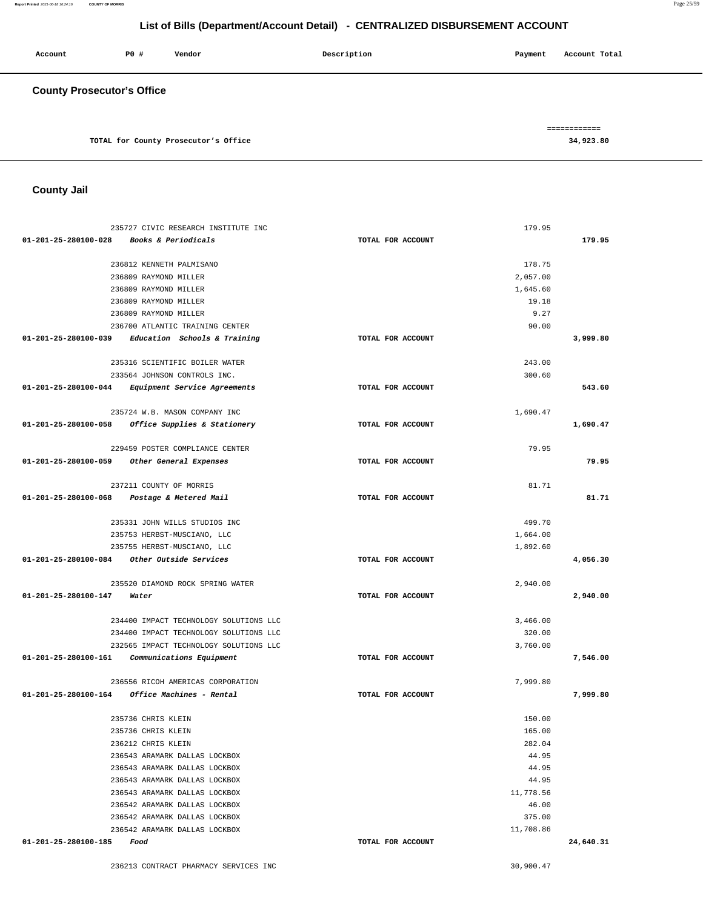**Report Printed** 2021-06-18 16:24:16 **COUNTY OF MORRIS** Page 25/59

# **List of Bills (Department/Account Detail) - CENTRALIZED DISBURSEMENT ACCOUNT**

| Account                           | P0 # | Vendor                               | Description | Account Total<br>Payment  |
|-----------------------------------|------|--------------------------------------|-------------|---------------------------|
| <b>County Prosecutor's Office</b> |      |                                      |             |                           |
|                                   |      | TOTAL for County Prosecutor's Office |             | ============<br>34,923.80 |

**County Jail** 

| 235727 CIVIC RESEARCH INSTITUTE INC                  |                   | 179.95    |           |
|------------------------------------------------------|-------------------|-----------|-----------|
| 01-201-25-280100-028<br>Books & Periodicals          | TOTAL FOR ACCOUNT |           | 179.95    |
|                                                      |                   |           |           |
| 236812 KENNETH PALMISANO                             |                   | 178.75    |           |
| 236809 RAYMOND MILLER                                |                   | 2,057.00  |           |
| 236809 RAYMOND MILLER                                |                   | 1,645.60  |           |
| 236809 RAYMOND MILLER                                |                   | 19.18     |           |
| 236809 RAYMOND MILLER                                |                   | 9.27      |           |
| 236700 ATLANTIC TRAINING CENTER                      |                   | 90.00     |           |
| Education Schools & Training<br>01-201-25-280100-039 | TOTAL FOR ACCOUNT |           | 3,999.80  |
| 235316 SCIENTIFIC BOILER WATER                       |                   | 243.00    |           |
| 233564 JOHNSON CONTROLS INC.                         |                   | 300.60    |           |
| 01-201-25-280100-044<br>Equipment Service Agreements | TOTAL FOR ACCOUNT |           | 543.60    |
|                                                      |                   |           |           |
| 235724 W.B. MASON COMPANY INC                        |                   | 1,690.47  |           |
| Office Supplies & Stationery<br>01-201-25-280100-058 | TOTAL FOR ACCOUNT |           | 1,690.47  |
|                                                      |                   |           |           |
| 229459 POSTER COMPLIANCE CENTER                      |                   | 79.95     |           |
| 01-201-25-280100-059 Other General Expenses          | TOTAL FOR ACCOUNT |           | 79.95     |
|                                                      |                   |           |           |
| 237211 COUNTY OF MORRIS                              |                   | 81.71     |           |
| 01-201-25-280100-068<br>Postage & Metered Mail       | TOTAL FOR ACCOUNT |           | 81.71     |
|                                                      |                   |           |           |
| 235331 JOHN WILLS STUDIOS INC                        |                   | 499.70    |           |
| 235753 HERBST-MUSCIANO, LLC                          |                   | 1,664.00  |           |
| 235755 HERBST-MUSCIANO, LLC                          |                   | 1,892.60  |           |
| 01-201-25-280100-084<br>Other Outside Services       | TOTAL FOR ACCOUNT |           | 4,056.30  |
| 235520 DIAMOND ROCK SPRING WATER                     |                   | 2,940.00  |           |
| 01-201-25-280100-147<br>Water                        | TOTAL FOR ACCOUNT |           | 2,940.00  |
|                                                      |                   |           |           |
| 234400 IMPACT TECHNOLOGY SOLUTIONS LLC               |                   | 3,466.00  |           |
| 234400 IMPACT TECHNOLOGY SOLUTIONS LLC               |                   | 320.00    |           |
| 232565 IMPACT TECHNOLOGY SOLUTIONS LLC               |                   | 3,760.00  |           |
| 01-201-25-280100-161<br>Communications Equipment     | TOTAL FOR ACCOUNT |           | 7,546.00  |
|                                                      |                   |           |           |
| 236556 RICOH AMERICAS CORPORATION                    |                   | 7,999.80  |           |
| 01-201-25-280100-164<br>Office Machines - Rental     | TOTAL FOR ACCOUNT |           | 7,999.80  |
| 235736 CHRIS KLEIN                                   |                   | 150.00    |           |
| 235736 CHRIS KLEIN                                   |                   | 165.00    |           |
| 236212 CHRIS KLEIN                                   |                   | 282.04    |           |
| 236543 ARAMARK DALLAS LOCKBOX                        |                   | 44.95     |           |
| 236543 ARAMARK DALLAS LOCKBOX                        |                   | 44.95     |           |
| 236543 ARAMARK DALLAS LOCKBOX                        |                   | 44.95     |           |
| 236543 ARAMARK DALLAS LOCKBOX                        |                   | 11,778.56 |           |
| 236542 ARAMARK DALLAS LOCKBOX                        |                   | 46.00     |           |
| 236542 ARAMARK DALLAS LOCKBOX                        |                   | 375.00    |           |
| 236542 ARAMARK DALLAS LOCKBOX                        |                   | 11,708.86 |           |
| 01-201-25-280100-185<br>Food                         | TOTAL FOR ACCOUNT |           | 24,640.31 |
|                                                      |                   |           |           |

236213 CONTRACT PHARMACY SERVICES INC 30,900.47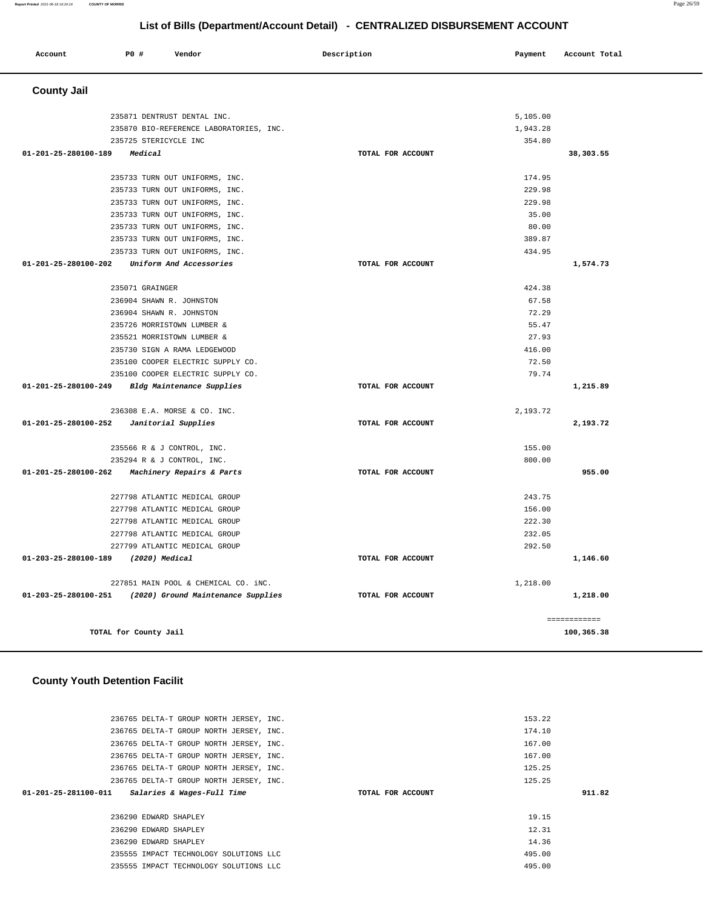|                       | 236765 DELTA-T GROUP NORTH JERSEY, INC. | 174.10            |        |
|-----------------------|-----------------------------------------|-------------------|--------|
|                       | 236765 DELTA-T GROUP NORTH JERSEY, INC. | 167.00            |        |
|                       | 236765 DELTA-T GROUP NORTH JERSEY, INC. | 167.00            |        |
|                       | 236765 DELTA-T GROUP NORTH JERSEY, INC. | 125.25            |        |
|                       | 236765 DELTA-T GROUP NORTH JERSEY, INC. | 125.25            |        |
| 01-201-25-281100-011  | Salaries & Wages-Full Time              | TOTAL FOR ACCOUNT | 911.82 |
|                       |                                         |                   |        |
| 236290 EDWARD SHAPLEY |                                         | 19.15             |        |
| 236290 EDWARD SHAPLEY |                                         | 12.31             |        |
| 236290 EDWARD SHAPLEY |                                         | 14.36             |        |
|                       | 235555 IMPACT TECHNOLOGY SOLUTIONS LLC  | 495.00            |        |
|                       | 235555 IMPACT TECHNOLOGY SOLUTIONS LLC  | 495.00            |        |
|                       |                                         |                   |        |

**TOTAL for County Jail 100,365.38**

153.22

#### **County Youth Detention Facilit**

236765 DELTA-T GROUP NORTH JERSEY, INC.

| 235871 DENTRUST DENTAL INC.                                |                   | 5,105.00 |              |
|------------------------------------------------------------|-------------------|----------|--------------|
| 235870 BIO-REFERENCE LABORATORIES, INC.                    |                   | 1,943.28 |              |
| 235725 STERICYCLE INC                                      |                   | 354.80   |              |
| 01-201-25-280100-189<br>Medical                            | TOTAL FOR ACCOUNT |          | 38,303.55    |
|                                                            |                   |          |              |
| 235733 TURN OUT UNIFORMS, INC.                             |                   | 174.95   |              |
| 235733 TURN OUT UNIFORMS, INC.                             |                   | 229.98   |              |
| 235733 TURN OUT UNIFORMS, INC.                             |                   | 229.98   |              |
| 235733 TURN OUT UNIFORMS, INC.                             |                   | 35.00    |              |
| 235733 TURN OUT UNIFORMS, INC.                             |                   | 80.00    |              |
| 235733 TURN OUT UNIFORMS, INC.                             |                   | 389.87   |              |
| 235733 TURN OUT UNIFORMS, INC.                             |                   | 434.95   |              |
| 01-201-25-280100-202<br>Uniform And Accessories            | TOTAL FOR ACCOUNT |          | 1,574.73     |
| 235071 GRAINGER                                            |                   | 424.38   |              |
| 236904 SHAWN R. JOHNSTON                                   |                   | 67.58    |              |
| 236904 SHAWN R. JOHNSTON                                   |                   | 72.29    |              |
| 235726 MORRISTOWN LUMBER &                                 |                   | 55.47    |              |
| 235521 MORRISTOWN LUMBER &                                 |                   | 27.93    |              |
| 235730 SIGN A RAMA LEDGEWOOD                               |                   | 416.00   |              |
| 235100 COOPER ELECTRIC SUPPLY CO.                          |                   | 72.50    |              |
| 235100 COOPER ELECTRIC SUPPLY CO.                          |                   | 79.74    |              |
| 01-201-25-280100-249 Bldg Maintenance Supplies             | TOTAL FOR ACCOUNT |          | 1,215.89     |
| 236308 E.A. MORSE & CO. INC.                               |                   | 2,193.72 |              |
| 01-201-25-280100-252<br>Janitorial Supplies                | TOTAL FOR ACCOUNT |          | 2,193.72     |
|                                                            |                   |          |              |
| 235566 R & J CONTROL, INC.                                 |                   | 155.00   |              |
| 235294 R & J CONTROL, INC.                                 |                   | 800.00   |              |
| 01-201-25-280100-262<br>Machinery Repairs & Parts          | TOTAL FOR ACCOUNT |          | 955.00       |
| 227798 ATLANTIC MEDICAL GROUP                              |                   | 243.75   |              |
| 227798 ATLANTIC MEDICAL GROUP                              |                   | 156.00   |              |
| 227798 ATLANTIC MEDICAL GROUP                              |                   | 222.30   |              |
| 227798 ATLANTIC MEDICAL GROUP                              |                   | 232.05   |              |
| 227799 ATLANTIC MEDICAL GROUP                              |                   | 292.50   |              |
| 01-203-25-280100-189 (2020) Medical                        | TOTAL FOR ACCOUNT |          | 1,146.60     |
| 227851 MAIN POOL & CHEMICAL CO. iNC.                       |                   | 1,218.00 |              |
| 01-203-25-280100-251<br>(2020) Ground Maintenance Supplies | TOTAL FOR ACCOUNT |          | 1,218.00     |
|                                                            |                   |          | ============ |

#### **County Jail**

 **Account** 20 **P P**  $\uparrow$  **Payment** Payment Account Total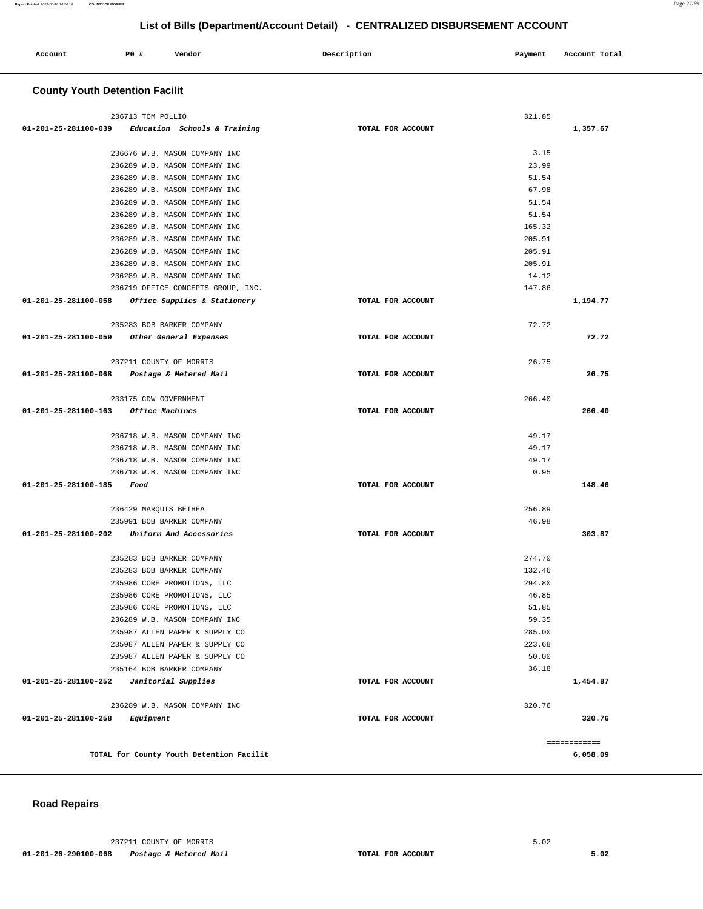| Account | PO <sub>1</sub> | Vendor | Description | Payment | Account Total |
|---------|-----------------|--------|-------------|---------|---------------|
|         |                 |        |             |         |               |

### **County Youth Detention Facilit**

| 236713 TOM POLLIO                                   |                   | 321.85 |              |
|-----------------------------------------------------|-------------------|--------|--------------|
| $01-201-25-281100-039$ Education Schools & Training | TOTAL FOR ACCOUNT |        | 1,357.67     |
|                                                     |                   |        |              |
| 236676 W.B. MASON COMPANY INC                       |                   | 3.15   |              |
| 236289 W.B. MASON COMPANY INC                       |                   | 23.99  |              |
| 236289 W.B. MASON COMPANY INC                       |                   | 51.54  |              |
| 236289 W.B. MASON COMPANY INC                       |                   | 67.98  |              |
| 236289 W.B. MASON COMPANY INC                       |                   | 51.54  |              |
| 236289 W.B. MASON COMPANY INC                       |                   | 51.54  |              |
| 236289 W.B. MASON COMPANY INC                       |                   | 165.32 |              |
| 236289 W.B. MASON COMPANY INC                       |                   | 205.91 |              |
| 236289 W.B. MASON COMPANY INC                       |                   | 205.91 |              |
| 236289 W.B. MASON COMPANY INC                       |                   | 205.91 |              |
| 236289 W.B. MASON COMPANY INC                       |                   | 14.12  |              |
| 236719 OFFICE CONCEPTS GROUP, INC.                  |                   | 147.86 |              |
| 01-201-25-281100-058 Office Supplies & Stationery   | TOTAL FOR ACCOUNT |        | 1,194.77     |
| 235283 BOB BARKER COMPANY                           |                   | 72.72  |              |
| 01-201-25-281100-059 Other General Expenses         | TOTAL FOR ACCOUNT |        | 72.72        |
|                                                     |                   |        |              |
| 237211 COUNTY OF MORRIS                             |                   | 26.75  |              |
| 01-201-25-281100-068 Postage & Metered Mail         | TOTAL FOR ACCOUNT |        | 26.75        |
|                                                     |                   |        |              |
| 233175 CDW GOVERNMENT                               |                   | 266.40 |              |
| 01-201-25-281100-163 Office Machines                | TOTAL FOR ACCOUNT |        | 266.40       |
|                                                     |                   |        |              |
| 236718 W.B. MASON COMPANY INC                       |                   | 49.17  |              |
| 236718 W.B. MASON COMPANY INC                       |                   | 49.17  |              |
| 236718 W.B. MASON COMPANY INC                       |                   | 49.17  |              |
| 236718 W.B. MASON COMPANY INC                       |                   | 0.95   |              |
| 01-201-25-281100-185 Food                           | TOTAL FOR ACCOUNT |        | 148.46       |
|                                                     |                   |        |              |
| 236429 MARQUIS BETHEA                               |                   | 256.89 |              |
| 235991 BOB BARKER COMPANY                           |                   | 46.98  |              |
| 01-201-25-281100-202 Uniform And Accessories        | TOTAL FOR ACCOUNT |        | 303.87       |
|                                                     |                   |        |              |
| 235283 BOB BARKER COMPANY                           |                   | 274.70 |              |
| 235283 BOB BARKER COMPANY                           |                   | 132.46 |              |
| 235986 CORE PROMOTIONS, LLC                         |                   | 294.80 |              |
| 235986 CORE PROMOTIONS, LLC                         |                   | 46.85  |              |
| 235986 CORE PROMOTIONS, LLC                         |                   | 51.85  |              |
| 236289 W.B. MASON COMPANY INC                       |                   | 59.35  |              |
| 235987 ALLEN PAPER & SUPPLY CO                      |                   | 285.00 |              |
| 235987 ALLEN PAPER & SUPPLY CO                      |                   | 223.68 |              |
| 235987 ALLEN PAPER & SUPPLY CO                      |                   | 50.00  |              |
| 235164 BOB BARKER COMPANY                           |                   | 36.18  |              |
| 01-201-25-281100-252<br>Janitorial Supplies         | TOTAL FOR ACCOUNT |        | 1,454.87     |
| 236289 W.B. MASON COMPANY INC                       |                   | 320.76 |              |
| 01-201-25-281100-258<br>Equipment                   | TOTAL FOR ACCOUNT |        | 320.76       |
|                                                     |                   |        |              |
|                                                     |                   |        | ============ |
| TOTAL for County Youth Detention Facilit            |                   |        | 6,058.09     |

### **Road Repairs**

237211 COUNTY OF MORRIS 5.02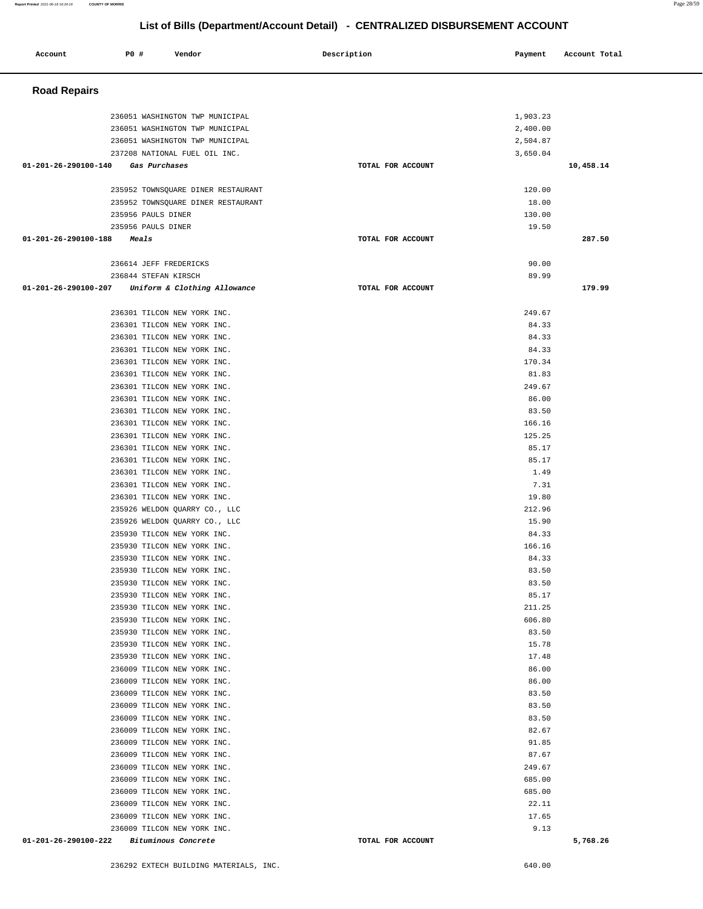| Account                                  | PO#                             | Vendor                                                     | Description       | Payment         | Account Total |
|------------------------------------------|---------------------------------|------------------------------------------------------------|-------------------|-----------------|---------------|
| <b>Road Repairs</b>                      |                                 |                                                            |                   |                 |               |
|                                          |                                 | 236051 WASHINGTON TWP MUNICIPAL                            |                   | 1,903.23        |               |
|                                          |                                 | 236051 WASHINGTON TWP MUNICIPAL                            |                   | 2,400.00        |               |
|                                          | 236051 WASHINGTON TWP MUNICIPAL |                                                            |                   | 2,504.87        |               |
|                                          |                                 | 237208 NATIONAL FUEL OIL INC.                              |                   | 3,650.04        |               |
| 01-201-26-290100-140                     | Gas Purchases                   |                                                            | TOTAL FOR ACCOUNT |                 | 10,458.14     |
|                                          |                                 | 235952 TOWNSQUARE DINER RESTAURANT                         |                   | 120.00          |               |
|                                          |                                 | 235952 TOWNSQUARE DINER RESTAURANT                         |                   | 18.00           |               |
|                                          | 235956 PAULS DINER              |                                                            |                   | 130.00          |               |
|                                          | 235956 PAULS DINER              |                                                            |                   | 19.50           |               |
| 01-201-26-290100-188                     | Meals                           |                                                            | TOTAL FOR ACCOUNT |                 | 287.50        |
|                                          | 236614 JEFF FREDERICKS          |                                                            |                   | 90.00           |               |
|                                          | 236844 STEFAN KIRSCH            |                                                            |                   | 89.99           |               |
| 01-201-26-290100-207                     |                                 | Uniform & Clothing Allowance                               | TOTAL FOR ACCOUNT |                 | 179.99        |
|                                          |                                 |                                                            |                   |                 |               |
|                                          |                                 | 236301 TILCON NEW YORK INC.<br>236301 TILCON NEW YORK INC. |                   | 249.67<br>84.33 |               |
|                                          |                                 | 236301 TILCON NEW YORK INC.                                |                   | 84.33           |               |
|                                          |                                 | 236301 TILCON NEW YORK INC.                                |                   | 84.33           |               |
|                                          |                                 | 236301 TILCON NEW YORK INC.                                |                   | 170.34          |               |
|                                          |                                 | 236301 TILCON NEW YORK INC.                                |                   | 81.83           |               |
|                                          |                                 | 236301 TILCON NEW YORK INC.<br>236301 TILCON NEW YORK INC. |                   | 249.67<br>86.00 |               |
|                                          |                                 | 236301 TILCON NEW YORK INC.                                |                   | 83.50           |               |
|                                          |                                 | 236301 TILCON NEW YORK INC.                                |                   | 166.16          |               |
|                                          |                                 | 236301 TILCON NEW YORK INC.                                |                   | 125.25          |               |
|                                          |                                 | 236301 TILCON NEW YORK INC.                                |                   | 85.17           |               |
|                                          |                                 | 236301 TILCON NEW YORK INC.                                |                   | 85.17           |               |
|                                          |                                 | 236301 TILCON NEW YORK INC.<br>236301 TILCON NEW YORK INC. |                   | 1.49<br>7.31    |               |
|                                          |                                 | 236301 TILCON NEW YORK INC.                                |                   | 19.80           |               |
|                                          |                                 | 235926 WELDON QUARRY CO., LLC                              |                   | 212.96          |               |
|                                          |                                 | 235926 WELDON QUARRY CO., LLC                              |                   | 15.90           |               |
|                                          |                                 | 235930 TILCON NEW YORK INC.                                |                   | 84.33           |               |
|                                          |                                 | 235930 TILCON NEW YORK INC.<br>235930 TILCON NEW YORK INC. |                   | 166.16<br>84.33 |               |
|                                          |                                 | 235930 TILCON NEW YORK INC.                                |                   | 83.50           |               |
|                                          |                                 | 235930 TILCON NEW YORK INC.                                |                   | 83.50           |               |
|                                          | 235930 TILCON NEW YORK INC.     |                                                            |                   | 85.17           |               |
|                                          |                                 | 235930 TILCON NEW YORK INC.                                |                   | 211.25          |               |
|                                          |                                 | 235930 TILCON NEW YORK INC.                                |                   | 606.80          |               |
|                                          | 235930 TILCON NEW YORK INC.     | 235930 TILCON NEW YORK INC.                                |                   | 83.50<br>15.78  |               |
|                                          |                                 | 235930 TILCON NEW YORK INC.                                |                   | 17.48           |               |
|                                          |                                 | 236009 TILCON NEW YORK INC.                                |                   | 86.00           |               |
|                                          | 236009 TILCON NEW YORK INC.     |                                                            |                   | 86.00           |               |
|                                          | 236009 TILCON NEW YORK INC.     |                                                            |                   | 83.50           |               |
|                                          | 236009 TILCON NEW YORK INC.     | 236009 TILCON NEW YORK INC.                                |                   | 83.50           |               |
|                                          |                                 | 236009 TILCON NEW YORK INC.                                |                   | 83.50<br>82.67  |               |
|                                          |                                 | 236009 TILCON NEW YORK INC.                                |                   | 91.85           |               |
|                                          | 236009 TILCON NEW YORK INC.     |                                                            |                   | 87.67           |               |
|                                          | 236009 TILCON NEW YORK INC.     |                                                            |                   | 249.67          |               |
|                                          |                                 | 236009 TILCON NEW YORK INC.                                |                   | 685.00          |               |
|                                          | 236009 TILCON NEW YORK INC.     |                                                            |                   | 685.00          |               |
|                                          |                                 | 236009 TILCON NEW YORK INC.<br>236009 TILCON NEW YORK INC. |                   | 22.11<br>17.65  |               |
|                                          | 236009 TILCON NEW YORK INC.     |                                                            |                   | 9.13            |               |
| 01-201-26-290100-222 Bituminous Concrete |                                 |                                                            | TOTAL FOR ACCOUNT |                 | 5,768.26      |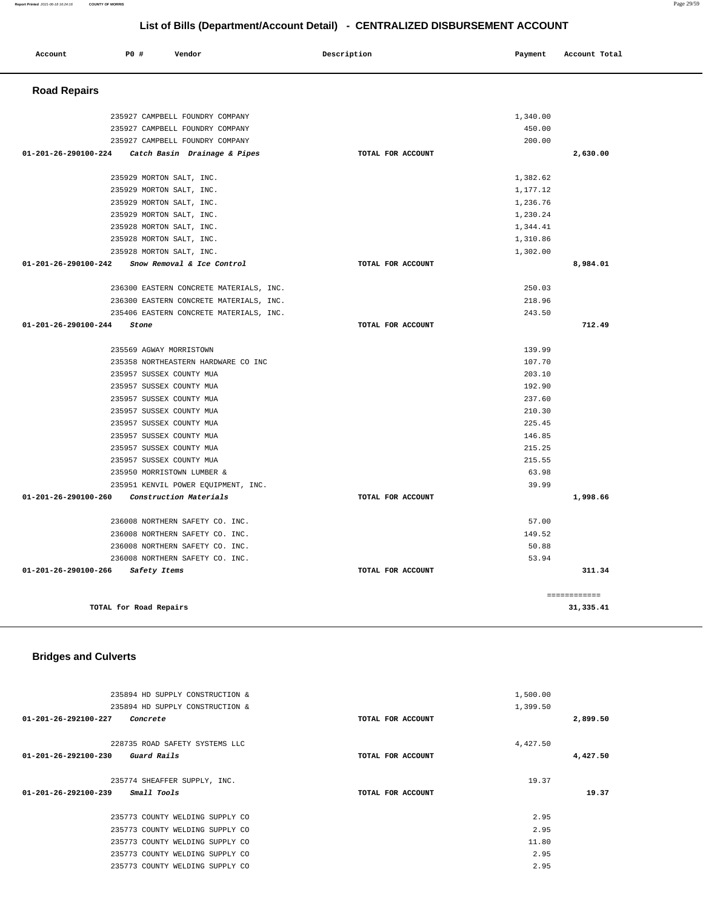**Account** 20 **P P**  $\uparrow$  **Payment** Payment Account Total

 **Road Repairs** 

235927 CAMPBELL FOUNDRY COMPANY 235927 CAMPBELL FOUNDRY COMPANY 235927 CAMPBELL FOUNDRY COMPANY

235929 MORTON SALT, INC.

**01-201-26-290100-224 Catch Basin Drainage & Pipes TOTAL FOR ACCOUNT** 

| 235929 MORTON SALT, INC.                                     |                   | 1,177.12     |  |
|--------------------------------------------------------------|-------------------|--------------|--|
| 235929 MORTON SALT, INC.                                     |                   | 1,236.76     |  |
| 235929 MORTON SALT, INC.                                     |                   | 1,230.24     |  |
| 235928 MORTON SALT, INC.                                     |                   | 1,344.41     |  |
| 235928 MORTON SALT, INC.                                     |                   | 1,310.86     |  |
| 235928 MORTON SALT, INC.                                     |                   | 1,302.00     |  |
| $01 - 201 - 26 - 290100 - 242$<br>Snow Removal & Ice Control | TOTAL FOR ACCOUNT | 8,984.01     |  |
|                                                              |                   |              |  |
| 236300 EASTERN CONCRETE MATERIALS, INC.                      |                   | 250.03       |  |
| 236300 EASTERN CONCRETE MATERIALS, INC.                      |                   | 218.96       |  |
| 235406 EASTERN CONCRETE MATERIALS, INC.                      |                   | 243.50       |  |
| 01-201-26-290100-244<br>Stone                                | TOTAL FOR ACCOUNT | 712.49       |  |
|                                                              |                   |              |  |
| 235569 AGWAY MORRISTOWN                                      |                   | 139.99       |  |
| 235358 NORTHEASTERN HARDWARE CO INC                          |                   | 107.70       |  |
| 235957 SUSSEX COUNTY MUA                                     |                   | 203.10       |  |
| 235957 SUSSEX COUNTY MUA                                     |                   | 192.90       |  |
| 235957 SUSSEX COUNTY MUA                                     |                   | 237.60       |  |
| 235957 SUSSEX COUNTY MUA                                     |                   | 210.30       |  |
| 235957 SUSSEX COUNTY MUA                                     |                   | 225.45       |  |
| 235957 SUSSEX COUNTY MUA                                     |                   | 146.85       |  |
| 235957 SUSSEX COUNTY MUA                                     |                   | 215.25       |  |
| 235957 SUSSEX COUNTY MUA                                     |                   | 215.55       |  |
| 235950 MORRISTOWN LUMBER &                                   |                   | 63.98        |  |
| 235951 KENVIL POWER EQUIPMENT, INC.                          |                   | 39.99        |  |
| 01-201-26-290100-260<br>Construction Materials               | TOTAL FOR ACCOUNT | 1,998.66     |  |
|                                                              |                   |              |  |
| 236008 NORTHERN SAFETY CO. INC.                              |                   | 57.00        |  |
| 236008 NORTHERN SAFETY CO. INC.                              |                   | 149.52       |  |
| 236008 NORTHERN SAFETY CO. INC.                              |                   | 50.88        |  |
| 236008 NORTHERN SAFETY CO. INC.                              |                   | 53.94        |  |
| 01-201-26-290100-266<br>Safety Items                         | TOTAL FOR ACCOUNT | 311.34       |  |
|                                                              |                   |              |  |
|                                                              |                   |              |  |
|                                                              |                   | ============ |  |
| TOTAL for Road Repairs                                       |                   | 31, 335.41   |  |
|                                                              |                   |              |  |
|                                                              |                   |              |  |
|                                                              |                   |              |  |
| <b>Bridges and Culverts</b>                                  |                   |              |  |
|                                                              |                   |              |  |
|                                                              |                   |              |  |
| 235894 HD SUPPLY CONSTRUCTION &                              |                   | 1,500.00     |  |
| 235894 HD SUPPLY CONSTRUCTION &                              |                   | 1,399.50     |  |
| 01-201-26-292100-227 Concrete                                | TOTAL FOR ACCOUNT | 2,899.50     |  |
|                                                              |                   |              |  |
| 228735 ROAD SAFETY SYSTEMS LLC                               |                   | 4,427.50     |  |
| 01-201-26-292100-230 Guard Rails                             | TOTAL FOR ACCOUNT | 4,427.50     |  |
|                                                              |                   |              |  |
| 235774 SHEAFFER SUPPLY, INC.                                 |                   | 19.37        |  |
| $01 - 201 - 26 - 292100 - 239$ Small Tools                   | TOTAL FOR ACCOUNT | 19.37        |  |
|                                                              |                   |              |  |
| 235773 COUNTY WELDING SUPPLY CO                              |                   | 2.95         |  |
| 235773 COUNTY WELDING SUPPLY CO                              |                   | 2.95         |  |
| 235773 COUNTY WELDING SUPPLY CO                              |                   | 11.80        |  |
| 235773 COUNTY WELDING SUPPLY CO                              |                   | 2.95         |  |
| 235773 COUNTY WELDING SUPPLY CO                              |                   | 2.95         |  |
|                                                              |                   |              |  |
|                                                              |                   |              |  |
|                                                              |                   |              |  |
|                                                              |                   |              |  |
|                                                              |                   |              |  |
|                                                              |                   |              |  |

1,340.00 450.00 200.00

1,382.62

**2,630.00**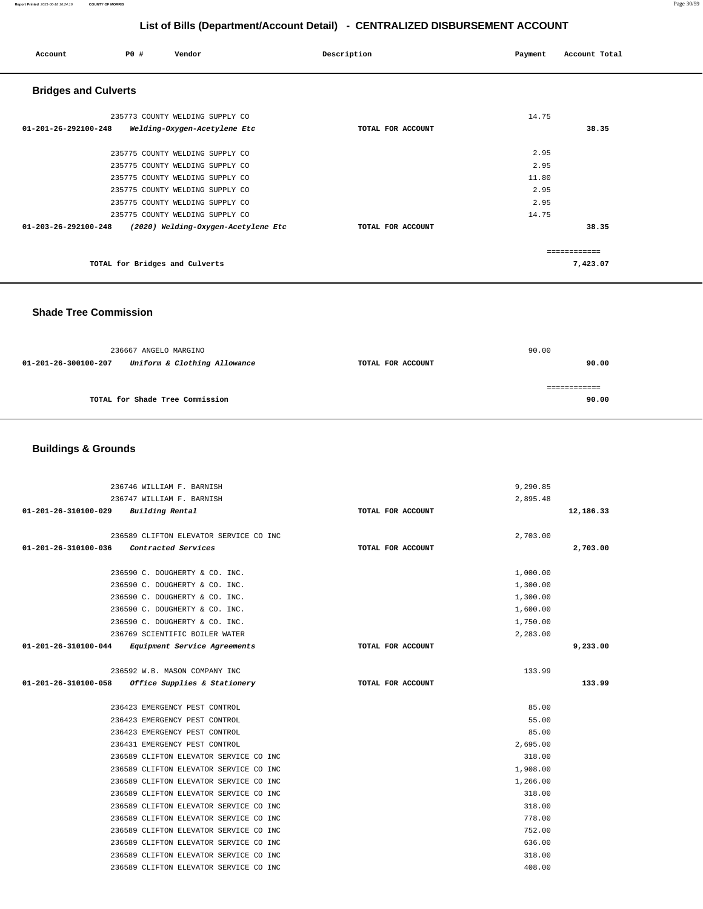#### **Report Printed** 2021-06-18 16:24:16 **COUNTY OF MORRIS** Page 30/59

# **List of Bills (Department/Account Detail) - CENTRALIZED DISBURSEMENT ACCOUNT**

| Account                     | P0 #                           | Vendor                              | Description       | Payment | Account Total |
|-----------------------------|--------------------------------|-------------------------------------|-------------------|---------|---------------|
| <b>Bridges and Culverts</b> |                                |                                     |                   |         |               |
|                             |                                | 235773 COUNTY WELDING SUPPLY CO     |                   | 14.75   |               |
| 01-201-26-292100-248        |                                | Welding-Oxygen-Acetylene Etc        | TOTAL FOR ACCOUNT |         | 38.35         |
|                             |                                | 235775 COUNTY WELDING SUPPLY CO     |                   | 2.95    |               |
|                             |                                | 235775 COUNTY WELDING SUPPLY CO     |                   | 2.95    |               |
|                             |                                | 235775 COUNTY WELDING SUPPLY CO     |                   | 11.80   |               |
|                             |                                | 235775 COUNTY WELDING SUPPLY CO     |                   | 2.95    |               |
|                             |                                | 235775 COUNTY WELDING SUPPLY CO     |                   | 2.95    |               |
|                             |                                | 235775 COUNTY WELDING SUPPLY CO     |                   | 14.75   |               |
| 01-203-26-292100-248        |                                | (2020) Welding-Oxygen-Acetylene Etc | TOTAL FOR ACCOUNT |         | 38.35         |
|                             |                                |                                     |                   |         | ============  |
|                             | TOTAL for Bridges and Culverts |                                     |                   |         | 7,423.07      |

 **Shade Tree Commission** 

|                      | 236667 ANGELO MARGINO           |                   | 90.00 |
|----------------------|---------------------------------|-------------------|-------|
| 01-201-26-300100-207 | Uniform & Clothing Allowance    | TOTAL FOR ACCOUNT | 90.00 |
|                      |                                 |                   |       |
|                      | TOTAL for Shade Tree Commission |                   | 90.00 |

# **Buildings & Grounds**

| 236746 WILLIAM F. BARNISH                         |                   | 9,290.85  |
|---------------------------------------------------|-------------------|-----------|
| 236747 WILLIAM F. BARNISH                         |                   | 2,895.48  |
| 01-201-26-310100-029 Building Rental              | TOTAL FOR ACCOUNT | 12,186.33 |
|                                                   |                   |           |
| 236589 CLIFTON ELEVATOR SERVICE CO INC            |                   | 2,703.00  |
| 01-201-26-310100-036 Contracted Services          | TOTAL FOR ACCOUNT | 2,703.00  |
|                                                   |                   |           |
| 236590 C. DOUGHERTY & CO. INC.                    |                   | 1,000.00  |
| 236590 C. DOUGHERTY & CO. INC.                    |                   | 1,300.00  |
| 236590 C. DOUGHERTY & CO. INC.                    |                   | 1,300.00  |
| 236590 C. DOUGHERTY & CO. INC.                    |                   | 1,600.00  |
| 236590 C. DOUGHERTY & CO. INC.                    |                   | 1,750.00  |
| 236769 SCIENTIFIC BOILER WATER                    |                   | 2,283.00  |
| 01-201-26-310100-044 Equipment Service Agreements | TOTAL FOR ACCOUNT | 9,233.00  |
|                                                   |                   |           |
| 236592 W.B. MASON COMPANY INC                     |                   | 133.99    |
|                                                   |                   |           |
| 01-201-26-310100-058 Office Supplies & Stationery | TOTAL FOR ACCOUNT | 133.99    |
|                                                   |                   |           |
| 236423 EMERGENCY PEST CONTROL                     |                   | 85.00     |
| 236423 EMERGENCY PEST CONTROL                     |                   | 55.00     |
| 236423 EMERGENCY PEST CONTROL                     |                   | 85.00     |
| 236431 EMERGENCY PEST CONTROL                     |                   | 2,695.00  |
| 236589 CLIFTON ELEVATOR SERVICE CO INC            |                   | 318.00    |
| 236589 CLIFTON ELEVATOR SERVICE CO INC            |                   | 1,908.00  |
| 236589 CLIFTON ELEVATOR SERVICE CO INC            |                   | 1,266.00  |
| 236589 CLIFTON ELEVATOR SERVICE CO INC            |                   | 318.00    |
| 236589 CLIFTON ELEVATOR SERVICE CO INC            |                   | 318.00    |
| 236589 CLIFTON ELEVATOR SERVICE CO INC            |                   | 778.00    |
| 236589 CLIFTON ELEVATOR SERVICE CO INC            |                   | 752.00    |
| 236589 CLIFTON ELEVATOR SERVICE CO INC            |                   | 636.00    |
| 236589 CLIFTON ELEVATOR SERVICE CO INC            |                   | 318.00    |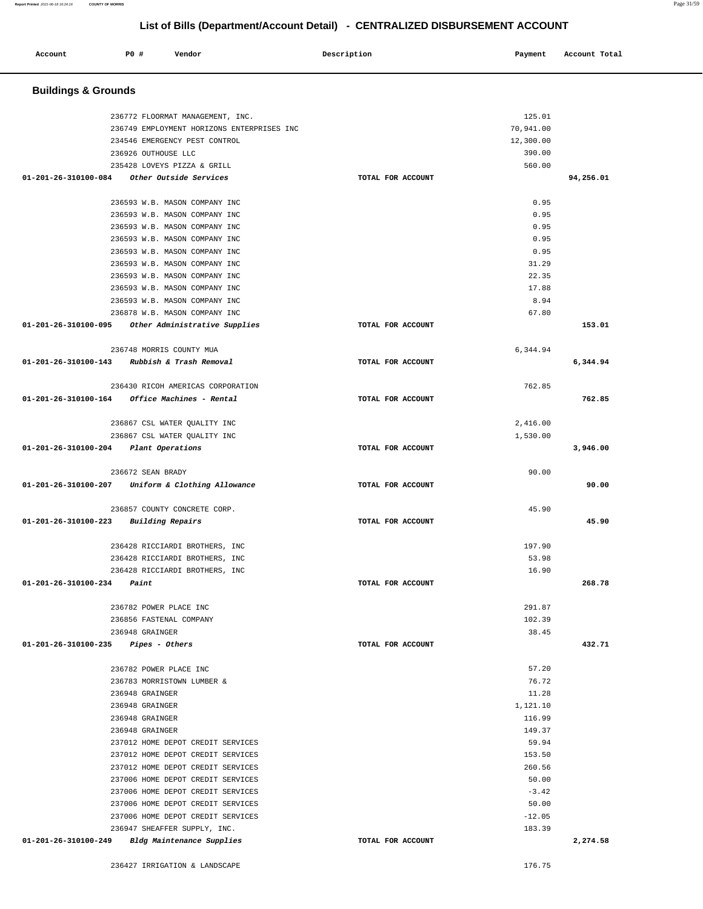#### **Report Printed** 2021-06-18 16:24:16 **COUNTY OF MORRIS** Page 31/59

# **List of Bills (Department/Account Detail) - CENTRALIZED DISBURSEMENT ACCOUNT**

| Account<br>. | PO# | Vendor | Description | Payment | Account Total<br>.<br>. |
|--------------|-----|--------|-------------|---------|-------------------------|
|              |     |        |             |         |                         |

### **Buildings & Grounds**

| 234546 EMERGENCY PEST CONTROL                                                                |                   | 12,300.00         |           |
|----------------------------------------------------------------------------------------------|-------------------|-------------------|-----------|
| 236926 OUTHOUSE LLC                                                                          |                   | 390.00            |           |
| 235428 LOVEYS PIZZA & GRILL                                                                  |                   | 560.00            |           |
| 01-201-26-310100-084 Other Outside Services                                                  | TOTAL FOR ACCOUNT |                   | 94,256.01 |
| 236593 W.B. MASON COMPANY INC                                                                |                   | 0.95              |           |
| 236593 W.B. MASON COMPANY INC                                                                |                   | 0.95              |           |
| 236593 W.B. MASON COMPANY INC                                                                |                   | 0.95              |           |
| 236593 W.B. MASON COMPANY INC                                                                |                   | 0.95              |           |
| 236593 W.B. MASON COMPANY INC                                                                |                   | 0.95              |           |
| 236593 W.B. MASON COMPANY INC                                                                |                   | 31.29             |           |
| 236593 W.B. MASON COMPANY INC                                                                |                   | 22.35             |           |
| 236593 W.B. MASON COMPANY INC                                                                |                   | 17.88             |           |
| 236593 W.B. MASON COMPANY INC                                                                |                   | 8.94              |           |
| 236878 W.B. MASON COMPANY INC                                                                |                   | 67.80             |           |
| 01-201-26-310100-095 Other Administrative Supplies                                           | TOTAL FOR ACCOUNT |                   | 153.01    |
| 236748 MORRIS COUNTY MUA                                                                     |                   | 6,344.94          |           |
| 01-201-26-310100-143 Rubbish & Trash Removal                                                 | TOTAL FOR ACCOUNT |                   | 6,344.94  |
|                                                                                              |                   |                   |           |
| 236430 RICOH AMERICAS CORPORATION<br>$01 - 201 - 26 - 310100 - 164$ Office Machines - Rental | TOTAL FOR ACCOUNT | 762.85            | 762.85    |
|                                                                                              |                   |                   |           |
| 236867 CSL WATER OUALITY INC                                                                 |                   | 2,416.00          |           |
| 236867 CSL WATER QUALITY INC                                                                 |                   | 1,530.00          |           |
| 01-201-26-310100-204 Plant Operations                                                        | TOTAL FOR ACCOUNT |                   | 3,946.00  |
|                                                                                              |                   |                   |           |
| 236672 SEAN BRADY                                                                            |                   | 90.00             |           |
| 01-201-26-310100-207 Uniform & Clothing Allowance                                            | TOTAL FOR ACCOUNT |                   | 90.00     |
|                                                                                              |                   |                   |           |
| 236857 COUNTY CONCRETE CORP.                                                                 |                   | 45.90             |           |
| 01-201-26-310100-223 Building Repairs                                                        | TOTAL FOR ACCOUNT |                   | 45.90     |
|                                                                                              |                   |                   |           |
| 236428 RICCIARDI BROTHERS, INC                                                               |                   | 197.90            |           |
| 236428 RICCIARDI BROTHERS, INC                                                               |                   | 53.98             |           |
| 236428 RICCIARDI BROTHERS, INC                                                               |                   | 16.90             |           |
| $01 - 201 - 26 - 310100 - 234$ Paint                                                         | TOTAL FOR ACCOUNT |                   | 268.78    |
| 236782 POWER PLACE INC                                                                       |                   | 291.87            |           |
| 236856 FASTENAL COMPANY                                                                      |                   | 102.39            |           |
| 236948 GRAINGER                                                                              |                   | 38.45             |           |
| 01-201-26-310100-235<br>Pipes - Others                                                       | TOTAL FOR ACCOUNT |                   | 432.71    |
|                                                                                              |                   |                   |           |
| 236782 POWER PLACE INC                                                                       |                   | 57.20             |           |
| 236783 MORRISTOWN LUMBER &                                                                   |                   | 76.72             |           |
| 236948 GRAINGER<br>236948 GRAINGER                                                           |                   | 11.28<br>1,121.10 |           |
| 236948 GRAINGER                                                                              |                   | 116.99            |           |
| 236948 GRAINGER                                                                              |                   | 149.37            |           |
| 237012 HOME DEPOT CREDIT SERVICES                                                            |                   | 59.94             |           |
| 237012 HOME DEPOT CREDIT SERVICES                                                            |                   | 153.50            |           |
| 237012 HOME DEPOT CREDIT SERVICES                                                            |                   | 260.56            |           |
| 237006 HOME DEPOT CREDIT SERVICES                                                            |                   | 50.00             |           |
| 237006 HOME DEPOT CREDIT SERVICES                                                            |                   | $-3.42$           |           |
| 237006 HOME DEPOT CREDIT SERVICES                                                            |                   | 50.00             |           |
| 237006 HOME DEPOT CREDIT SERVICES                                                            |                   | $-12.05$          |           |
| 236947 SHEAFFER SUPPLY, INC.<br>01-201-26-310100-249<br>Bldg Maintenance Supplies            | TOTAL FOR ACCOUNT | 183.39            | 2,274.58  |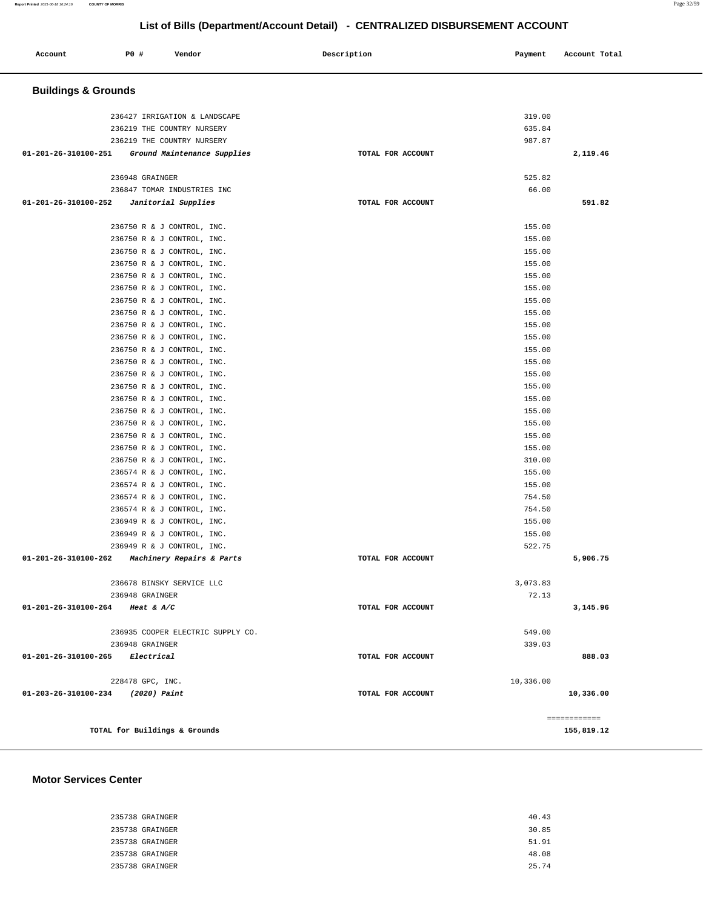#### **Report Printed** 2021-06-18 16:24:16 **COUNTY OF MORRIS** Page 32/59

| Account                         | P0 #                          | Vendor                                                   | Description       | Payment          | Account Total |
|---------------------------------|-------------------------------|----------------------------------------------------------|-------------------|------------------|---------------|
| <b>Buildings &amp; Grounds</b>  |                               |                                                          |                   |                  |               |
|                                 |                               | 236427 IRRIGATION & LANDSCAPE                            |                   | 319.00           |               |
|                                 |                               | 236219 THE COUNTRY NURSERY                               |                   | 635.84           |               |
|                                 |                               | 236219 THE COUNTRY NURSERY                               |                   | 987.87           |               |
| 01-201-26-310100-251            |                               | Ground Maintenance Supplies                              | TOTAL FOR ACCOUNT |                  | 2,119.46      |
|                                 | 236948 GRAINGER               |                                                          |                   | 525.82           |               |
|                                 |                               | 236847 TOMAR INDUSTRIES INC                              |                   | 66.00            |               |
| 01-201-26-310100-252            |                               | Janitorial Supplies                                      | TOTAL FOR ACCOUNT |                  | 591.82        |
|                                 |                               | 236750 R & J CONTROL, INC.                               |                   | 155.00           |               |
|                                 |                               | 236750 R & J CONTROL, INC.                               |                   | 155.00           |               |
|                                 |                               | 236750 R & J CONTROL, INC.                               |                   | 155.00           |               |
|                                 |                               | 236750 R & J CONTROL, INC.                               |                   | 155.00           |               |
|                                 |                               | 236750 R & J CONTROL, INC.                               |                   | 155.00           |               |
|                                 |                               | 236750 R & J CONTROL, INC.                               |                   | 155.00           |               |
|                                 |                               | 236750 R & J CONTROL, INC.                               |                   | 155.00           |               |
|                                 |                               | 236750 R & J CONTROL, INC.                               |                   | 155.00           |               |
|                                 |                               | 236750 R & J CONTROL, INC.                               |                   | 155.00           |               |
|                                 |                               | 236750 R & J CONTROL, INC.                               |                   | 155.00           |               |
|                                 |                               | 236750 R & J CONTROL, INC.                               |                   | 155.00           |               |
|                                 |                               | 236750 R & J CONTROL, INC.                               |                   | 155.00           |               |
|                                 |                               | 236750 R & J CONTROL, INC.                               |                   | 155.00           |               |
|                                 |                               | 236750 R & J CONTROL, INC.                               |                   | 155.00           |               |
|                                 |                               | 236750 R & J CONTROL, INC.                               |                   | 155.00           |               |
|                                 |                               | 236750 R & J CONTROL, INC.                               |                   | 155.00<br>155.00 |               |
|                                 |                               | 236750 R & J CONTROL, INC.<br>236750 R & J CONTROL, INC. |                   | 155.00           |               |
|                                 |                               | 236750 R & J CONTROL, INC.                               |                   | 155.00           |               |
|                                 |                               | 236750 R & J CONTROL, INC.                               |                   | 310.00           |               |
|                                 |                               | 236574 R & J CONTROL, INC.                               |                   | 155.00           |               |
|                                 |                               | 236574 R & J CONTROL, INC.                               |                   | 155.00           |               |
|                                 |                               | 236574 R & J CONTROL, INC.                               |                   | 754.50           |               |
|                                 |                               | 236574 R & J CONTROL, INC.                               |                   | 754.50           |               |
|                                 |                               | 236949 R & J CONTROL, INC.                               |                   | 155.00           |               |
|                                 |                               | 236949 R & J CONTROL, INC.                               |                   | 155.00           |               |
|                                 |                               | 236949 R & J CONTROL, INC.                               |                   | 522.75           |               |
| 01-201-26-310100-262            |                               | Machinery Repairs & Parts                                | TOTAL FOR ACCOUNT |                  | 5,906.75      |
|                                 |                               | 236678 BINSKY SERVICE LLC                                |                   | 3,073.83         |               |
|                                 | 236948 GRAINGER               |                                                          |                   | 72.13            |               |
| 01-201-26-310100-264 Heat & A/C |                               |                                                          | TOTAL FOR ACCOUNT |                  | 3,145.96      |
|                                 |                               | 236935 COOPER ELECTRIC SUPPLY CO.                        |                   | 549.00           |               |
|                                 | 236948 GRAINGER               |                                                          |                   | 339.03           |               |
| 01-201-26-310100-265 Electrical |                               |                                                          | TOTAL FOR ACCOUNT |                  | 888.03        |
|                                 | 228478 GPC, INC.              |                                                          |                   | 10,336.00        |               |
| 01-203-26-310100-234            | (2020) Paint                  |                                                          | TOTAL FOR ACCOUNT |                  | 10,336.00     |
|                                 |                               |                                                          |                   |                  | ============  |
|                                 | TOTAL for Buildings & Grounds |                                                          |                   |                  | 155,819.12    |

#### **Motor Services Center**

| 235738 GRAINGER | 40.43 |
|-----------------|-------|
| 235738 GRAINGER | 30.85 |
| 235738 GRAINGER | 51.91 |
| 235738 GRAINGER | 48.08 |
| 235738 GRAINGER | 25.74 |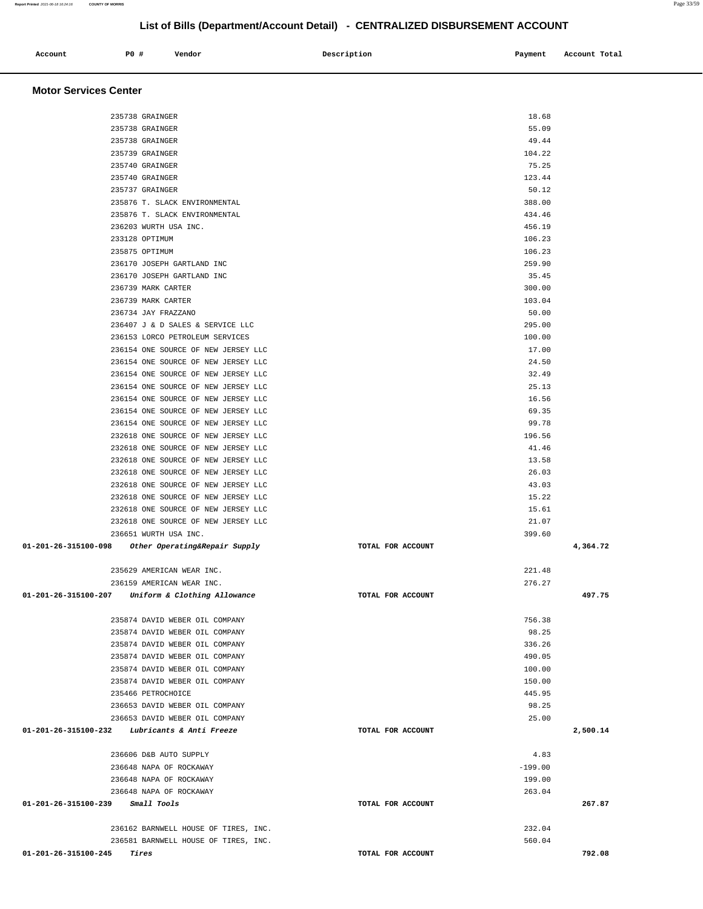### **Account P0 # Vendor Description Payment Account Total Motor Services Center**  235738 GRAINGER 18.68 235738 GRAINGER 55.09 235738 GRAINGER 49.44 235739 GRAINGER 104.22 235740 GRAINGER 75.25 235740 GRAINGER 123.44 235737 GRAINGER 50.12 235876 T. SLACK ENVIRONMENTAL 388.00 235876 T. SLACK ENVIRONMENTAL 434.46 236203 WURTH USA INC. 456.19 233128 OPTIMUM 106.23 235875 OPTIMUM 106.23 236170 JOSEPH GARTLAND INC 259.90 236170 JOSEPH GARTLAND INC 35.45 236739 MARK CARTER 300.00 236739 MARK CARTER 103.04 236734 JAY FRAZZANO 50.00 236407 J & D SALES & SERVICE LLC 295.00 236153 LORCO PETROLEUM SERVICES 100.00 236154 ONE SOURCE OF NEW JERSEY LLC 17.00 236154 ONE SOURCE OF NEW JERSEY LLC 24.50 236154 ONE SOURCE OF NEW JERSEY LLC 32.49 236154 ONE SOURCE OF NEW JERSEY LLC 25.13 236154 ONE SOURCE OF NEW JERSEY LLC 36 and 236154 ONE SOURCE 16.56 236154 ONE SOURCE OF NEW JERSEY LLC 69.35 236154 ONE SOURCE OF NEW JERSEY LLC 99.78 232618 ONE SOURCE OF NEW JERSEY LLC 196.56 232618 ONE SOURCE OF NEW JERSEY LLC 41.46 232618 ONE SOURCE OF NEW JERSEY LLC 13.58 232618 ONE SOURCE OF NEW JERSEY LLC 26.03 232618 ONE SOURCE OF NEW JERSEY LLC 43.03 232618 ONE SOURCE OF NEW JERSEY LLC 15.22 232618 ONE SOURCE OF NEW JERSEY LLC 15.61 232618 ONE SOURCE OF NEW JERSEY LLC 21.07 236651 WURTH USA INC. 399.60  **01-201-26-315100-098 Other Operating&Repair Supply TOTAL FOR ACCOUNT 4,364.72** 235629 AMERICAN WEAR INC. 221.48 236159 AMERICAN WEAR INC. 276.27  **01-201-26-315100-207 Uniform & Clothing Allowance TOTAL FOR ACCOUNT 497.75** 235874 DAVID WEBER OIL COMPANY 756.38 235874 DAVID WEBER OIL COMPANY 98.25 235874 DAVID WEBER OIL COMPANY 336.26 235874 DAVID WEBER OIL COMPANY 490.05 235874 DAVID WEBER OIL COMPANY 100.00 235874 DAVID WEBER OIL COMPANY 150.00 235466 PETROCHOICE 445.95 236653 DAVID WEBER OIL COMPANY 98.25 236653 DAVID WEBER OIL COMPANY 25.00  **01-201-26-315100-232 Lubricants & Anti Freeze TOTAL FOR ACCOUNT 2,500.14** 236606 D&B AUTO SUPPLY 4.83 236648 NAPA OF ROCKAWAY -199.00 236648 NAPA OF ROCKAWAY 199.00 236648 NAPA OF ROCKAWAY 263.04  **01-201-26-315100-239 Small Tools TOTAL FOR ACCOUNT 267.87** 236162 BARNWELL HOUSE OF TIRES, INC. 232.04 236581 BARNWELL HOUSE OF TIRES, INC. SALE AND THE SERVICE OF TIRES, INC.  **01-201-26-315100-245 Tires TOTAL FOR ACCOUNT 792.08**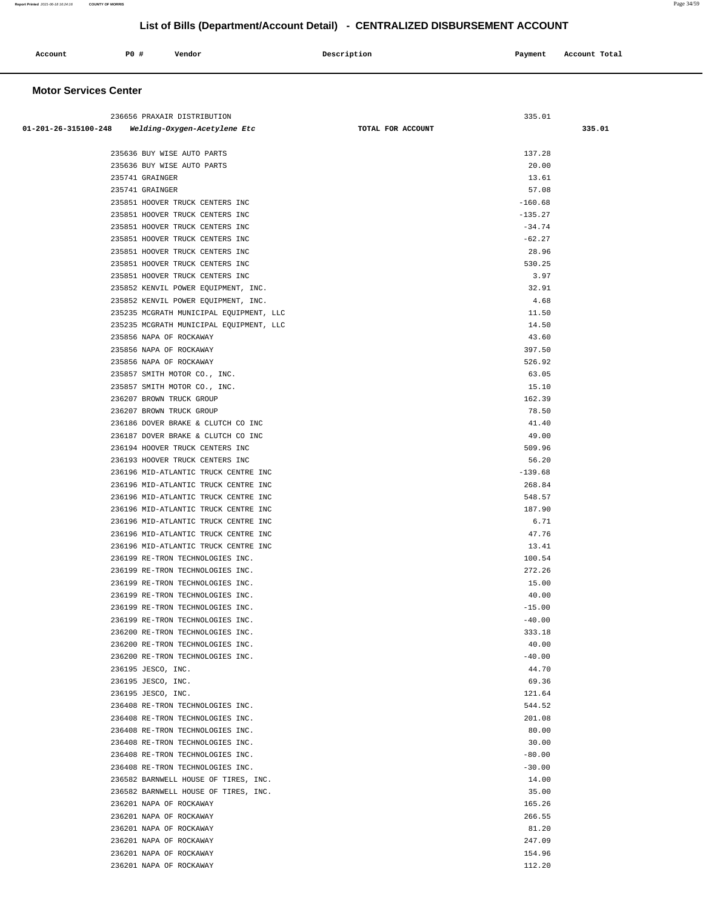| Account<br>. | P <sub>0</sub> | Vendor | Description | Payment | Account Total |
|--------------|----------------|--------|-------------|---------|---------------|
|              |                |        |             |         |               |

# **Motor Services Center**

| 236656 PRAXAIR DISTRIBUTION                                          | 335.01               |        |
|----------------------------------------------------------------------|----------------------|--------|
| 01-201-26-315100-248 Welding-Oxygen-Acetylene Etc                    | TOTAL FOR ACCOUNT    | 335.01 |
|                                                                      |                      |        |
| 235636 BUY WISE AUTO PARTS                                           | 137.28               |        |
| 235636 BUY WISE AUTO PARTS                                           | 20.00                |        |
| 235741 GRAINGER                                                      | 13.61                |        |
| 235741 GRAINGER                                                      | 57.08                |        |
| 235851 HOOVER TRUCK CENTERS INC                                      | $-160.68$            |        |
| 235851 HOOVER TRUCK CENTERS INC                                      | $-135.27$            |        |
| 235851 HOOVER TRUCK CENTERS INC                                      | $-34.74$             |        |
| 235851 HOOVER TRUCK CENTERS INC                                      | $-62.27$             |        |
| 235851 HOOVER TRUCK CENTERS INC                                      | 28.96                |        |
| 235851 HOOVER TRUCK CENTERS INC                                      | 530.25               |        |
| 235851 HOOVER TRUCK CENTERS INC                                      | 3.97                 |        |
| 235852 KENVIL POWER EQUIPMENT, INC.                                  | 32.91                |        |
| 235852 KENVIL POWER EQUIPMENT, INC.                                  | 4.68                 |        |
| 235235 MCGRATH MUNICIPAL EQUIPMENT, LLC                              | 11.50                |        |
| 235235 MCGRATH MUNICIPAL EQUIPMENT, LLC                              | 14.50                |        |
| 235856 NAPA OF ROCKAWAY                                              | 43.60                |        |
| 235856 NAPA OF ROCKAWAY                                              | 397.50               |        |
| 235856 NAPA OF ROCKAWAY                                              | 526.92               |        |
| 235857 SMITH MOTOR CO., INC.                                         | 63.05                |        |
| 235857 SMITH MOTOR CO., INC.                                         | 15.10                |        |
| 236207 BROWN TRUCK GROUP                                             | 162.39               |        |
| 236207 BROWN TRUCK GROUP                                             | 78.50                |        |
| 236186 DOVER BRAKE & CLUTCH CO INC                                   | 41.40                |        |
| 236187 DOVER BRAKE & CLUTCH CO INC                                   | 49.00                |        |
| 236194 HOOVER TRUCK CENTERS INC                                      | 509.96               |        |
| 236193 HOOVER TRUCK CENTERS INC                                      | 56.20                |        |
| 236196 MID-ATLANTIC TRUCK CENTRE INC                                 | $-139.68$            |        |
| 236196 MID-ATLANTIC TRUCK CENTRE INC                                 | 268.84               |        |
| 236196 MID-ATLANTIC TRUCK CENTRE INC                                 | 548.57               |        |
| 236196 MID-ATLANTIC TRUCK CENTRE INC                                 | 187.90               |        |
| 236196 MID-ATLANTIC TRUCK CENTRE INC                                 | 6.71                 |        |
| 236196 MID-ATLANTIC TRUCK CENTRE INC                                 | 47.76                |        |
| 236196 MID-ATLANTIC TRUCK CENTRE INC                                 | 13.41                |        |
| 236199 RE-TRON TECHNOLOGIES INC.                                     | 100.54               |        |
| 236199 RE-TRON TECHNOLOGIES INC.                                     | 272.26               |        |
| 236199 RE-TRON TECHNOLOGIES INC.                                     | 15.00                |        |
| 236199 RE-TRON TECHNOLOGIES INC.                                     | 40.00                |        |
| 236199 RE-TRON TECHNOLOGIES INC.                                     | $-15.00$             |        |
| 236199 RE-TRON TECHNOLOGIES INC.                                     | $-40.00$             |        |
| 236200 RE-TRON TECHNOLOGIES INC.                                     | 333.18               |        |
| 236200 RE-TRON TECHNOLOGIES INC.                                     | 40.00                |        |
| 236200 RE-TRON TECHNOLOGIES INC.                                     | $-40.00$             |        |
| 236195 JESCO, INC.                                                   | 44.70                |        |
| 236195 JESCO, INC.                                                   | 69.36                |        |
| 236195 JESCO, INC.                                                   | 121.64               |        |
| 236408 RE-TRON TECHNOLOGIES INC.                                     | 544.52               |        |
| 236408 RE-TRON TECHNOLOGIES INC.                                     | 201.08               |        |
| 236408 RE-TRON TECHNOLOGIES INC.                                     | 80.00                |        |
| 236408 RE-TRON TECHNOLOGIES INC.<br>236408 RE-TRON TECHNOLOGIES INC. | 30.00                |        |
|                                                                      | $-80.00$<br>$-30.00$ |        |
| 236408 RE-TRON TECHNOLOGIES INC.                                     |                      |        |
| 236582 BARNWELL HOUSE OF TIRES, INC.                                 | 14.00<br>35.00       |        |
| 236582 BARNWELL HOUSE OF TIRES, INC.                                 |                      |        |
| 236201 NAPA OF ROCKAWAY                                              | 165.26               |        |
| 236201 NAPA OF ROCKAWAY                                              | 266.55               |        |
| 236201 NAPA OF ROCKAWAY                                              | 81.20                |        |
| 236201 NAPA OF ROCKAWAY                                              | 247.09               |        |
| 236201 NAPA OF ROCKAWAY                                              | 154.96               |        |
| 236201 NAPA OF ROCKAWAY                                              | 112.20               |        |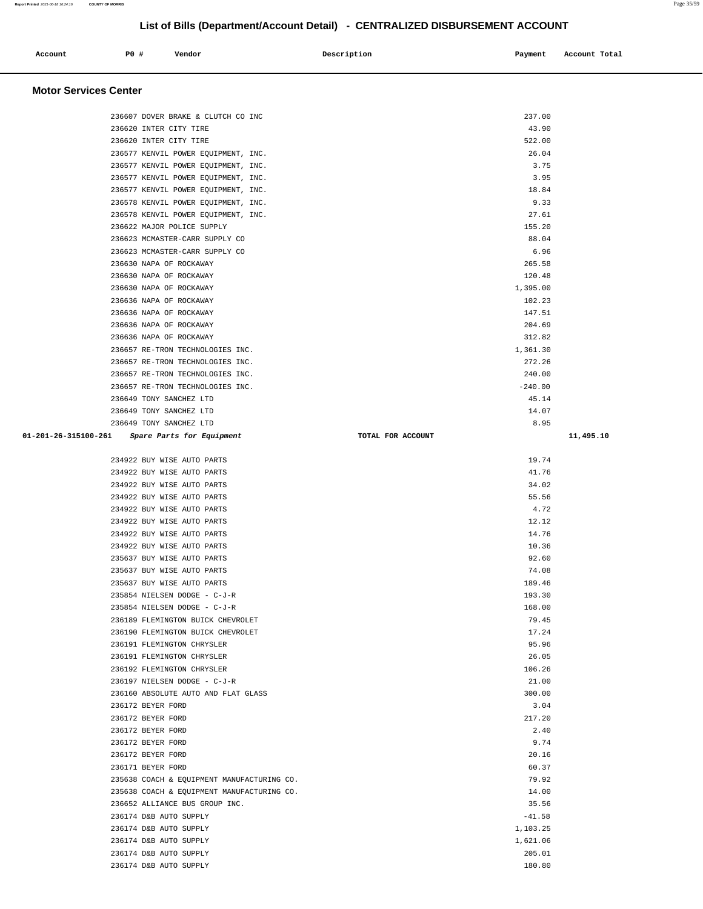| Account                      | <b>PO #</b> | Vendor                                                                     | Description       | Payment            | Account Total |
|------------------------------|-------------|----------------------------------------------------------------------------|-------------------|--------------------|---------------|
| <b>Motor Services Center</b> |             |                                                                            |                   |                    |               |
|                              |             |                                                                            |                   |                    |               |
|                              |             | 236607 DOVER BRAKE & CLUTCH CO INC                                         |                   | 237.00             |               |
|                              |             | 236620 INTER CITY TIRE                                                     |                   | 43.90              |               |
|                              |             | 236620 INTER CITY TIRE                                                     |                   | 522.00             |               |
|                              |             | 236577 KENVIL POWER EQUIPMENT, INC.                                        |                   | 26.04              |               |
|                              |             | 236577 KENVIL POWER EQUIPMENT, INC.                                        |                   | 3.75               |               |
|                              |             | 236577 KENVIL POWER EQUIPMENT, INC.                                        |                   | 3.95<br>18.84      |               |
|                              |             | 236577 KENVIL POWER EQUIPMENT, INC.<br>236578 KENVIL POWER EQUIPMENT, INC. |                   | 9.33               |               |
|                              |             | 236578 KENVIL POWER EQUIPMENT, INC.                                        |                   | 27.61              |               |
|                              |             | 236622 MAJOR POLICE SUPPLY                                                 |                   | 155.20             |               |
|                              |             | 236623 MCMASTER-CARR SUPPLY CO                                             |                   | 88.04              |               |
|                              |             | 236623 MCMASTER-CARR SUPPLY CO                                             |                   | 6.96               |               |
|                              |             | 236630 NAPA OF ROCKAWAY                                                    |                   | 265.58             |               |
|                              |             | 236630 NAPA OF ROCKAWAY                                                    |                   | 120.48             |               |
|                              |             | 236630 NAPA OF ROCKAWAY                                                    |                   | 1,395.00           |               |
|                              |             | 236636 NAPA OF ROCKAWAY                                                    |                   | 102.23             |               |
|                              |             | 236636 NAPA OF ROCKAWAY                                                    |                   | 147.51             |               |
|                              |             | 236636 NAPA OF ROCKAWAY                                                    |                   | 204.69             |               |
|                              |             | 236636 NAPA OF ROCKAWAY<br>236657 RE-TRON TECHNOLOGIES INC.                |                   | 312.82<br>1,361.30 |               |
|                              |             | 236657 RE-TRON TECHNOLOGIES INC.                                           |                   | 272.26             |               |
|                              |             | 236657 RE-TRON TECHNOLOGIES INC.                                           |                   | 240.00             |               |
|                              |             | 236657 RE-TRON TECHNOLOGIES INC.                                           |                   | $-240.00$          |               |
|                              |             | 236649 TONY SANCHEZ LTD                                                    |                   | 45.14              |               |
|                              |             | 236649 TONY SANCHEZ LTD                                                    |                   | 14.07              |               |
|                              |             | 236649 TONY SANCHEZ LTD                                                    |                   | 8.95               |               |
| 01-201-26-315100-261         |             | Spare Parts for Equipment                                                  | TOTAL FOR ACCOUNT |                    | 11,495.10     |
|                              |             | 234922 BUY WISE AUTO PARTS                                                 |                   | 19.74              |               |
|                              |             | 234922 BUY WISE AUTO PARTS                                                 |                   | 41.76              |               |
|                              |             | 234922 BUY WISE AUTO PARTS                                                 |                   | 34.02              |               |
|                              |             | 234922 BUY WISE AUTO PARTS                                                 |                   | 55.56              |               |
|                              |             | 234922 BUY WISE AUTO PARTS                                                 |                   | 4.72               |               |
|                              |             | 234922 BUY WISE AUTO PARTS                                                 |                   | 12.12              |               |
|                              |             | 234922 BUY WISE AUTO PARTS                                                 |                   | 14.76              |               |
|                              |             | 234922 BUY WISE AUTO PARTS<br>235637 BUY WISE AUTO PARTS                   |                   | 10.36<br>92.60     |               |
|                              |             | 235637 BUY WISE AUTO PARTS                                                 |                   | 74.08              |               |
|                              |             | 235637 BUY WISE AUTO PARTS                                                 |                   | 189.46             |               |
|                              |             | 235854 NIELSEN DODGE - C-J-R                                               |                   | 193.30             |               |
|                              |             | 235854 NIELSEN DODGE - C-J-R                                               |                   | 168.00             |               |
|                              |             | 236189 FLEMINGTON BUICK CHEVROLET                                          |                   | 79.45              |               |
|                              |             | 236190 FLEMINGTON BUICK CHEVROLET                                          |                   | 17.24              |               |
|                              |             | 236191 FLEMINGTON CHRYSLER                                                 |                   | 95.96              |               |
|                              |             | 236191 FLEMINGTON CHRYSLER                                                 |                   | 26.05              |               |
|                              |             | 236192 FLEMINGTON CHRYSLER                                                 |                   | 106.26             |               |
|                              |             | 236197 NIELSEN DODGE - C-J-R<br>236160 ABSOLUTE AUTO AND FLAT GLASS        |                   | 21.00              |               |
|                              |             | 236172 BEYER FORD                                                          |                   | 300.00<br>3.04     |               |
|                              |             | 236172 BEYER FORD                                                          |                   | 217.20             |               |
|                              |             | 236172 BEYER FORD                                                          |                   | 2.40               |               |
|                              |             | 236172 BEYER FORD                                                          |                   | 9.74               |               |
|                              |             | 236172 BEYER FORD                                                          |                   | 20.16              |               |
|                              |             | 236171 BEYER FORD                                                          |                   | 60.37              |               |
|                              |             | 235638 COACH & EQUIPMENT MANUFACTURING CO.                                 |                   | 79.92              |               |
|                              |             | 235638 COACH & EQUIPMENT MANUFACTURING CO.                                 |                   | 14.00              |               |
|                              |             | 236652 ALLIANCE BUS GROUP INC.                                             |                   | 35.56              |               |
|                              |             | 236174 D&B AUTO SUPPLY                                                     |                   | $-41.58$           |               |
|                              |             | 236174 D&B AUTO SUPPLY                                                     |                   | 1,103.25           |               |
|                              |             | 236174 D&B AUTO SUPPLY                                                     |                   | 1,621.06           |               |

236174 D&B AUTO SUPPLY 205.01

236174 D&B AUTO SUPPLY

**Report Printed** 2021-06-18 16:24:16 **COUNTY OF MORRIS** Page 35/59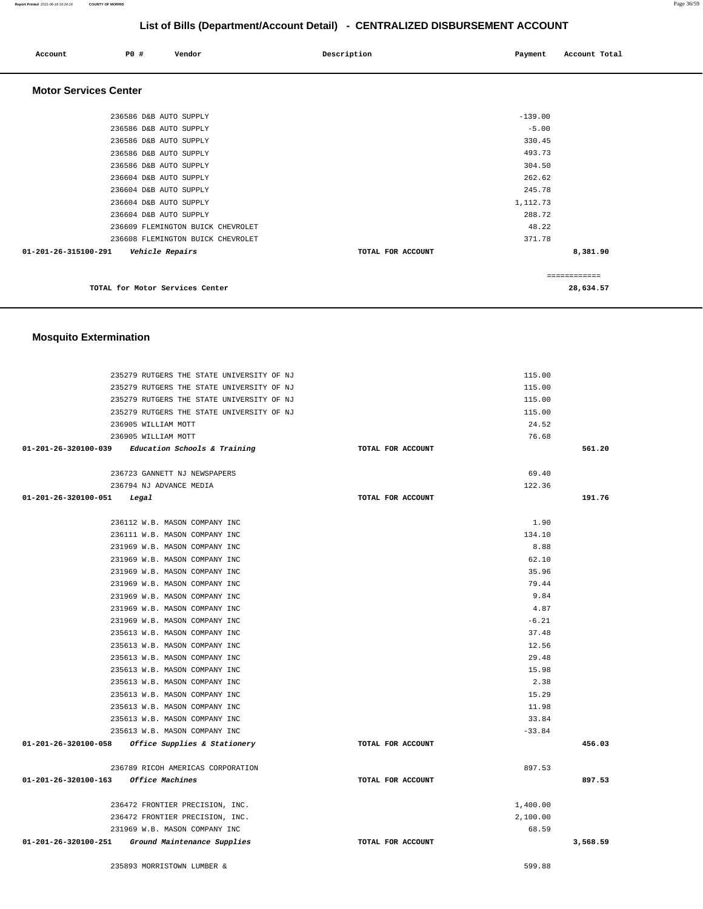#### **Report Printed** 2021-06-18 16:24:16 **COUNTY OF MORRIS** Page 36/59

# **List of Bills (Department/Account Detail) - CENTRALIZED DISBURSEMENT ACCOUNT**

| Account                      | P0 #                   | Vendor                            | Description       | Payment   | Account Total |  |
|------------------------------|------------------------|-----------------------------------|-------------------|-----------|---------------|--|
| <b>Motor Services Center</b> |                        |                                   |                   |           |               |  |
|                              | 236586 D&B AUTO SUPPLY |                                   |                   | $-139.00$ |               |  |
|                              | 236586 D&B AUTO SUPPLY |                                   |                   | $-5.00$   |               |  |
|                              | 236586 D&B AUTO SUPPLY |                                   |                   | 330.45    |               |  |
|                              | 236586 D&B AUTO SUPPLY |                                   |                   | 493.73    |               |  |
|                              | 236586 D&B AUTO SUPPLY |                                   |                   | 304.50    |               |  |
|                              | 236604 D&B AUTO SUPPLY |                                   |                   | 262.62    |               |  |
|                              | 236604 D&B AUTO SUPPLY |                                   |                   | 245.78    |               |  |
|                              | 236604 D&B AUTO SUPPLY |                                   |                   | 1,112.73  |               |  |
|                              | 236604 D&B AUTO SUPPLY |                                   |                   | 288.72    |               |  |
|                              |                        | 236609 FLEMINGTON BUICK CHEVROLET |                   | 48.22     |               |  |
|                              |                        | 236608 FLEMINGTON BUICK CHEVROLET |                   | 371.78    |               |  |
| 01-201-26-315100-291         |                        | Vehicle Repairs                   | TOTAL FOR ACCOUNT |           | 8,381.90      |  |
|                              |                        |                                   |                   |           | ============  |  |
|                              |                        | TOTAL for Motor Services Center   |                   |           | 28,634.57     |  |

### **Mosquito Extermination**

| 235279 RUTGERS THE STATE UNIVERSITY OF NJ                          |                   | 115.00               |          |
|--------------------------------------------------------------------|-------------------|----------------------|----------|
| 235279 RUTGERS THE STATE UNIVERSITY OF NJ                          |                   | 115.00               |          |
| 235279 RUTGERS THE STATE UNIVERSITY OF NJ                          |                   | 115.00               |          |
| 235279 RUTGERS THE STATE UNIVERSITY OF NJ                          |                   | 115.00               |          |
| 236905 WILLIAM MOTT                                                |                   | 24.52                |          |
| 236905 WILLIAM MOTT                                                |                   | 76.68                |          |
| $01-201-26-320100-039$ Education Schools & Training                | TOTAL FOR ACCOUNT |                      | 561.20   |
|                                                                    |                   |                      |          |
| 236723 GANNETT NJ NEWSPAPERS                                       |                   | 69.40                |          |
| 236794 NJ ADVANCE MEDIA                                            |                   | 122.36               |          |
| $01 - 201 - 26 - 320100 - 051$ Legal                               | TOTAL FOR ACCOUNT |                      | 191.76   |
|                                                                    |                   |                      |          |
| 236112 W.B. MASON COMPANY INC                                      |                   | 1.90                 |          |
| 236111 W.B. MASON COMPANY INC                                      |                   | 134.10               |          |
| 231969 W.B. MASON COMPANY INC                                      |                   | 8.88                 |          |
| 231969 W.B. MASON COMPANY INC                                      |                   | 62.10                |          |
| 231969 W.B. MASON COMPANY INC                                      |                   | 35.96                |          |
| 231969 W.B. MASON COMPANY INC                                      |                   | 79.44                |          |
| 231969 W.B. MASON COMPANY INC                                      |                   | 9.84                 |          |
| 231969 W.B. MASON COMPANY INC                                      |                   | 4.87                 |          |
| 231969 W.B. MASON COMPANY INC                                      |                   | $-6.21$              |          |
| 235613 W.B. MASON COMPANY INC                                      |                   | 37.48                |          |
| 235613 W.B. MASON COMPANY INC                                      |                   | 12.56                |          |
| 235613 W.B. MASON COMPANY INC                                      |                   | 29.48                |          |
| 235613 W.B. MASON COMPANY INC                                      |                   | 15.98                |          |
| 235613 W.B. MASON COMPANY INC                                      |                   | 2.38                 |          |
| 235613 W.B. MASON COMPANY INC                                      |                   | 15.29                |          |
| 235613 W.B. MASON COMPANY INC                                      |                   | 11.98                |          |
| 235613 W.B. MASON COMPANY INC                                      |                   | 33.84                |          |
| 235613 W.B. MASON COMPANY INC                                      |                   | $-33.84$             |          |
| 01-201-26-320100-058 Office Supplies & Stationery                  | TOTAL FOR ACCOUNT |                      | 456.03   |
|                                                                    |                   |                      |          |
| 236789 RICOH AMERICAS CORPORATION                                  |                   | 897.53               |          |
| 01-201-26-320100-163 Office Machines                               | TOTAL FOR ACCOUNT |                      | 897.53   |
|                                                                    |                   |                      |          |
| 236472 FRONTIER PRECISION, INC.<br>236472 FRONTIER PRECISION, INC. |                   | 1,400.00<br>2.100.00 |          |
| 231969 W.B. MASON COMPANY INC                                      |                   | 68.59                |          |
| 01-201-26-320100-251 Ground Maintenance Supplies                   | TOTAL FOR ACCOUNT |                      | 3,568.59 |
|                                                                    |                   |                      |          |
| 235893 MORRISTOWN LUMBER &                                         |                   | 599.88               |          |
|                                                                    |                   |                      |          |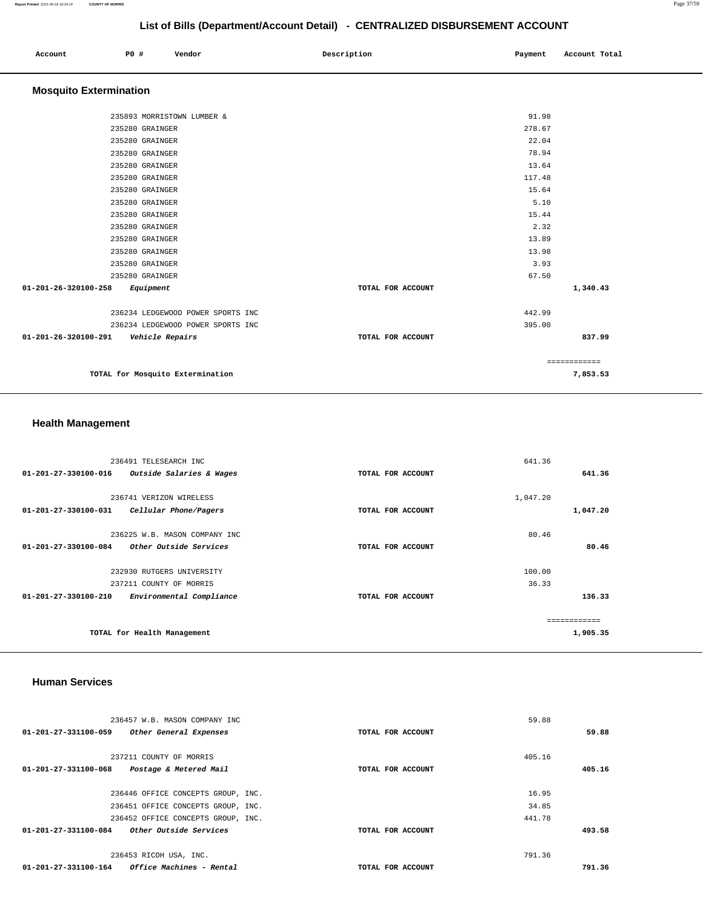#### **Report Printed** 2021-06-18 16:24:16 **COUNTY OF MORRIS** Page 37/59

# **List of Bills (Department/Account Detail) - CENTRALIZED DISBURSEMENT ACCOUNT**

| Account | P0 # | Vendor | Description | Payment | Account Total |
|---------|------|--------|-------------|---------|---------------|
|         |      |        |             |         |               |

# **Mosquito Extermination**

| 235893 MORRISTOWN LUMBER &                  |                   | 91.98  |              |
|---------------------------------------------|-------------------|--------|--------------|
| 235280 GRAINGER                             |                   | 278.67 |              |
| 235280 GRAINGER                             |                   | 22.04  |              |
| 235280 GRAINGER                             |                   | 78.94  |              |
| 235280 GRAINGER                             |                   | 13.64  |              |
| 235280 GRAINGER                             |                   | 117.48 |              |
| 235280 GRAINGER                             |                   | 15.64  |              |
| 235280 GRAINGER                             |                   | 5.10   |              |
| 235280 GRAINGER                             |                   | 15.44  |              |
| 235280 GRAINGER                             |                   | 2.32   |              |
| 235280 GRAINGER                             |                   | 13.89  |              |
| 235280 GRAINGER                             |                   | 13.98  |              |
| 235280 GRAINGER                             |                   | 3.93   |              |
| 235280 GRAINGER                             |                   | 67.50  |              |
| $01 - 201 - 26 - 320100 - 258$<br>Equipment | TOTAL FOR ACCOUNT |        | 1,340.43     |
| 236234 LEDGEWOOD POWER SPORTS INC           |                   | 442.99 |              |
| 236234 LEDGEWOOD POWER SPORTS INC           |                   | 395.00 |              |
| 01-201-26-320100-291<br>Vehicle Repairs     | TOTAL FOR ACCOUNT |        | 837.99       |
|                                             |                   |        | ============ |
| TOTAL for Mosquito Extermination            |                   |        | 7,853.53     |

# **Health Management**

| 236491 TELESEARCH INC                                      |                   | 641.36        |
|------------------------------------------------------------|-------------------|---------------|
| $01 - 201 - 27 - 330100 - 016$<br>Outside Salaries & Wages | TOTAL FOR ACCOUNT | 641.36        |
|                                                            |                   |               |
| 236741 VERIZON WIRELESS                                    |                   | 1,047.20      |
| 01-201-27-330100-031<br>Cellular Phone/Pagers              | TOTAL FOR ACCOUNT | 1,047.20      |
|                                                            |                   |               |
| 236225 W.B. MASON COMPANY INC                              |                   | 80.46         |
| 01-201-27-330100-084<br>Other Outside Services             | TOTAL FOR ACCOUNT | 80.46         |
| 232930 RUTGERS UNIVERSITY                                  |                   | 100.00        |
| 237211 COUNTY OF MORRIS                                    |                   | 36.33         |
| $01 - 201 - 27 - 330100 - 210$<br>Environmental Compliance | TOTAL FOR ACCOUNT | 136.33        |
|                                                            |                   | ------------- |
| TOTAL for Health Management                                |                   | 1,905.35      |
|                                                            |                   |               |

#### **Human Services**

| 236457 W.B. MASON COMPANY INC                                  |                   | 59.88  |        |
|----------------------------------------------------------------|-------------------|--------|--------|
| 01-201-27-331100-059<br>Other General Expenses                 | TOTAL FOR ACCOUNT |        | 59.88  |
|                                                                |                   |        |        |
| 237211 COUNTY OF MORRIS                                        |                   | 405.16 |        |
| $01 - 201 - 27 - 331100 - 068$<br>Postage & Metered Mail       | TOTAL FOR ACCOUNT |        | 405.16 |
|                                                                |                   |        |        |
| 236446 OFFICE CONCEPTS GROUP, INC.                             |                   | 16.95  |        |
| 236451 OFFICE CONCEPTS GROUP, INC.                             |                   | 34.85  |        |
| 236452 OFFICE CONCEPTS GROUP, INC.                             |                   | 441.78 |        |
| 01-201-27-331100-084<br>Other Outside Services                 | TOTAL FOR ACCOUNT |        | 493.58 |
|                                                                |                   |        |        |
| 236453 RICOH USA, INC.                                         |                   | 791.36 |        |
| 01-201-27-331100-164<br><i><b>Office Machines - Rental</b></i> | TOTAL FOR ACCOUNT |        | 791.36 |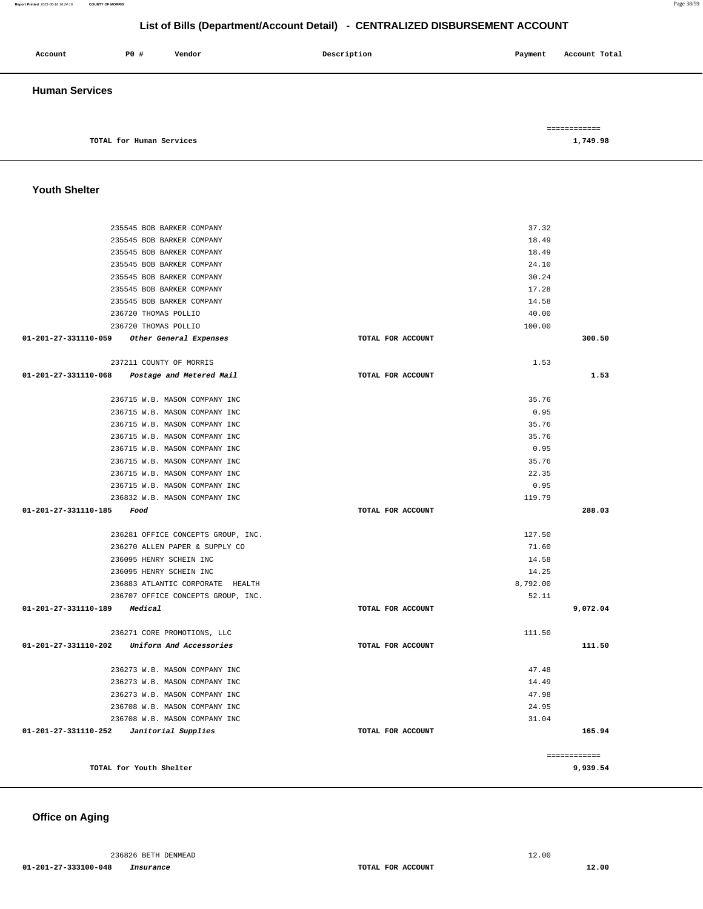#### **Report Printed** 2021-06-18 16:24:16 **COUNTY OF MORRIS** Page 38/59

# **List of Bills (Department/Account Detail) - CENTRALIZED DISBURSEMENT ACCOUNT**

| Account               | P0 #                     | Vendor | Description | Payment | Account Total            |
|-----------------------|--------------------------|--------|-------------|---------|--------------------------|
| <b>Human Services</b> |                          |        |             |         |                          |
|                       | TOTAL for Human Services |        |             |         | ============<br>1,749.98 |

### **Youth Shelter**

| 235545 BOB BARKER COMPANY                       |                   | 37.32    |              |
|-------------------------------------------------|-------------------|----------|--------------|
| 235545 BOB BARKER COMPANY                       |                   | 18.49    |              |
| 235545 BOB BARKER COMPANY                       |                   | 18.49    |              |
| 235545 BOB BARKER COMPANY                       |                   | 24.10    |              |
| 235545 BOB BARKER COMPANY                       |                   | 30.24    |              |
| 235545 BOB BARKER COMPANY                       |                   | 17.28    |              |
| 235545 BOB BARKER COMPANY                       |                   | 14.58    |              |
| 236720 THOMAS POLLIO                            |                   | 40.00    |              |
| 236720 THOMAS POLLIO                            |                   | 100.00   |              |
| 01-201-27-331110-059 Other General Expenses     | TOTAL FOR ACCOUNT |          | 300.50       |
| 237211 COUNTY OF MORRIS                         |                   | 1.53     |              |
| 01-201-27-331110-068 Postage and Metered Mail   | TOTAL FOR ACCOUNT |          | 1.53         |
|                                                 |                   |          |              |
| 236715 W.B. MASON COMPANY INC                   |                   | 35.76    |              |
| 236715 W.B. MASON COMPANY INC                   |                   | 0.95     |              |
| 236715 W.B. MASON COMPANY INC                   |                   | 35.76    |              |
| 236715 W.B. MASON COMPANY INC                   |                   | 35.76    |              |
| 236715 W.B. MASON COMPANY INC                   |                   | 0.95     |              |
| 236715 W.B. MASON COMPANY INC                   |                   | 35.76    |              |
| 236715 W.B. MASON COMPANY INC                   |                   | 22.35    |              |
| 236715 W.B. MASON COMPANY INC                   |                   | 0.95     |              |
| 236832 W.B. MASON COMPANY INC                   |                   | 119.79   |              |
| 01-201-27-331110-185 Food                       | TOTAL FOR ACCOUNT |          | 288.03       |
|                                                 |                   |          |              |
| 236281 OFFICE CONCEPTS GROUP, INC.              |                   | 127.50   |              |
| 236270 ALLEN PAPER & SUPPLY CO                  |                   | 71.60    |              |
| 236095 HENRY SCHEIN INC                         |                   | 14.58    |              |
| 236095 HENRY SCHEIN INC                         |                   | 14.25    |              |
| 236883 ATLANTIC CORPORATE HEALTH                |                   | 8,792.00 |              |
| 236707 OFFICE CONCEPTS GROUP, INC.              |                   | 52.11    |              |
| 01-201-27-331110-189 Medical                    | TOTAL FOR ACCOUNT |          | 9,072.04     |
| 236271 CORE PROMOTIONS, LLC                     |                   | 111.50   |              |
| 01-201-27-331110-202<br>Uniform And Accessories | TOTAL FOR ACCOUNT |          | 111.50       |
|                                                 |                   |          |              |
| 236273 W.B. MASON COMPANY INC                   |                   | 47.48    |              |
| 236273 W.B. MASON COMPANY INC                   |                   | 14.49    |              |
| 236273 W.B. MASON COMPANY INC                   |                   | 47.98    |              |
| 236708 W.B. MASON COMPANY INC                   |                   | 24.95    |              |
| 236708 W.B. MASON COMPANY INC                   |                   | 31.04    |              |
| $01-201-27-331110-252$ Janitorial Supplies      | TOTAL FOR ACCOUNT |          | 165.94       |
|                                                 |                   |          |              |
|                                                 |                   |          | ============ |
| TOTAL for Youth Shelter                         |                   |          | 9,939.54     |
|                                                 |                   |          |              |

### **Office on Aging**

236826 BETH DENMEAD 12.00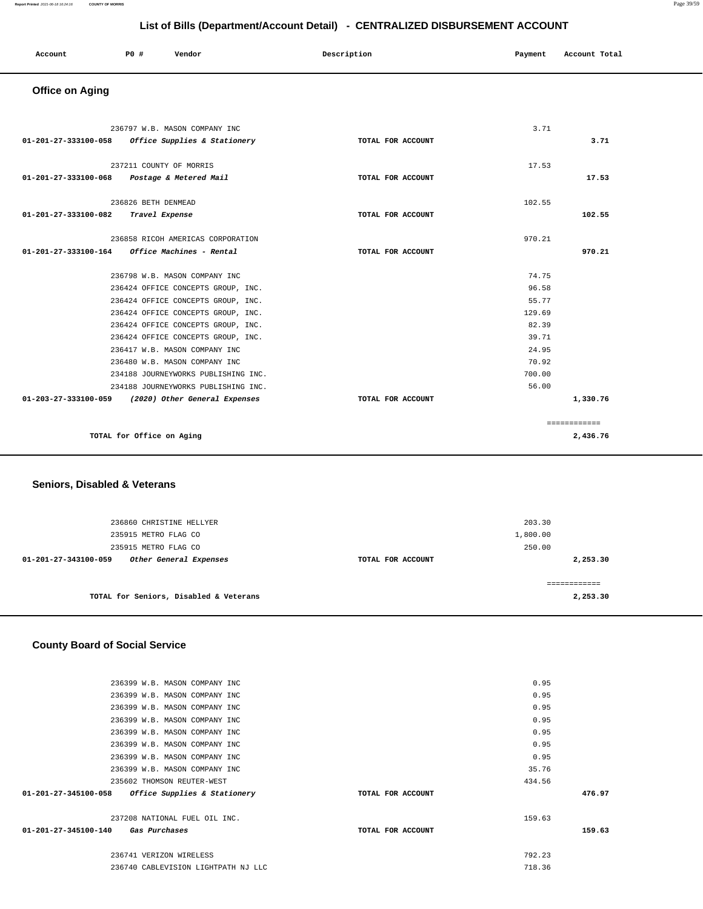#### **Report Printed** 2021-06-18 16:24:16 **COUNTY OF MORRIS** Page 39/59

# **List of Bills (Department/Account Detail) - CENTRALIZED DISBURSEMENT ACCOUNT**

| Account | P0 # | Vendor | Description | Payment | Account Total |
|---------|------|--------|-------------|---------|---------------|
|         |      |        |             |         |               |

# **Office on Aging**

|                                     | 236797 W.B. MASON COMPANY INC<br>01-201-27-333100-058 Office Supplies & Stationery | TOTAL FOR ACCOUNT | 3.71   | 3.71          |
|-------------------------------------|------------------------------------------------------------------------------------|-------------------|--------|---------------|
|                                     | 237211 COUNTY OF MORRIS<br>01-201-27-333100-068 Postage & Metered Mail             | TOTAL FOR ACCOUNT | 17.53  | 17.53         |
|                                     | 236826 BETH DENMEAD                                                                |                   | 102.55 |               |
| 01-201-27-333100-082 Travel Expense |                                                                                    | TOTAL FOR ACCOUNT |        | 102.55        |
|                                     | 236858 RICOH AMERICAS CORPORATION                                                  |                   | 970.21 |               |
|                                     |                                                                                    | TOTAL FOR ACCOUNT |        | 970.21        |
|                                     | 236798 W.B. MASON COMPANY INC                                                      |                   | 74.75  |               |
|                                     | 236424 OFFICE CONCEPTS GROUP, INC.                                                 |                   | 96.58  |               |
|                                     | 236424 OFFICE CONCEPTS GROUP, INC.                                                 |                   | 55.77  |               |
|                                     | 236424 OFFICE CONCEPTS GROUP, INC.                                                 |                   | 129.69 |               |
|                                     | 236424 OFFICE CONCEPTS GROUP, INC.                                                 |                   | 82.39  |               |
|                                     | 236424 OFFICE CONCEPTS GROUP, INC.                                                 |                   | 39.71  |               |
|                                     | 236417 W.B. MASON COMPANY INC                                                      |                   | 24.95  |               |
|                                     | 236480 W.B. MASON COMPANY INC                                                      |                   | 70.92  |               |
|                                     | 234188 JOURNEYWORKS PUBLISHING INC.                                                |                   | 700.00 |               |
|                                     | 234188 JOURNEYWORKS PUBLISHING INC.                                                |                   | 56.00  |               |
|                                     | 01-203-27-333100-059 (2020) Other General Expenses                                 | TOTAL FOR ACCOUNT |        | 1,330.76      |
|                                     |                                                                                    |                   |        | ------------- |
|                                     | TOTAL for Office on Aging                                                          |                   |        | 2,436.76      |

# **Seniors, Disabled & Veterans**

| 236860 CHRISTINE HELLYER<br>235915 METRO FLAG CO<br>235915 METRO FLAG CO |                   | 203.30<br>1,800.00<br>250.00 |
|--------------------------------------------------------------------------|-------------------|------------------------------|
| Other General Expenses<br>01-201-27-343100-059                           | TOTAL FOR ACCOUNT | 2,253.30                     |
| TOTAL for Seniors, Disabled & Veterans                                   |                   | 2,253.30                     |

### **County Board of Social Service**

| 236399 W.B. MASON COMPANY INC                       |                   | 0.95   |        |
|-----------------------------------------------------|-------------------|--------|--------|
| 236399 W.B. MASON COMPANY INC                       |                   | 0.95   |        |
| 236399 W.B. MASON COMPANY INC                       |                   | 0.95   |        |
| 236399 W.B. MASON COMPANY INC                       |                   | 0.95   |        |
| 236399 W.B. MASON COMPANY INC                       |                   | 0.95   |        |
| 236399 W.B. MASON COMPANY INC                       |                   | 0.95   |        |
| 236399 W.B. MASON COMPANY INC                       |                   | 0.95   |        |
| 236399 W.B. MASON COMPANY INC                       |                   | 35.76  |        |
| 235602 THOMSON REUTER-WEST                          |                   | 434.56 |        |
| $01-201-27-345100-058$ Office Supplies & Stationery | TOTAL FOR ACCOUNT |        | 476.97 |
| 237208 NATIONAL FUEL OIL INC.                       |                   | 159.63 |        |
| 01-201-27-345100-140 Gas Purchases                  | TOTAL FOR ACCOUNT |        | 159.63 |
| 236741 VERIZON WIRELESS                             |                   | 792.23 |        |
| 236740 CABLEVISION LIGHTPATH NJ LLC                 |                   | 718.36 |        |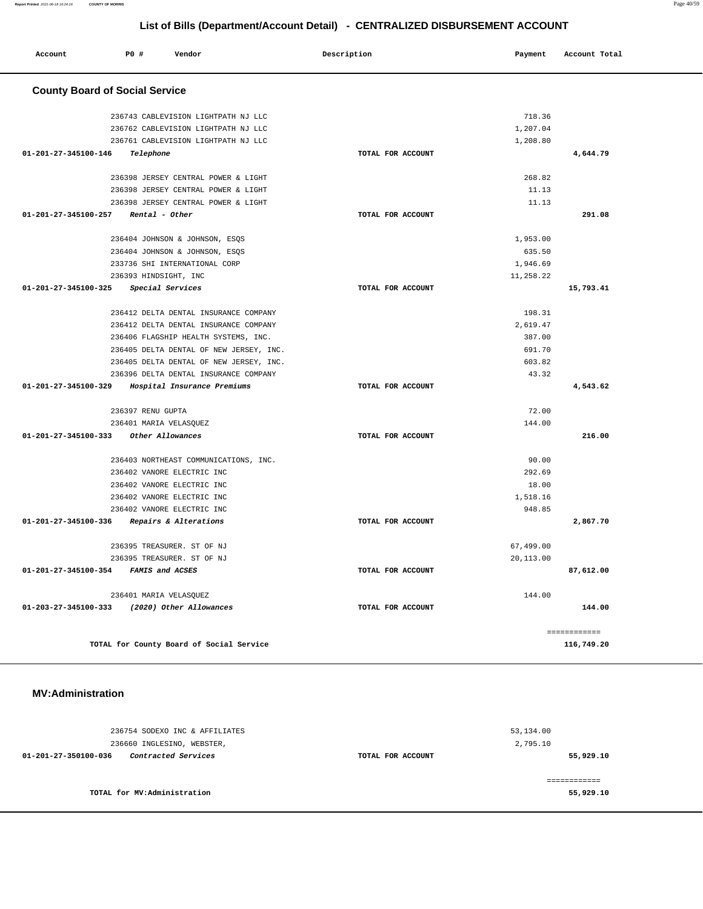| Account                               | P0 # | Vendor                                   | Description |                   | Payment   | Account Total |
|---------------------------------------|------|------------------------------------------|-------------|-------------------|-----------|---------------|
| <b>County Board of Social Service</b> |      |                                          |             |                   |           |               |
|                                       |      | 236743 CABLEVISION LIGHTPATH NJ LLC      |             |                   | 718.36    |               |
|                                       |      | 236762 CABLEVISION LIGHTPATH NJ LLC      |             |                   | 1,207.04  |               |
|                                       |      | 236761 CABLEVISION LIGHTPATH NJ LLC      |             |                   | 1,208.80  |               |
| 01-201-27-345100-146                  |      | Telephone                                |             | TOTAL FOR ACCOUNT |           | 4,644.79      |
|                                       |      | 236398 JERSEY CENTRAL POWER & LIGHT      |             |                   | 268.82    |               |
|                                       |      | 236398 JERSEY CENTRAL POWER & LIGHT      |             |                   | 11.13     |               |
|                                       |      | 236398 JERSEY CENTRAL POWER & LIGHT      |             |                   | 11.13     |               |
| 01-201-27-345100-257                  |      | Rental - Other                           |             | TOTAL FOR ACCOUNT |           | 291.08        |
|                                       |      | 236404 JOHNSON & JOHNSON, ESQS           |             |                   | 1,953.00  |               |
|                                       |      | 236404 JOHNSON & JOHNSON, ESQS           |             |                   | 635.50    |               |
|                                       |      | 233736 SHI INTERNATIONAL CORP            |             |                   | 1,946.69  |               |
|                                       |      | 236393 HINDSIGHT, INC                    |             |                   | 11,258.22 |               |
| 01-201-27-345100-325                  |      | Special Services                         |             | TOTAL FOR ACCOUNT |           | 15,793.41     |
|                                       |      | 236412 DELTA DENTAL INSURANCE COMPANY    |             |                   | 198.31    |               |
|                                       |      | 236412 DELTA DENTAL INSURANCE COMPANY    |             |                   | 2,619.47  |               |
|                                       |      | 236406 FLAGSHIP HEALTH SYSTEMS, INC.     |             |                   | 387.00    |               |
|                                       |      | 236405 DELTA DENTAL OF NEW JERSEY, INC.  |             |                   | 691.70    |               |
|                                       |      | 236405 DELTA DENTAL OF NEW JERSEY, INC.  |             |                   | 603.82    |               |
|                                       |      | 236396 DELTA DENTAL INSURANCE COMPANY    |             |                   | 43.32     |               |
| 01-201-27-345100-329                  |      | Hospital Insurance Premiums              |             | TOTAL FOR ACCOUNT |           | 4,543.62      |
|                                       |      | 236397 RENU GUPTA                        |             |                   | 72.00     |               |
|                                       |      | 236401 MARIA VELASQUEZ                   |             |                   | 144.00    |               |
| 01-201-27-345100-333                  |      | Other Allowances                         |             | TOTAL FOR ACCOUNT |           | 216.00        |
|                                       |      | 236403 NORTHEAST COMMUNICATIONS, INC.    |             |                   | 90.00     |               |
|                                       |      | 236402 VANORE ELECTRIC INC               |             |                   | 292.69    |               |
|                                       |      | 236402 VANORE ELECTRIC INC               |             |                   | 18.00     |               |
|                                       |      | 236402 VANORE ELECTRIC INC               |             |                   | 1,518.16  |               |
|                                       |      | 236402 VANORE ELECTRIC INC               |             |                   | 948.85    |               |
| 01-201-27-345100-336                  |      | Repairs & Alterations                    |             | TOTAL FOR ACCOUNT |           | 2,867.70      |
|                                       |      | 236395 TREASURER. ST OF NJ               |             |                   | 67,499.00 |               |
|                                       |      | 236395 TREASURER. ST OF NJ               |             |                   | 20,113.00 |               |
| 01-201-27-345100-354                  |      | FAMIS and ACSES                          |             | TOTAL FOR ACCOUNT |           | 87,612.00     |
|                                       |      | 236401 MARIA VELASQUEZ                   |             |                   | 144.00    |               |
| $01 - 203 - 27 - 345100 - 333$        |      | (2020) Other Allowances                  |             | TOTAL FOR ACCOUNT |           | 144.00        |
|                                       |      |                                          |             |                   |           | ------------  |
|                                       |      | TOTAL for County Board of Social Service |             |                   |           | 116,749.20    |

#### **MV:Administration**

| 53,134.00                                  |
|--------------------------------------------|
| 2,795.10<br>55,929.10<br>TOTAL FOR ACCOUNT |
| 55,929.10                                  |
|                                            |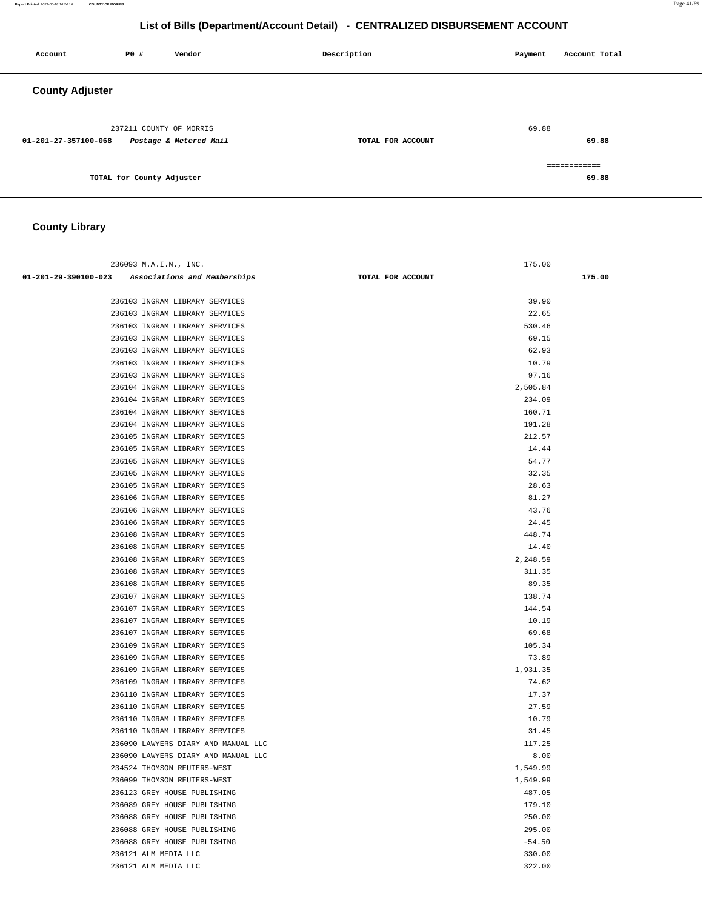#### **Report Printed** 2021-06-18 16:24:16 **COUNTY OF MORRIS** Page 41/59

# **List of Bills (Department/Account Detail) - CENTRALIZED DISBURSEMENT ACCOUNT**

| Account                | P0 #                      | Vendor                 | Description       | Payment | Account Total         |
|------------------------|---------------------------|------------------------|-------------------|---------|-----------------------|
| <b>County Adjuster</b> |                           |                        |                   |         |                       |
| 01-201-27-357100-068   | 237211 COUNTY OF MORRIS   | Postage & Metered Mail | TOTAL FOR ACCOUNT | 69.88   | 69.88                 |
|                        | TOTAL for County Adjuster |                        |                   |         | ============<br>69.88 |

# **County Library**

| 236093 M.A.I.N., INC.                             | 175.00            |        |
|---------------------------------------------------|-------------------|--------|
| 01-201-29-390100-023 Associations and Memberships | TOTAL FOR ACCOUNT | 175.00 |
|                                                   |                   |        |
| 236103 INGRAM LIBRARY SERVICES                    | 39.90             |        |
| 236103 INGRAM LIBRARY SERVICES                    | 22.65             |        |
| 236103 INGRAM LIBRARY SERVICES                    | 530.46            |        |
| 236103 INGRAM LIBRARY SERVICES                    | 69.15             |        |
| 236103 INGRAM LIBRARY SERVICES                    | 62.93             |        |
| 236103 INGRAM LIBRARY SERVICES                    | 10.79             |        |
| 236103 INGRAM LIBRARY SERVICES                    | 97.16             |        |
| 236104 INGRAM LIBRARY SERVICES                    | 2,505.84          |        |
| 236104 INGRAM LIBRARY SERVICES                    | 234.09            |        |
| 236104 INGRAM LIBRARY SERVICES                    | 160.71            |        |
| 236104 INGRAM LIBRARY SERVICES                    | 191.28            |        |
| 236105 INGRAM LIBRARY SERVICES                    | 212.57            |        |
| 236105 INGRAM LIBRARY SERVICES                    | 14.44             |        |
| 236105 INGRAM LIBRARY SERVICES                    | 54.77             |        |
| 236105 INGRAM LIBRARY SERVICES                    | 32.35             |        |
| 236105 INGRAM LIBRARY SERVICES                    | 28.63             |        |
| 236106 INGRAM LIBRARY SERVICES                    | 81.27             |        |
| 236106 INGRAM LIBRARY SERVICES                    | 43.76             |        |
| 236106 INGRAM LIBRARY SERVICES                    | 24.45             |        |
| 236108 INGRAM LIBRARY SERVICES                    | 448.74            |        |
| 236108 INGRAM LIBRARY SERVICES                    | 14.40             |        |
| 236108 INGRAM LIBRARY SERVICES                    | 2,248.59          |        |
| 236108 INGRAM LIBRARY SERVICES                    | 311.35            |        |
| 236108 INGRAM LIBRARY SERVICES                    | 89.35             |        |
| 236107 INGRAM LIBRARY SERVICES                    | 138.74            |        |
| 236107 INGRAM LIBRARY SERVICES                    | 144.54            |        |
| 236107 INGRAM LIBRARY SERVICES                    | 10.19             |        |
| 236107 INGRAM LIBRARY SERVICES                    | 69.68             |        |
| 236109 INGRAM LIBRARY SERVICES                    | 105.34            |        |
| 236109 INGRAM LIBRARY SERVICES                    | 73.89             |        |
| 236109 INGRAM LIBRARY SERVICES                    | 1,931.35          |        |
| 236109 INGRAM LIBRARY SERVICES                    | 74.62             |        |
| 236110 INGRAM LIBRARY SERVICES                    | 17.37             |        |
| 236110 INGRAM LIBRARY SERVICES                    | 27.59             |        |
| 236110 INGRAM LIBRARY SERVICES                    | 10.79             |        |
| 236110 INGRAM LIBRARY SERVICES                    | 31.45             |        |
| 236090 LAWYERS DIARY AND MANUAL LLC               | 117.25            |        |
| 236090 LAWYERS DIARY AND MANUAL LLC               | 8.00              |        |
| 234524 THOMSON REUTERS-WEST                       | 1,549.99          |        |
| 236099 THOMSON REUTERS-WEST                       | 1,549.99          |        |
| 236123 GREY HOUSE PUBLISHING                      | 487.05            |        |
| 236089 GREY HOUSE PUBLISHING                      | 179.10            |        |
| 236088 GREY HOUSE PUBLISHING                      | 250.00<br>295.00  |        |
| 236088 GREY HOUSE PUBLISHING                      |                   |        |
| 236088 GREY HOUSE PUBLISHING                      | $-54.50$          |        |
| 236121 ALM MEDIA LLC                              | 330.00            |        |
| 236121 ALM MEDIA LLC                              | 322.00            |        |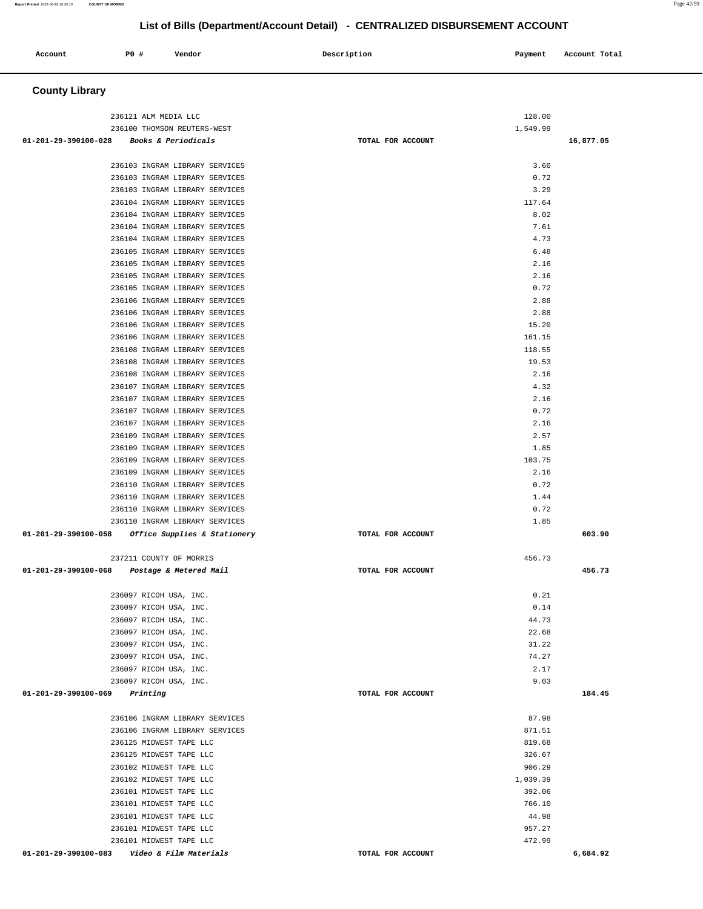| Account                        | <b>PO #</b>                                                      | Vendor                       | Description       | Payment          | Account Total |
|--------------------------------|------------------------------------------------------------------|------------------------------|-------------------|------------------|---------------|
| <b>County Library</b>          |                                                                  |                              |                   |                  |               |
|                                | 236121 ALM MEDIA LLC                                             |                              |                   | 128.00           |               |
|                                | 236100 THOMSON REUTERS-WEST                                      |                              |                   | 1,549.99         |               |
| $01 - 201 - 29 - 390100 - 028$ | <i>Books &amp; Periodicals</i>                                   |                              | TOTAL FOR ACCOUNT |                  | 16,877.05     |
|                                |                                                                  |                              |                   |                  |               |
|                                | 236103 INGRAM LIBRARY SERVICES                                   |                              |                   | 3.60             |               |
|                                | 236103 INGRAM LIBRARY SERVICES                                   |                              |                   | 0.72             |               |
|                                | 236103 INGRAM LIBRARY SERVICES                                   |                              |                   | 3.29             |               |
|                                | 236104 INGRAM LIBRARY SERVICES                                   |                              |                   | 117.64           |               |
|                                | 236104 INGRAM LIBRARY SERVICES<br>236104 INGRAM LIBRARY SERVICES |                              |                   | 8.02<br>7.61     |               |
|                                | 236104 INGRAM LIBRARY SERVICES                                   |                              |                   | 4.73             |               |
|                                | 236105 INGRAM LIBRARY SERVICES                                   |                              |                   | 6.48             |               |
|                                | 236105 INGRAM LIBRARY SERVICES                                   |                              |                   | 2.16             |               |
|                                | 236105 INGRAM LIBRARY SERVICES                                   |                              |                   | 2.16             |               |
|                                | 236105 INGRAM LIBRARY SERVICES                                   |                              |                   | 0.72             |               |
|                                | 236106 INGRAM LIBRARY SERVICES                                   |                              |                   | 2.88             |               |
|                                | 236106 INGRAM LIBRARY SERVICES                                   |                              |                   | 2.88             |               |
|                                | 236106 INGRAM LIBRARY SERVICES                                   |                              |                   | 15.20            |               |
|                                | 236106 INGRAM LIBRARY SERVICES                                   |                              |                   | 161.15           |               |
|                                | 236108 INGRAM LIBRARY SERVICES<br>236108 INGRAM LIBRARY SERVICES |                              |                   | 118.55<br>19.53  |               |
|                                | 236108 INGRAM LIBRARY SERVICES                                   |                              |                   | 2.16             |               |
|                                | 236107 INGRAM LIBRARY SERVICES                                   |                              |                   | 4.32             |               |
|                                | 236107 INGRAM LIBRARY SERVICES                                   |                              |                   | 2.16             |               |
|                                | 236107 INGRAM LIBRARY SERVICES                                   |                              |                   | 0.72             |               |
|                                | 236107 INGRAM LIBRARY SERVICES                                   |                              |                   | 2.16             |               |
|                                | 236109 INGRAM LIBRARY SERVICES                                   |                              |                   | 2.57             |               |
|                                | 236109 INGRAM LIBRARY SERVICES                                   |                              |                   | 1.85             |               |
|                                | 236109 INGRAM LIBRARY SERVICES                                   |                              |                   | 103.75           |               |
|                                | 236109 INGRAM LIBRARY SERVICES                                   |                              |                   | 2.16             |               |
|                                | 236110 INGRAM LIBRARY SERVICES<br>236110 INGRAM LIBRARY SERVICES |                              |                   | 0.72<br>1.44     |               |
|                                | 236110 INGRAM LIBRARY SERVICES                                   |                              |                   | 0.72             |               |
|                                | 236110 INGRAM LIBRARY SERVICES                                   |                              |                   | 1.85             |               |
| 01-201-29-390100-058           |                                                                  | Office Supplies & Stationery | TOTAL FOR ACCOUNT |                  | 603.90        |
|                                |                                                                  |                              |                   |                  |               |
|                                | 237211 COUNTY OF MORRIS                                          |                              |                   | 456.73           |               |
| 01-201-29-390100-068           | Postage & Metered Mail                                           |                              | TOTAL FOR ACCOUNT |                  | 456.73        |
|                                |                                                                  |                              |                   |                  |               |
|                                | 236097 RICOH USA, INC.                                           |                              |                   | 0.21             |               |
|                                | 236097 RICOH USA, INC.<br>236097 RICOH USA, INC.                 |                              |                   | 0.14<br>44.73    |               |
|                                | 236097 RICOH USA, INC.                                           |                              |                   | 22.68            |               |
|                                | 236097 RICOH USA, INC.                                           |                              |                   | 31.22            |               |
|                                | 236097 RICOH USA, INC.                                           |                              |                   | 74.27            |               |
|                                | 236097 RICOH USA, INC.                                           |                              |                   | 2.17             |               |
|                                | 236097 RICOH USA, INC.                                           |                              |                   | 9.03             |               |
| 01-201-29-390100-069           | Printing                                                         |                              | TOTAL FOR ACCOUNT |                  | 184.45        |
|                                |                                                                  |                              |                   |                  |               |
|                                | 236106 INGRAM LIBRARY SERVICES                                   |                              |                   | 87.98            |               |
|                                | 236106 INGRAM LIBRARY SERVICES<br>236125 MIDWEST TAPE LLC        |                              |                   | 871.51<br>819.68 |               |
|                                | 236125 MIDWEST TAPE LLC                                          |                              |                   | 326.67           |               |
|                                | 236102 MIDWEST TAPE LLC                                          |                              |                   | 906.29           |               |
|                                | 236102 MIDWEST TAPE LLC                                          |                              |                   | 1,039.39         |               |
|                                | 236101 MIDWEST TAPE LLC                                          |                              |                   | 392.06           |               |
|                                | 236101 MIDWEST TAPE LLC                                          |                              |                   | 766.10           |               |
|                                | 236101 MIDWEST TAPE LLC                                          |                              |                   | 44.98            |               |
|                                | 236101 MIDWEST TAPE LLC                                          |                              |                   | 957.27           |               |
|                                | 236101 MIDWEST TAPE LLC                                          |                              |                   | 472.99           |               |
|                                | 01-201-29-390100-083    Video & Film Materials                   |                              | TOTAL FOR ACCOUNT |                  | 6,684.92      |

**Report Printed** 2021-06-18 16:24:16 **COUNTY OF MORRIS** Page 42/59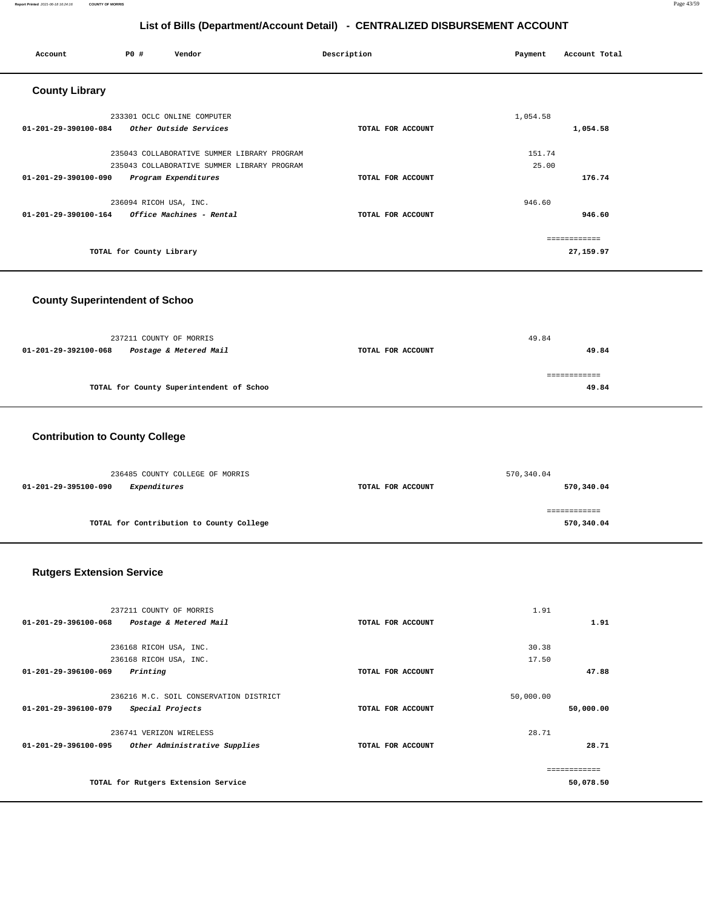#### **Report Printed** 2021-06-18 16:24:16 **COUNTY OF MORRIS** Page 43/59

# **List of Bills (Department/Account Detail) - CENTRALIZED DISBURSEMENT ACCOUNT**

| P0 #<br>Vendor<br>Account                                                                  | Description       | Account Total<br>Payment |
|--------------------------------------------------------------------------------------------|-------------------|--------------------------|
| <b>County Library</b>                                                                      |                   |                          |
| 233301 OCLC ONLINE COMPUTER                                                                |                   | 1,054.58                 |
| Other Outside Services<br>01-201-29-390100-084                                             | TOTAL FOR ACCOUNT | 1,054.58                 |
| 235043 COLLABORATIVE SUMMER LIBRARY PROGRAM<br>235043 COLLABORATIVE SUMMER LIBRARY PROGRAM |                   | 151.74<br>25.00          |
| Program Expenditures<br>01-201-29-390100-090                                               | TOTAL FOR ACCOUNT | 176.74                   |
| 236094 RICOH USA, INC.                                                                     |                   | 946.60                   |
| $01 - 201 - 29 - 390100 - 164$<br>Office Machines - Rental                                 | TOTAL FOR ACCOUNT | 946.60                   |
|                                                                                            |                   | ============             |
| TOTAL for County Library                                                                   |                   | 27,159.97                |

# **County Superintendent of Schoo**

|                      | 237211 COUNTY OF MORRIS                  |                   | 49.84 |
|----------------------|------------------------------------------|-------------------|-------|
| 01-201-29-392100-068 | Postage & Metered Mail                   | TOTAL FOR ACCOUNT | 49.84 |
|                      |                                          |                   |       |
|                      | TOTAL for County Superintendent of Schoo |                   | 49.84 |

# **Contribution to County College**

| 236485 COUNTY COLLEGE OF MORRIS          | 570,340.04        |              |  |
|------------------------------------------|-------------------|--------------|--|
| 01-201-29-395100-090<br>Expenditures     | TOTAL FOR ACCOUNT | 570,340.04   |  |
|                                          |                   |              |  |
|                                          |                   | ============ |  |
| TOTAL for Contribution to County College |                   | 570,340.04   |  |

# **Rutgers Extension Service**

|                                     | 237211 COUNTY OF MORRIS                |                   | 1.91      |           |
|-------------------------------------|----------------------------------------|-------------------|-----------|-----------|
| 01-201-29-396100-068                | Postage & Metered Mail                 | TOTAL FOR ACCOUNT |           | 1.91      |
|                                     |                                        |                   |           |           |
|                                     | 236168 RICOH USA, INC.                 |                   | 30.38     |           |
|                                     | 236168 RICOH USA, INC.                 |                   | 17.50     |           |
| $01 - 201 - 29 - 396100 - 069$      | Printing                               | TOTAL FOR ACCOUNT |           | 47.88     |
|                                     | 236216 M.C. SOIL CONSERVATION DISTRICT |                   |           |           |
|                                     |                                        |                   | 50,000.00 |           |
| 01-201-29-396100-079                | Special Projects                       | TOTAL FOR ACCOUNT |           | 50,000.00 |
|                                     | 236741 VERIZON WIRELESS                |                   | 28.71     |           |
| 01-201-29-396100-095                | Other Administrative Supplies          | TOTAL FOR ACCOUNT |           | 28.71     |
|                                     |                                        |                   |           |           |
|                                     |                                        |                   |           |           |
| TOTAL for Rutgers Extension Service |                                        | 50,078.50         |           |           |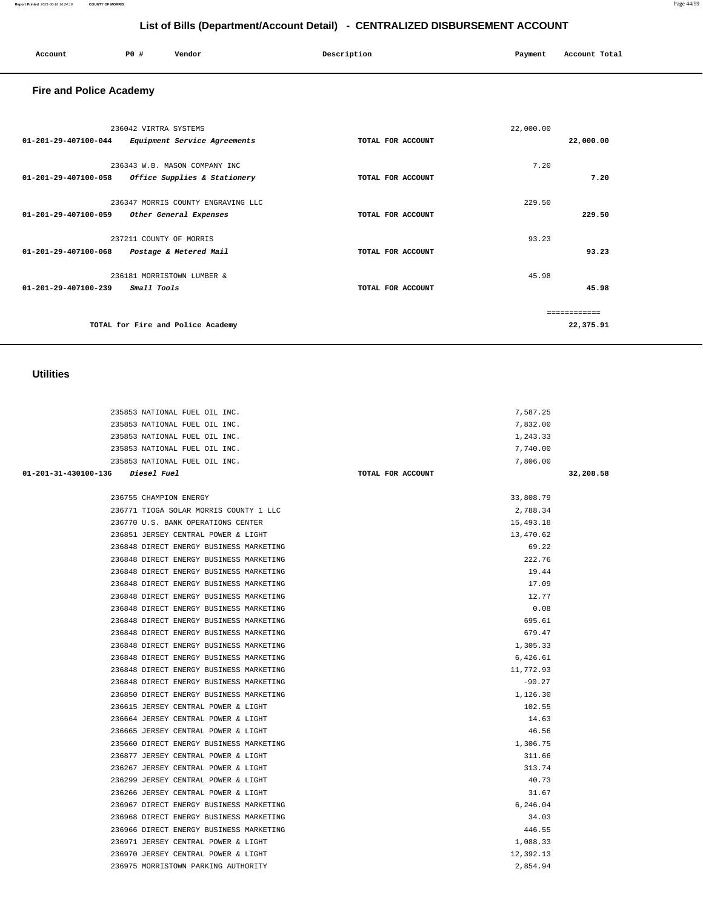| ount | P0 # | Vendor | Description | Payment | Account |
|------|------|--------|-------------|---------|---------|

| Account<br>. | P <sub>0</sub> | Vendor | Description | Payment | Account Total<br>.<br>. |
|--------------|----------------|--------|-------------|---------|-------------------------|
|              |                |        |             |         |                         |

 **Utilities** 

| 01-201-29-407100-044 | 236042 VIRTRA SYSTEMS<br>Equipment Service Agreements         | TOTAL FOR ACCOUNT | 22,000.00 | 22,000.00 |
|----------------------|---------------------------------------------------------------|-------------------|-----------|-----------|
| 01-201-29-407100-058 | 236343 W.B. MASON COMPANY INC<br>Office Supplies & Stationery | TOTAL FOR ACCOUNT | 7.20      | 7.20      |
| 01-201-29-407100-059 | 236347 MORRIS COUNTY ENGRAVING LLC<br>Other General Expenses  | TOTAL FOR ACCOUNT | 229.50    | 229.50    |
| 01-201-29-407100-068 | 237211 COUNTY OF MORRIS<br>Postage & Metered Mail             | TOTAL FOR ACCOUNT | 93.23     | 93.23     |
| 01-201-29-407100-239 | 236181 MORRISTOWN LUMBER &<br>Small Tools                     | TOTAL FOR ACCOUNT | 45.98     | 45.98     |
|                      | TOTAL for Fire and Police Academy                             |                   |           | 22,375.91 |

235853 NATIONAL FUEL OIL INC. 7,587.25 235853 NATIONAL FUEL OIL INC. 7,832.00 235853 NATIONAL FUEL OIL INC. 1,243.33 235853 NATIONAL FUEL OIL INC. 7,740.00 235853 NATIONAL FUEL OIL INC. 7,806.00  **01-201-31-430100-136 Diesel Fuel TOTAL FOR ACCOUNT 32,208.58**

> 236755 CHAMPION ENERGY 33,808.79 236771 TIOGA SOLAR MORRIS COUNTY 1 LLC 2,788.34 236770 U.S. BANK OPERATIONS CENTER 15,493.18 236851 JERSEY CENTRAL POWER & LIGHT 13,470.62 236848 DIRECT ENERGY BUSINESS MARKETING 69.22 236848 DIRECT ENERGY BUSINESS MARKETING 222.76 236848 DIRECT ENERGY BUSINESS MARKETING 19.44 236848 DIRECT ENERGY BUSINESS MARKETING 17.09 236848 DIRECT ENERGY BUSINESS MARKETING 12.77 236848 DIRECT ENERGY BUSINESS MARKETING 0.08 236848 DIRECT ENERGY BUSINESS MARKETING 695.61 236848 DIRECT ENERGY BUSINESS MARKETING 679.47 236848 DIRECT ENERGY BUSINESS MARKETING 1,305.33 236848 DIRECT ENERGY BUSINESS MARKETING 6,426.61 236848 DIRECT ENERGY BUSINESS MARKETING 11,772.93 236848 DIRECT ENERGY BUSINESS MARKETING  $-90.27$  236850 DIRECT ENERGY BUSINESS MARKETING 1,126.30 236615 JERSEY CENTRAL POWER & LIGHT 102.55 236664 JERSEY CENTRAL POWER & LIGHT 14.63 236665 JERSEY CENTRAL POWER & LIGHT 46.56 235660 DIRECT ENERGY BUSINESS MARKETING 1,306.75 236877 JERSEY CENTRAL POWER & LIGHT 311.66 236267 JERSEY CENTRAL POWER & LIGHT 313.74 236299 JERSEY CENTRAL POWER & LIGHT 40.73 236266 JERSEY CENTRAL POWER & LIGHT 31.67 236967 DIRECT ENERGY BUSINESS MARKETING 6,246.04 236968 DIRECT ENERGY BUSINESS MARKETING 34.03 236966 DIRECT ENERGY BUSINESS MARKETING 446.55 236971 JERSEY CENTRAL POWER & LIGHT 1,088.33 236970 JERSEY CENTRAL POWER & LIGHT 12,392.13 236975 MORRISTOWN PARKING AUTHORITY 2,854.94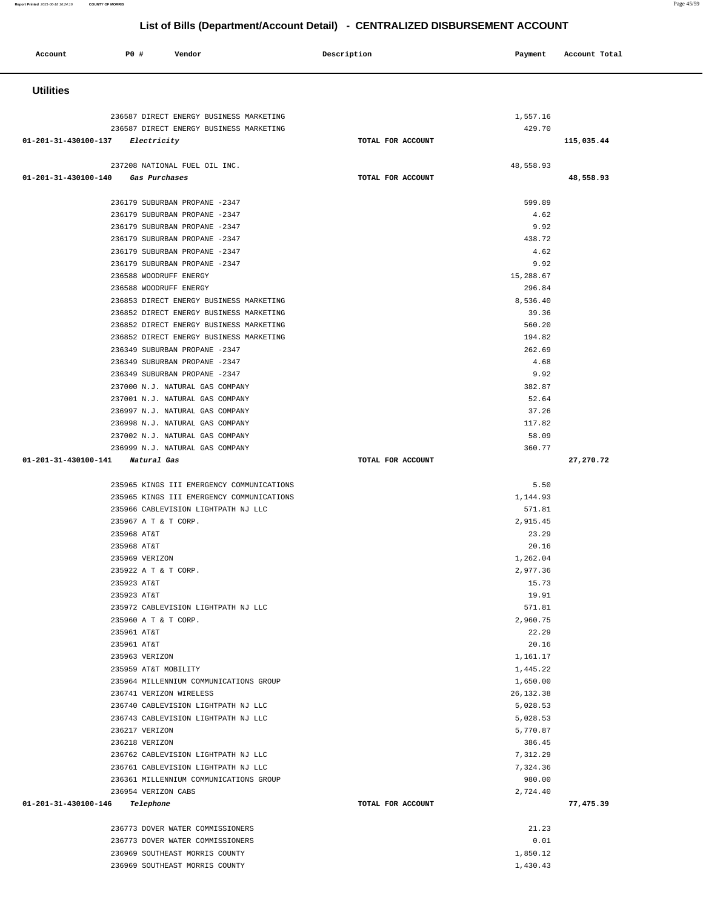| Account                        | <b>PO #</b>                | Vendor                                                                     | Description       | Payment              | Account Total |
|--------------------------------|----------------------------|----------------------------------------------------------------------------|-------------------|----------------------|---------------|
| <b>Utilities</b>               |                            |                                                                            |                   |                      |               |
|                                |                            |                                                                            |                   |                      |               |
|                                |                            | 236587 DIRECT ENERGY BUSINESS MARKETING                                    |                   | 1,557.16             |               |
|                                |                            | 236587 DIRECT ENERGY BUSINESS MARKETING                                    |                   | 429.70               |               |
| 01-201-31-430100-137           | <i>Electricity</i>         |                                                                            | TOTAL FOR ACCOUNT |                      | 115,035.44    |
|                                |                            | 237208 NATIONAL FUEL OIL INC.                                              |                   | 48,558.93            |               |
| 01-201-31-430100-140           | Gas Purchases              |                                                                            | TOTAL FOR ACCOUNT |                      | 48,558.93     |
|                                |                            |                                                                            |                   |                      |               |
|                                |                            | 236179 SUBURBAN PROPANE -2347                                              |                   | 599.89               |               |
|                                |                            | 236179 SUBURBAN PROPANE -2347                                              |                   | 4.62                 |               |
|                                |                            | 236179 SUBURBAN PROPANE -2347                                              |                   | 9.92<br>438.72       |               |
|                                |                            | 236179 SUBURBAN PROPANE -2347<br>236179 SUBURBAN PROPANE -2347             |                   | 4.62                 |               |
|                                |                            | 236179 SUBURBAN PROPANE -2347                                              |                   | 9.92                 |               |
|                                | 236588 WOODRUFF ENERGY     |                                                                            |                   | 15,288.67            |               |
|                                | 236588 WOODRUFF ENERGY     |                                                                            |                   | 296.84               |               |
|                                |                            | 236853 DIRECT ENERGY BUSINESS MARKETING                                    |                   | 8,536.40             |               |
|                                |                            | 236852 DIRECT ENERGY BUSINESS MARKETING                                    |                   | 39.36                |               |
|                                |                            | 236852 DIRECT ENERGY BUSINESS MARKETING                                    |                   | 560.20               |               |
|                                |                            | 236852 DIRECT ENERGY BUSINESS MARKETING                                    |                   | 194.82               |               |
|                                |                            | 236349 SUBURBAN PROPANE -2347                                              |                   | 262.69               |               |
|                                |                            | 236349 SUBURBAN PROPANE -2347<br>236349 SUBURBAN PROPANE -2347             |                   | 4.68<br>9.92         |               |
|                                |                            | 237000 N.J. NATURAL GAS COMPANY                                            |                   | 382.87               |               |
|                                |                            | 237001 N.J. NATURAL GAS COMPANY                                            |                   | 52.64                |               |
|                                |                            | 236997 N.J. NATURAL GAS COMPANY                                            |                   | 37.26                |               |
|                                |                            | 236998 N.J. NATURAL GAS COMPANY                                            |                   | 117.82               |               |
|                                |                            | 237002 N.J. NATURAL GAS COMPANY                                            |                   | 58.09                |               |
|                                |                            | 236999 N.J. NATURAL GAS COMPANY                                            |                   | 360.77               |               |
| 01-201-31-430100-141           | Natural Gas                |                                                                            | TOTAL FOR ACCOUNT |                      | 27,270.72     |
|                                |                            | 235965 KINGS III EMERGENCY COMMUNICATIONS                                  |                   | 5.50                 |               |
|                                |                            | 235965 KINGS III EMERGENCY COMMUNICATIONS                                  |                   | 1,144.93             |               |
|                                |                            | 235966 CABLEVISION LIGHTPATH NJ LLC                                        |                   | 571.81               |               |
|                                | 235967 A T & T CORP.       |                                                                            |                   | 2,915.45             |               |
|                                | 235968 AT&T                |                                                                            |                   | 23.29                |               |
|                                | 235968 AT&T                |                                                                            |                   | 20.16                |               |
|                                | 235969 VERIZON             |                                                                            |                   | 1,262.04             |               |
|                                | 235922 A T & T CORP.       |                                                                            |                   | 2,977.36             |               |
|                                | 235923 AT&T<br>235923 AT&T |                                                                            |                   | 15.73<br>19.91       |               |
|                                |                            | 235972 CABLEVISION LIGHTPATH NJ LLC                                        |                   | 571.81               |               |
|                                | 235960 A T & T CORP.       |                                                                            |                   | 2,960.75             |               |
|                                | 235961 AT&T                |                                                                            |                   | 22.29                |               |
|                                | 235961 AT&T                |                                                                            |                   | 20.16                |               |
|                                | 235963 VERIZON             |                                                                            |                   | 1,161.17             |               |
|                                | 235959 AT&T MOBILITY       |                                                                            |                   | 1,445.22             |               |
|                                |                            | 235964 MILLENNIUM COMMUNICATIONS GROUP                                     |                   | 1,650.00             |               |
|                                |                            | 236741 VERIZON WIRELESS                                                    |                   | 26, 132.38           |               |
|                                |                            | 236740 CABLEVISION LIGHTPATH NJ LLC<br>236743 CABLEVISION LIGHTPATH NJ LLC |                   | 5,028.53<br>5,028.53 |               |
|                                | 236217 VERIZON             |                                                                            |                   | 5,770.87             |               |
|                                | 236218 VERIZON             |                                                                            |                   | 386.45               |               |
|                                |                            | 236762 CABLEVISION LIGHTPATH NJ LLC                                        |                   | 7,312.29             |               |
|                                |                            | 236761 CABLEVISION LIGHTPATH NJ LLC                                        |                   | 7,324.36             |               |
|                                |                            | 236361 MILLENNIUM COMMUNICATIONS GROUP                                     |                   | 980.00               |               |
|                                | 236954 VERIZON CABS        |                                                                            |                   | 2,724.40             |               |
| 01-201-31-430100-146 Telephone |                            |                                                                            | TOTAL FOR ACCOUNT |                      | 77,475.39     |
|                                |                            | 236773 DOVER WATER COMMISSIONERS                                           |                   | 21.23                |               |
|                                |                            | 236773 DOVER WATER COMMISSIONERS                                           |                   | 0.01                 |               |
|                                |                            | 236969 SOUTHEAST MORRIS COUNTY                                             |                   | 1,850.12             |               |

236969 SOUTHEAST MORRIS COUNTY 1,430.43

**Report Printed** 2021-06-18 16:24:16 **COUNTY OF MORRIS** Page 45/59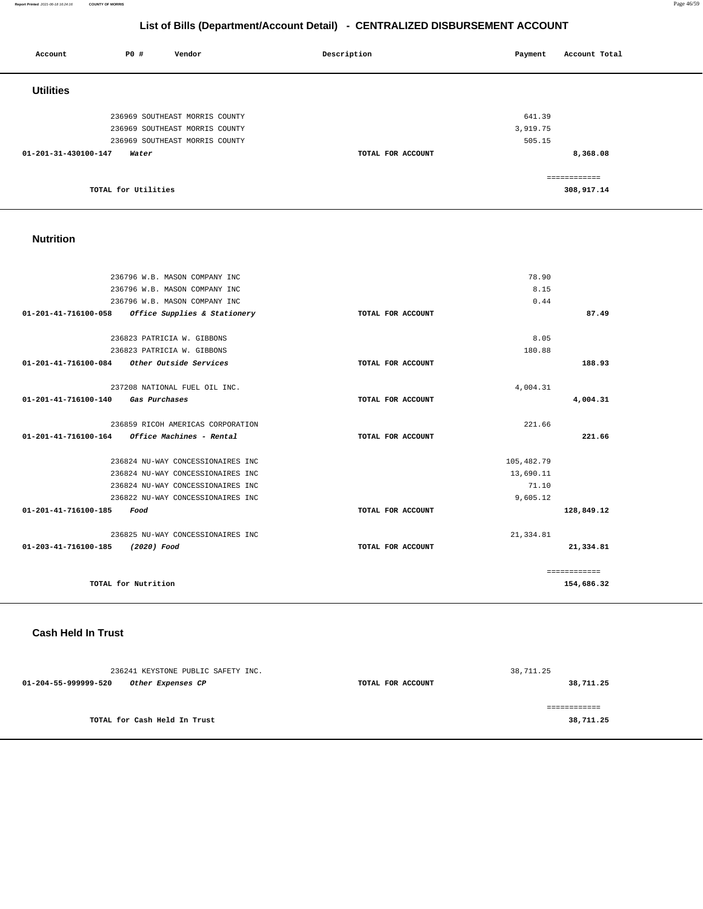**Report Printed** 2021-06-18 16:24:16 **COUNTY OF MORRIS** Page 46/59

# **List of Bills (Department/Account Detail) - CENTRALIZED DISBURSEMENT ACCOUNT**

| Account              | P0 #                | Vendor                         | Description       | Payment  | Account Total |
|----------------------|---------------------|--------------------------------|-------------------|----------|---------------|
| <b>Utilities</b>     |                     |                                |                   |          |               |
|                      |                     | 236969 SOUTHEAST MORRIS COUNTY |                   | 641.39   |               |
|                      |                     | 236969 SOUTHEAST MORRIS COUNTY |                   | 3,919.75 |               |
|                      |                     | 236969 SOUTHEAST MORRIS COUNTY |                   | 505.15   |               |
| 01-201-31-430100-147 | Water               |                                | TOTAL FOR ACCOUNT |          | 8,368.08      |
|                      |                     |                                |                   |          | ============  |
|                      | TOTAL for Utilities |                                |                   |          | 308,917.14    |

#### **Nutrition**

| 236796 W.B. MASON COMPANY INC                                 |                   | 78.90        |              |
|---------------------------------------------------------------|-------------------|--------------|--------------|
| 236796 W.B. MASON COMPANY INC                                 |                   | 8.15         |              |
| 236796 W.B. MASON COMPANY INC                                 |                   | 0.44         |              |
| 01-201-41-716100-058 Office Supplies & Stationery             | TOTAL FOR ACCOUNT |              | 87.49        |
| 236823 PATRICIA W. GIBBONS                                    |                   | 8.05         |              |
| 236823 PATRICIA W. GIBBONS                                    |                   | 180.88       |              |
| 01-201-41-716100-084 Other Outside Services                   | TOTAL FOR ACCOUNT |              | 188.93       |
| 237208 NATIONAL FUEL OIL INC.                                 |                   | 4,004.31     |              |
| $01 - 201 - 41 - 716100 - 140$<br><i><b>Gas Purchases</b></i> | TOTAL FOR ACCOUNT |              | 4,004.31     |
| 236859 RICOH AMERICAS CORPORATION                             |                   | 221.66       |              |
|                                                               | TOTAL FOR ACCOUNT |              | 221.66       |
| 236824 NU-WAY CONCESSIONAIRES INC                             |                   | 105, 482. 79 |              |
| 236824 NU-WAY CONCESSIONAIRES INC                             |                   | 13,690.11    |              |
| 236824 NU-WAY CONCESSIONAIRES INC                             |                   | 71.10        |              |
| 236822 NU-WAY CONCESSIONAIRES INC                             |                   | 9,605.12     |              |
| 01-201-41-716100-185<br>Food                                  | TOTAL FOR ACCOUNT |              | 128,849.12   |
| 236825 NU-WAY CONCESSIONAIRES INC                             |                   | 21, 334.81   |              |
| 01-203-41-716100-185<br>(2020) Food                           | TOTAL FOR ACCOUNT |              | 21,334.81    |
|                                                               |                   |              | ============ |
| TOTAL for Nutrition                                           |                   |              | 154,686.32   |

### **Cash Held In Trust**

|                      | 236241 KEYSTONE PUBLIC SAFETY INC. |                   | 38,711.25 |
|----------------------|------------------------------------|-------------------|-----------|
| 01-204-55-999999-520 | Other Expenses CP                  | TOTAL FOR ACCOUNT | 38,711.25 |
|                      | TOTAL for Cash Held In Trust       |                   | 38,711.25 |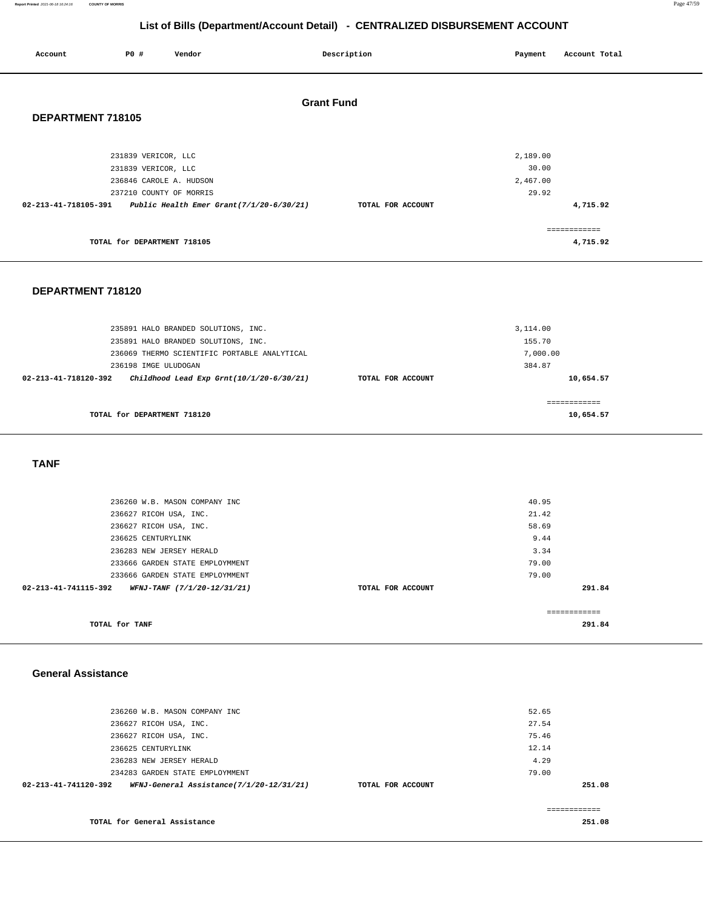#### **Report Printed** 2021-06-18 16:24:16 **COUNTY OF MORRIS** Page 47/59

# **List of Bills (Department/Account Detail) - CENTRALIZED DISBURSEMENT ACCOUNT**

| Account              | P0 #                                                                  | Vendor                                   | Description       |                   | Payment                       | Account Total            |
|----------------------|-----------------------------------------------------------------------|------------------------------------------|-------------------|-------------------|-------------------------------|--------------------------|
| DEPARTMENT 718105    |                                                                       |                                          | <b>Grant Fund</b> |                   |                               |                          |
|                      | 231839 VERICOR, LLC<br>231839 VERICOR, LLC<br>236846 CAROLE A. HUDSON |                                          |                   |                   | 2,189.00<br>30.00<br>2,467.00 |                          |
| 02-213-41-718105-391 | 237210 COUNTY OF MORRIS                                               | Public Health Emer Grant(7/1/20-6/30/21) |                   | TOTAL FOR ACCOUNT | 29.92                         | 4,715.92                 |
|                      | TOTAL for DEPARTMENT 718105                                           |                                          |                   |                   |                               | ------------<br>4,715.92 |

#### **DEPARTMENT 718120**

| 235891 HALO BRANDED SOLUTIONS, INC.                                |                   | 3,114.00  |
|--------------------------------------------------------------------|-------------------|-----------|
| 235891 HALO BRANDED SOLUTIONS, INC.                                |                   | 155.70    |
| 236069 THERMO SCIENTIFIC PORTABLE ANALYTICAL                       |                   | 7,000.00  |
| 236198 IMGE ULUDOGAN                                               |                   | 384.87    |
| Childhood Lead Exp $Grrt(10/1/20-6/30/21)$<br>02-213-41-718120-392 | TOTAL FOR ACCOUNT | 10,654.57 |
|                                                                    |                   |           |
|                                                                    |                   |           |
| TOTAL for DEPARTMENT 718120                                        |                   | 10,654.57 |
|                                                                    |                   |           |

#### **TANF**

| 233666 GARDEN STATE EMPLOYMMENT<br>233666 GARDEN STATE EMPLOYMMENT |                   | 79.00<br>79.00 |
|--------------------------------------------------------------------|-------------------|----------------|
| 02-213-41-741115-392<br>WFNJ-TANF (7/1/20-12/31/21)                | TOTAL FOR ACCOUNT | 291.84         |
|                                                                    |                   | ------------   |

#### **General Assistance**

| 236260 W.B. MASON COMPANY INC                                              |                   | 52.65  |  |
|----------------------------------------------------------------------------|-------------------|--------|--|
| 236627 RICOH USA, INC.                                                     |                   | 27.54  |  |
| 236627 RICOH USA, INC.                                                     |                   | 75.46  |  |
| 236625 CENTURYLINK                                                         |                   | 12.14  |  |
| 236283 NEW JERSEY HERALD                                                   |                   | 4.29   |  |
| 234283 GARDEN STATE EMPLOYMMENT                                            |                   | 79.00  |  |
| $02 - 213 - 41 - 741120 - 392$<br>WFNJ-General Assistance(7/1/20-12/31/21) | TOTAL FOR ACCOUNT | 251.08 |  |
|                                                                            |                   |        |  |
|                                                                            |                   |        |  |
| TOTAL for General Assistance                                               |                   | 251.08 |  |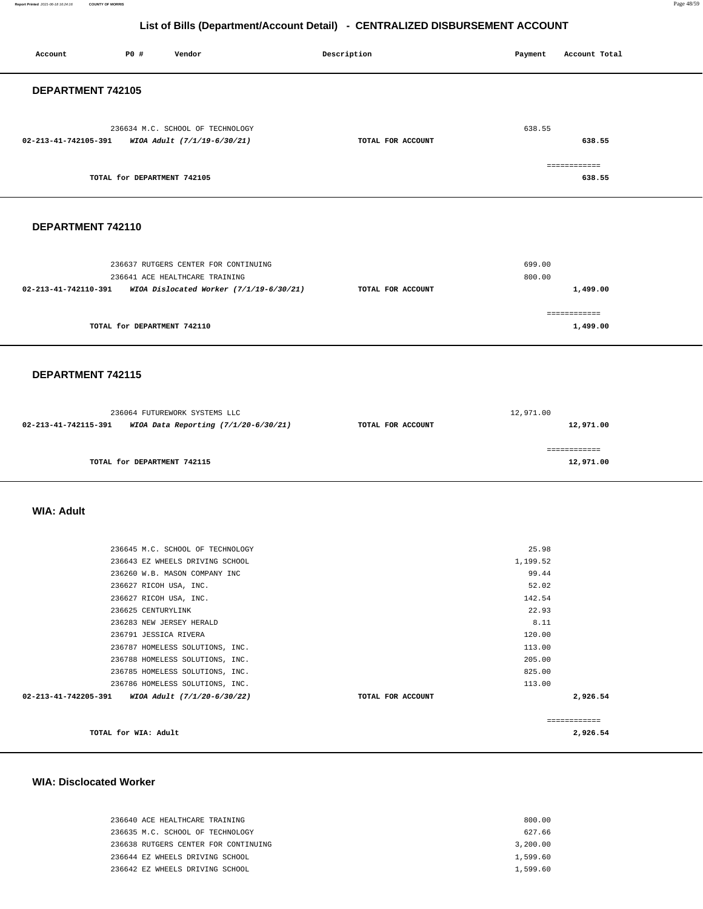**Report Printed** 2021-06-18 16:24:16 **COUNTY OF MORRIS** Page 48/59

# **List of Bills (Department/Account Detail) - CENTRALIZED DISBURSEMENT ACCOUNT**

| P0 #<br>Account<br>Vendor                                                                             | Description       | Payment<br>Account Total   |
|-------------------------------------------------------------------------------------------------------|-------------------|----------------------------|
| DEPARTMENT 742105                                                                                     |                   |                            |
| 236634 M.C. SCHOOL OF TECHNOLOGY<br>02-213-41-742105-391<br>WIOA Adult (7/1/19-6/30/21)               | TOTAL FOR ACCOUNT | 638.55<br>638.55           |
| TOTAL for DEPARTMENT 742105                                                                           |                   | ============<br>638.55     |
| DEPARTMENT 742110                                                                                     |                   |                            |
| 236637 RUTGERS CENTER FOR CONTINUING<br>236641 ACE HEALTHCARE TRAINING                                |                   | 699.00<br>800.00           |
| 02-213-41-742110-391<br>WIOA Dislocated Worker (7/1/19-6/30/21)                                       | TOTAL FOR ACCOUNT | 1,499.00<br>============   |
| TOTAL for DEPARTMENT 742110                                                                           |                   | 1,499.00                   |
| DEPARTMENT 742115                                                                                     |                   |                            |
| 236064 FUTUREWORK SYSTEMS LLC<br>02-213-41-742115-391<br>WIOA Data Reporting (7/1/20-6/30/21)         | TOTAL FOR ACCOUNT | 12,971.00<br>12,971.00     |
| TOTAL for DEPARTMENT 742115                                                                           |                   | ============<br>12,971.00  |
| <b>WIA: Adult</b>                                                                                     |                   |                            |
| 236645 M.C. SCHOOL OF TECHNOLOGY<br>236643 EZ WHEELS DRIVING SCHOOL                                   |                   | 25.98<br>1,199.52          |
| 236260 W.B. MASON COMPANY INC<br>236627 RICOH USA, INC.<br>236627 RICOH USA, INC.                     |                   | 99.44<br>52.02<br>142.54   |
| 236625 CENTURYLINK<br>236283 NEW JERSEY HERALD<br>236791 JESSICA RIVERA                               |                   | 22.93<br>8.11<br>120.00    |
| 236787 HOMELESS SOLUTIONS, INC.<br>236788 HOMELESS SOLUTIONS, INC.<br>236785 HOMELESS SOLUTIONS, INC. |                   | 113.00<br>205.00<br>825.00 |
| 236786 HOMELESS SOLUTIONS, INC.<br>02-213-41-742205-391<br>WIOA Adult (7/1/20-6/30/22)                | TOTAL FOR ACCOUNT | 113.00<br>2,926.54         |
| TOTAL for WIA: Adult                                                                                  |                   | ------------<br>2,926.54   |

#### **WIA: Disclocated Worker**

| 236640 ACE HEALTHCARE TRAINING       | 800.00   |
|--------------------------------------|----------|
| 236635 M.C. SCHOOL OF TECHNOLOGY     | 627.66   |
| 236638 RUTGERS CENTER FOR CONTINUING | 3,200.00 |
| 236644 EZ WHEELS DRIVING SCHOOL      | 1,599.60 |
| 236642 EZ WHEELS DRIVING SCHOOL      | 1,599.60 |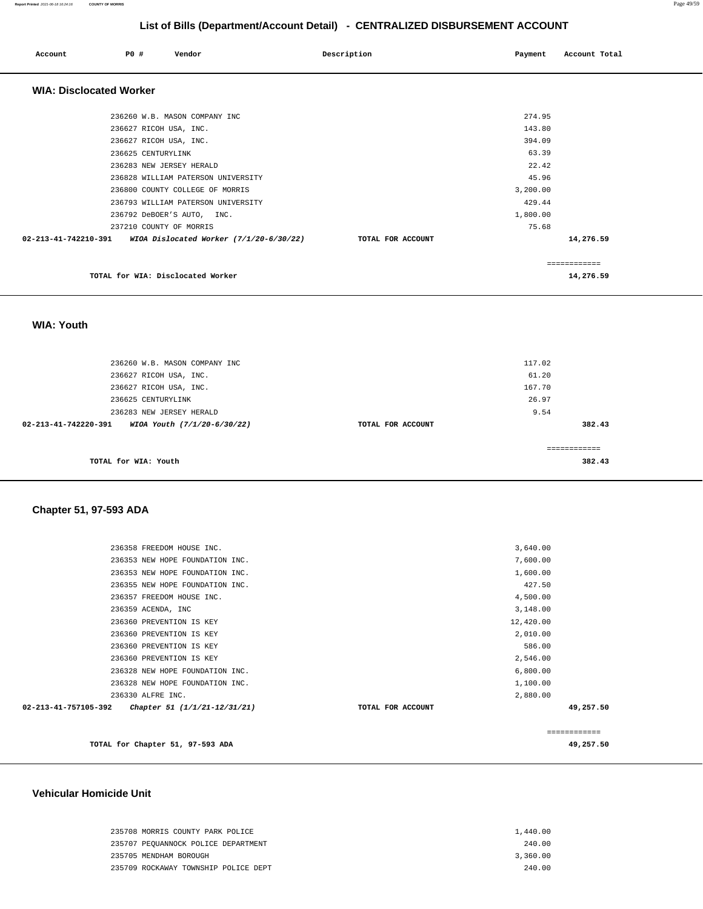| <b>PO #</b><br>Account            | Vendor                                    | Description       | Payment  | Account Total |
|-----------------------------------|-------------------------------------------|-------------------|----------|---------------|
| <b>WIA: Disclocated Worker</b>    |                                           |                   |          |               |
| 236260 W.B. MASON COMPANY INC     |                                           |                   | 274.95   |               |
| 236627 RICOH USA, INC.            |                                           |                   | 143.80   |               |
| 236627 RICOH USA, INC.            |                                           |                   | 394.09   |               |
| 236625 CENTURYLINK                |                                           |                   | 63.39    |               |
| 236283 NEW JERSEY HERALD          |                                           |                   | 22.42    |               |
|                                   | 236828 WILLIAM PATERSON UNIVERSITY        |                   | 45.96    |               |
| 236800 COUNTY COLLEGE OF MORRIS   |                                           |                   | 3,200.00 |               |
|                                   | 236793 WILLIAM PATERSON UNIVERSITY        |                   | 429.44   |               |
| 236792 DeBOER'S AUTO, INC.        |                                           |                   | 1,800.00 |               |
| 237210 COUNTY OF MORRIS           |                                           |                   | 75.68    |               |
| 02-213-41-742210-391              | WIOA Dislocated Worker $(7/1/20-6/30/22)$ | TOTAL FOR ACCOUNT |          | 14,276.59     |
|                                   |                                           |                   |          | ------------- |
| TOTAL for WIA: Disclocated Worker |                                           |                   |          | 14,276.59     |

 **WIA: Youth** 

| 236260 W.B. MASON COMPANY INC                       |                   | 117.02 |
|-----------------------------------------------------|-------------------|--------|
| 236627 RICOH USA, INC.                              |                   | 61.20  |
| 236627 RICOH USA, INC.                              |                   | 167.70 |
| 236625 CENTURYLINK                                  |                   | 26.97  |
| 236283 NEW JERSEY HERALD                            |                   | 9.54   |
| 02-213-41-742220-391<br>WIOA Youth (7/1/20-6/30/22) | TOTAL FOR ACCOUNT | 382.43 |
|                                                     |                   |        |
| TOTAL for WIA: Youth                                |                   | 382.43 |

# **Chapter 51, 97-593 ADA**

|                      | TOTAL for Chapter 51, 97-593 ADA |                   |           | ============<br>49,257.50 |
|----------------------|----------------------------------|-------------------|-----------|---------------------------|
| 02-213-41-757105-392 | Chapter 51 (1/1/21-12/31/21)     | TOTAL FOR ACCOUNT |           | 49,257.50                 |
|                      | 236330 ALFRE INC.                |                   | 2,880.00  |                           |
|                      | 236328 NEW HOPE FOUNDATION INC.  |                   | 1,100.00  |                           |
|                      | 236328 NEW HOPE FOUNDATION INC.  |                   | 6,800.00  |                           |
|                      | 236360 PREVENTION IS KEY         |                   | 2,546.00  |                           |
|                      | 236360 PREVENTION IS KEY         |                   | 586.00    |                           |
|                      | 236360 PREVENTION IS KEY         |                   | 2,010.00  |                           |
|                      | 236360 PREVENTION IS KEY         |                   | 12,420.00 |                           |
|                      | 236359 ACENDA, INC               |                   | 3,148.00  |                           |
|                      | 236357 FREEDOM HOUSE INC.        |                   | 4,500.00  |                           |
|                      | 236355 NEW HOPE FOUNDATION INC.  |                   | 427.50    |                           |
|                      | 236353 NEW HOPE FOUNDATION INC.  |                   | 1,600.00  |                           |
|                      | 236353 NEW HOPE FOUNDATION INC.  |                   | 7,600.00  |                           |
|                      | 236358 FREEDOM HOUSE INC.        |                   | 3,640.00  |                           |

#### **Vehicular Homicide Unit**

| 235708 MORRIS COUNTY PARK POLICE     | 1,440.00 |
|--------------------------------------|----------|
| 235707 PEQUANNOCK POLICE DEPARTMENT  | 240.00   |
| 235705 MENDHAM BOROUGH               | 3,360.00 |
| 235709 ROCKAWAY TOWNSHIP POLICE DEPT | 240.00   |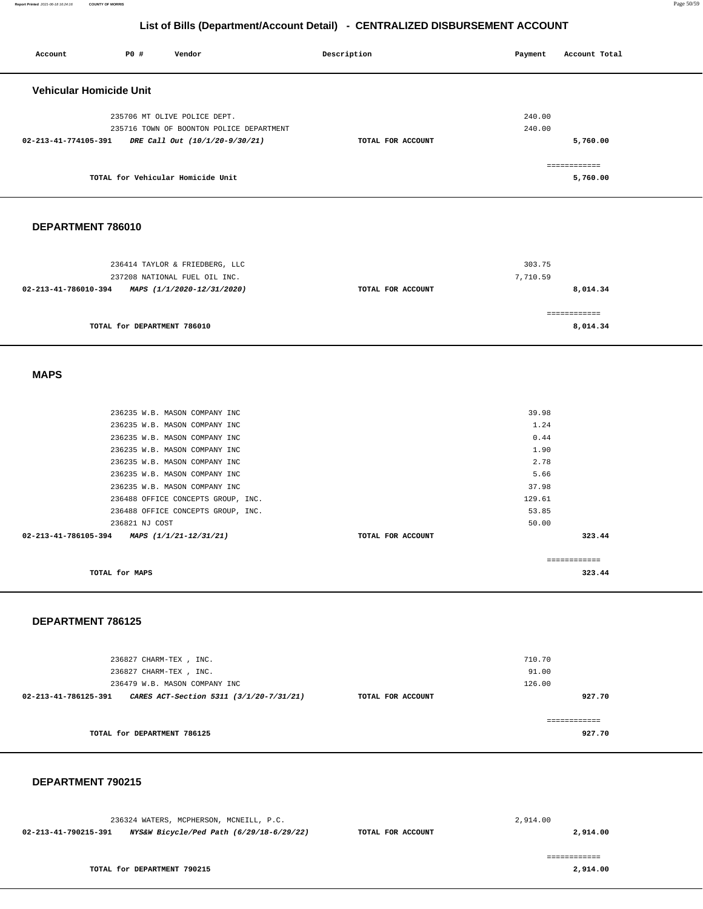**Report Printed** 2021-06-18 16:24:16 **COUNTY OF MORRIS** Page 50/59

#### **List of Bills (Department/Account Detail) - CENTRALIZED DISBURSEMENT ACCOUNT**

| Account                                         | P0 #                        | Vendor                                                         | Description       | Payment      | Account Total            |
|-------------------------------------------------|-----------------------------|----------------------------------------------------------------|-------------------|--------------|--------------------------|
|                                                 |                             |                                                                |                   |              |                          |
| <b>Vehicular Homicide Unit</b>                  |                             |                                                                |                   |              |                          |
|                                                 |                             | 235706 MT OLIVE POLICE DEPT.                                   |                   | 240.00       |                          |
|                                                 |                             | 235716 TOWN OF BOONTON POLICE DEPARTMENT                       |                   | 240.00       |                          |
|                                                 |                             | 02-213-41-774105-391 DRE Call Out (10/1/20-9/30/21)            | TOTAL FOR ACCOUNT |              | 5,760.00                 |
|                                                 |                             |                                                                |                   |              |                          |
|                                                 |                             | TOTAL for Vehicular Homicide Unit                              |                   |              | ============<br>5,760.00 |
|                                                 |                             |                                                                |                   |              |                          |
|                                                 |                             |                                                                |                   |              |                          |
| DEPARTMENT 786010                               |                             |                                                                |                   |              |                          |
|                                                 |                             |                                                                |                   |              |                          |
|                                                 |                             |                                                                |                   |              |                          |
|                                                 |                             | 236414 TAYLOR & FRIEDBERG, LLC                                 |                   | 303.75       |                          |
|                                                 |                             | 237208 NATIONAL FUEL OIL INC.                                  |                   | 7,710.59     |                          |
| 02-213-41-786010-394 MAPS (1/1/2020-12/31/2020) |                             |                                                                | TOTAL FOR ACCOUNT |              | 8,014.34                 |
|                                                 |                             |                                                                |                   |              | ============             |
|                                                 | TOTAL for DEPARTMENT 786010 |                                                                |                   |              | 8,014.34                 |
|                                                 |                             |                                                                |                   |              |                          |
|                                                 |                             |                                                                |                   |              |                          |
| <b>MAPS</b>                                     |                             |                                                                |                   |              |                          |
|                                                 |                             |                                                                |                   |              |                          |
|                                                 |                             |                                                                |                   |              |                          |
|                                                 |                             | 236235 W.B. MASON COMPANY INC                                  |                   | 39.98        |                          |
|                                                 |                             | 236235 W.B. MASON COMPANY INC                                  |                   | 1.24<br>0.44 |                          |
|                                                 |                             | 236235 W.B. MASON COMPANY INC<br>236235 W.B. MASON COMPANY INC |                   | 1.90         |                          |
|                                                 |                             | 236235 W.B. MASON COMPANY INC                                  |                   | 2.78         |                          |
|                                                 |                             |                                                                |                   |              |                          |
|                                                 |                             | 236235 W.B. MASON COMPANY INC                                  |                   | 5.66         |                          |
|                                                 |                             | 236235 W.B. MASON COMPANY INC                                  |                   | 37.98        |                          |
|                                                 |                             | 236488 OFFICE CONCEPTS GROUP, INC.                             |                   | 129.61       |                          |
|                                                 |                             | 236488 OFFICE CONCEPTS GROUP, INC.                             |                   | 53.85        |                          |
|                                                 | 236821 NJ COST              |                                                                |                   | 50.00        |                          |
| 02-213-41-786105-394 MAPS (1/1/21-12/31/21)     |                             |                                                                | TOTAL FOR ACCOUNT |              | 323.44                   |
|                                                 |                             |                                                                |                   |              | ------------             |
|                                                 | TOTAL for MAPS              |                                                                |                   |              | 323.44                   |
|                                                 |                             |                                                                |                   |              |                          |
|                                                 |                             |                                                                |                   |              |                          |

#### **DEPARTMENT 786125**

| 236827 CHARM-TEX, INC.<br>236827 CHARM-TEX, INC.                |                   | 710.70<br>91.00 |
|-----------------------------------------------------------------|-------------------|-----------------|
| 236479 W.B. MASON COMPANY INC                                   |                   | 126.00          |
| CARES ACT-Section 5311 (3/1/20-7/31/21)<br>02-213-41-786125-391 | TOTAL FOR ACCOUNT | 927.70          |
| TOTAL for DEPARTMENT 786125                                     |                   | 927.70          |

#### **DEPARTMENT 790215**

| 236324 WATERS, MCPHERSON, MCNEILL, P.C.                          |                   | 2,914.00 |
|------------------------------------------------------------------|-------------------|----------|
| NYS&W Bicycle/Ped Path (6/29/18-6/29/22)<br>02-213-41-790215-391 | TOTAL FOR ACCOUNT | 2,914.00 |
| TOTAL for DEPARTMENT 790215                                      |                   | 2,914.00 |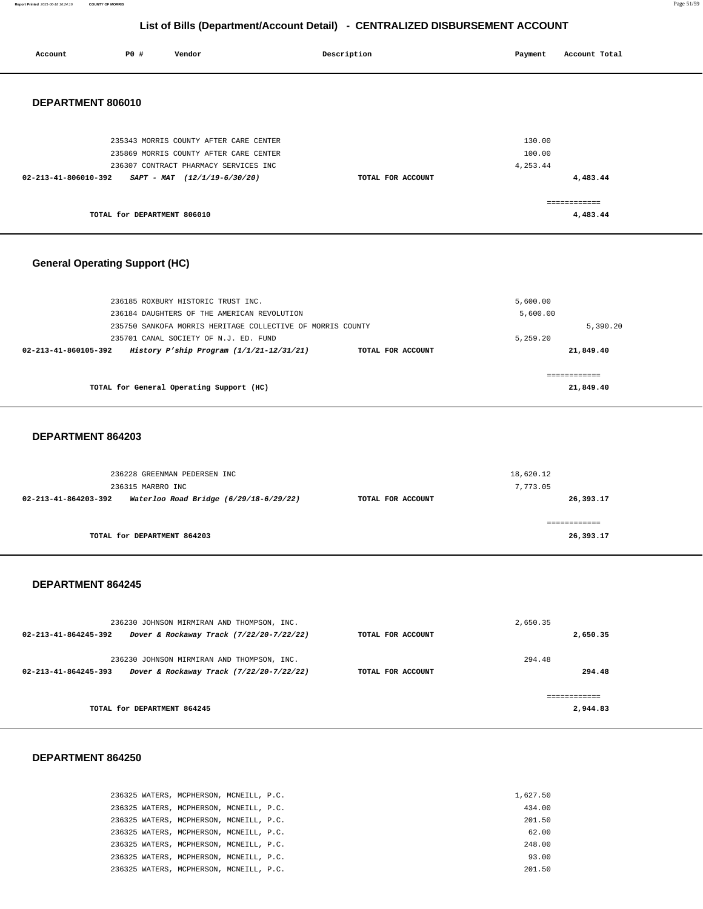**Report Printed** 2021-06-18 16:24:16 **COUNTY OF MORRIS** Page 51/59

# **List of Bills (Department/Account Detail) - CENTRALIZED DISBURSEMENT ACCOUNT**

| Account                               | P0 #                                             | Vendor                                                                                                                                                                                                                               | Description       | Payment                          | Account Total                          |  |
|---------------------------------------|--------------------------------------------------|--------------------------------------------------------------------------------------------------------------------------------------------------------------------------------------------------------------------------------------|-------------------|----------------------------------|----------------------------------------|--|
| DEPARTMENT 806010                     |                                                  |                                                                                                                                                                                                                                      |                   |                                  |                                        |  |
| 02-213-41-806010-392                  |                                                  | 235343 MORRIS COUNTY AFTER CARE CENTER<br>235869 MORRIS COUNTY AFTER CARE CENTER<br>236307 CONTRACT PHARMACY SERVICES INC<br>SAPT - MAT (12/1/19-6/30/20)                                                                            | TOTAL FOR ACCOUNT | 130.00<br>100.00<br>4,253.44     | 4,483.44                               |  |
|                                       | TOTAL for DEPARTMENT 806010                      |                                                                                                                                                                                                                                      |                   |                                  | ============<br>4,483.44               |  |
| <b>General Operating Support (HC)</b> |                                                  |                                                                                                                                                                                                                                      |                   |                                  |                                        |  |
| 02-213-41-860105-392                  |                                                  | 236185 ROXBURY HISTORIC TRUST INC.<br>236184 DAUGHTERS OF THE AMERICAN REVOLUTION<br>235750 SANKOFA MORRIS HERITAGE COLLECTIVE OF MORRIS COUNTY<br>235701 CANAL SOCIETY OF N.J. ED. FUND<br>History P'ship Program (1/1/21-12/31/21) | TOTAL FOR ACCOUNT | 5,600.00<br>5,600.00<br>5,259.20 | 5,390.20<br>21,849.40                  |  |
|                                       |                                                  |                                                                                                                                                                                                                                      |                   |                                  |                                        |  |
|                                       |                                                  | TOTAL for General Operating Support (HC)                                                                                                                                                                                             |                   |                                  | ------------<br>21,849.40              |  |
| DEPARTMENT 864203                     |                                                  |                                                                                                                                                                                                                                      |                   |                                  |                                        |  |
| 02-213-41-864203-392                  | 236315 MARBRO INC<br>TOTAL for DEPARTMENT 864203 | 236228 GREENMAN PEDERSEN INC<br>Waterloo Road Bridge (6/29/18-6/29/22)                                                                                                                                                               | TOTAL FOR ACCOUNT | 18,620.12<br>7,773.05            | 26,393.17<br>============<br>26,393.17 |  |
| DEPARTMENT 864245                     |                                                  |                                                                                                                                                                                                                                      |                   |                                  |                                        |  |
| 02-213-41-864245-392                  |                                                  | 236230 JOHNSON MIRMIRAN AND THOMPSON, INC.<br>Dover & Rockaway Track (7/22/20-7/22/22)                                                                                                                                               | TOTAL FOR ACCOUNT | 2,650.35                         | 2,650.35                               |  |
|                                       |                                                  | 236230 JOHNSON MIRMIRAN AND THOMPSON, INC.<br>02-213-41-864245-393 Dover & Rockaway Track (7/22/20-7/22/22)                                                                                                                          | TOTAL FOR ACCOUNT | 294.48                           | 294.48                                 |  |

# **DEPARTMENT 864250**

| 236325 WATERS, MCPHERSON, MCNEILL, P.C. | 1,627.50 |
|-----------------------------------------|----------|
| 236325 WATERS, MCPHERSON, MCNEILL, P.C. | 434.00   |
| 236325 WATERS, MCPHERSON, MCNEILL, P.C. | 201.50   |
| 236325 WATERS, MCPHERSON, MCNEILL, P.C. | 62.00    |
| 236325 WATERS, MCPHERSON, MCNEILL, P.C. | 248.00   |
| 236325 WATERS, MCPHERSON, MCNEILL, P.C. | 93.00    |
| 236325 WATERS, MCPHERSON, MCNEILL, P.C. | 201.50   |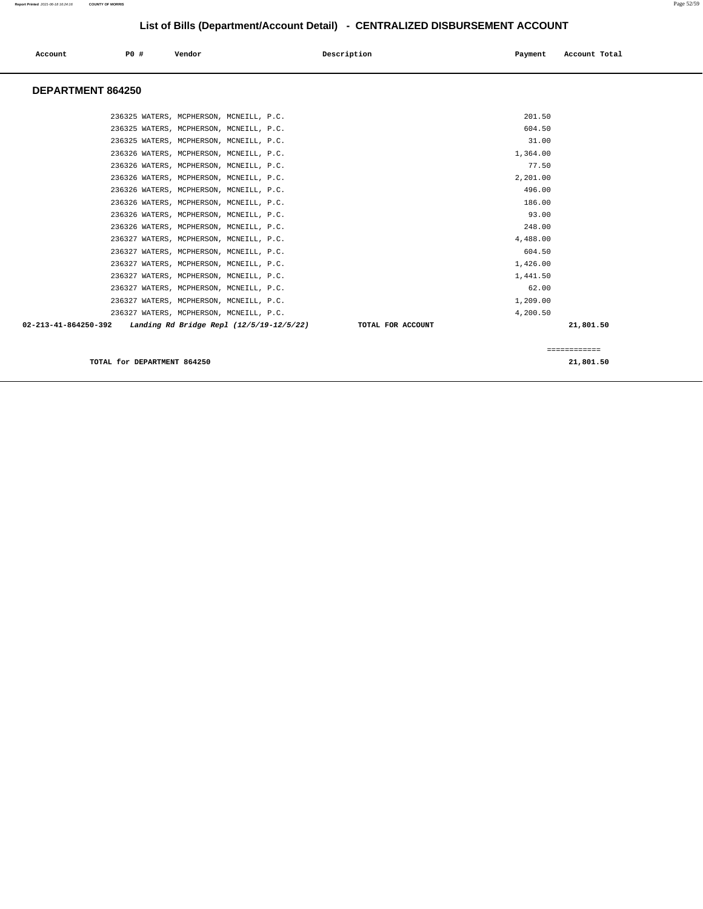# **Report Printed** 2021-06-18 16:24:16 **COUNTY OF MORRIS** Page 52/59

**List of Bills (Department/Account Detail) - CENTRALIZED DISBURSEMENT ACCOUNT**

| Account                        | P0 # | Vendor                                   | Description       | Payment  | Account Total |
|--------------------------------|------|------------------------------------------|-------------------|----------|---------------|
| <b>DEPARTMENT 864250</b>       |      |                                          |                   |          |               |
|                                |      | 236325 WATERS, MCPHERSON, MCNEILL, P.C.  |                   | 201.50   |               |
|                                |      | 236325 WATERS, MCPHERSON, MCNEILL, P.C.  |                   | 604.50   |               |
|                                |      | 236325 WATERS, MCPHERSON, MCNEILL, P.C.  |                   | 31.00    |               |
|                                |      | 236326 WATERS, MCPHERSON, MCNEILL, P.C.  |                   | 1,364.00 |               |
|                                |      | 236326 WATERS, MCPHERSON, MCNEILL, P.C.  |                   | 77.50    |               |
|                                |      | 236326 WATERS, MCPHERSON, MCNEILL, P.C.  |                   | 2.201.00 |               |
|                                |      | 236326 WATERS, MCPHERSON, MCNEILL, P.C.  |                   | 496.00   |               |
|                                |      | 236326 WATERS, MCPHERSON, MCNEILL, P.C.  |                   | 186.00   |               |
|                                |      | 236326 WATERS, MCPHERSON, MCNEILL, P.C.  |                   | 93.00    |               |
|                                |      | 236326 WATERS, MCPHERSON, MCNEILL, P.C.  |                   | 248.00   |               |
|                                |      | 236327 WATERS, MCPHERSON, MCNEILL, P.C.  |                   | 4,488.00 |               |
|                                |      | 236327 WATERS, MCPHERSON, MCNEILL, P.C.  |                   | 604.50   |               |
|                                |      | 236327 WATERS, MCPHERSON, MCNEILL, P.C.  |                   | 1,426.00 |               |
|                                |      | 236327 WATERS, MCPHERSON, MCNEILL, P.C.  |                   | 1,441.50 |               |
|                                |      | 236327 WATERS, MCPHERSON, MCNEILL, P.C.  |                   | 62.00    |               |
|                                |      | 236327 WATERS, MCPHERSON, MCNEILL, P.C.  |                   | 1,209.00 |               |
|                                |      | 236327 WATERS, MCPHERSON, MCNEILL, P.C.  |                   | 4,200.50 |               |
| $02 - 213 - 41 - 864250 - 392$ |      | Landing Rd Bridge Repl (12/5/19-12/5/22) | TOTAL FOR ACCOUNT |          | 21,801.50     |
|                                |      |                                          |                   |          |               |

**TOTAL for DEPARTMENT 864250 21,801.50** 

============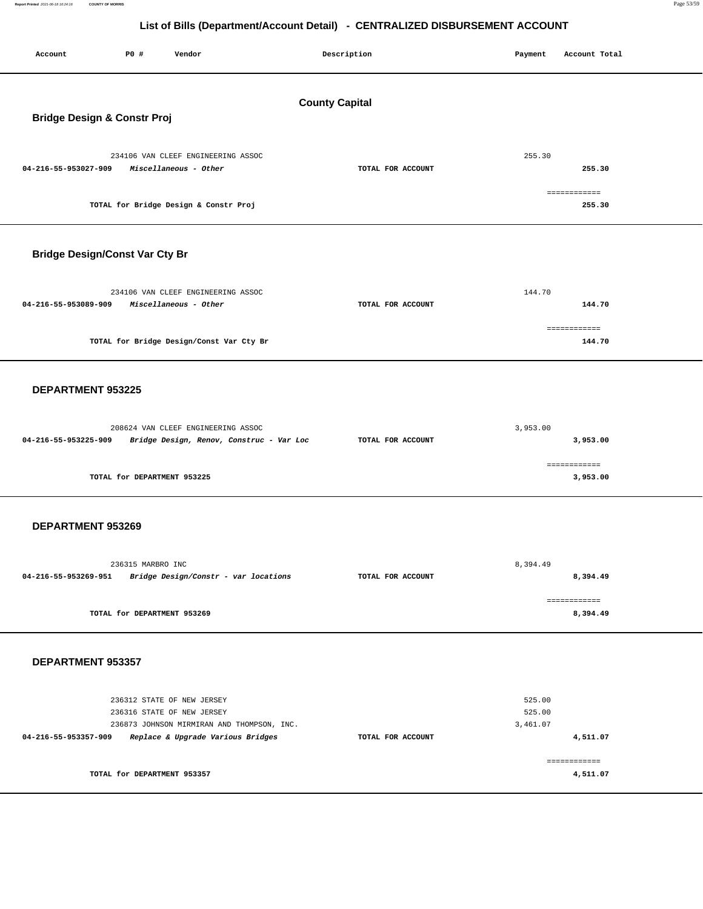**Report Printed** 2021-06-18 16:24:16 **COUNTY OF MORRIS** Page 53/59

| Account                                                         | P0 #                        | Vendor                                                                                                                                      |  | Description       | Payment  | Account Total                    |  |  |
|-----------------------------------------------------------------|-----------------------------|---------------------------------------------------------------------------------------------------------------------------------------------|--|-------------------|----------|----------------------------------|--|--|
| <b>County Capital</b><br><b>Bridge Design &amp; Constr Proj</b> |                             |                                                                                                                                             |  |                   |          |                                  |  |  |
| 04-216-55-953027-909                                            |                             | 234106 VAN CLEEF ENGINEERING ASSOC<br>Miscellaneous - Other                                                                                 |  | TOTAL FOR ACCOUNT |          | 255.30<br>255.30<br>============ |  |  |
|                                                                 |                             | TOTAL for Bridge Design & Constr Proj                                                                                                       |  |                   |          | 255.30                           |  |  |
| <b>Bridge Design/Const Var Cty Br</b>                           |                             |                                                                                                                                             |  |                   |          |                                  |  |  |
| 04-216-55-953089-909                                            |                             | 234106 VAN CLEEF ENGINEERING ASSOC<br>Miscellaneous - Other                                                                                 |  | TOTAL FOR ACCOUNT |          | 144.70<br>144.70                 |  |  |
|                                                                 |                             | TOTAL for Bridge Design/Const Var Cty Br                                                                                                    |  |                   |          | ============<br>144.70           |  |  |
| DEPARTMENT 953225                                               |                             |                                                                                                                                             |  |                   |          |                                  |  |  |
| 04-216-55-953225-909                                            |                             | 208624 VAN CLEEF ENGINEERING ASSOC<br>Bridge Design, Renov, Construc - Var Loc                                                              |  | TOTAL FOR ACCOUNT | 3,953.00 | 3,953.00                         |  |  |
|                                                                 | TOTAL for DEPARTMENT 953225 |                                                                                                                                             |  |                   |          | ============<br>3,953.00         |  |  |
| DEPARTMENT 953269                                               |                             |                                                                                                                                             |  |                   |          |                                  |  |  |
| 04-216-55-953269-951                                            | 236315 MARBRO INC           | Bridge Design/Constr - var locations                                                                                                        |  | TOTAL FOR ACCOUNT | 8,394.49 | 8,394.49                         |  |  |
|                                                                 | TOTAL for DEPARTMENT 953269 |                                                                                                                                             |  |                   |          | ============<br>8,394.49         |  |  |
| DEPARTMENT 953357                                               |                             |                                                                                                                                             |  |                   |          |                                  |  |  |
| 04-216-55-953357-909                                            |                             | 236312 STATE OF NEW JERSEY<br>236316 STATE OF NEW JERSEY<br>236873 JOHNSON MIRMIRAN AND THOMPSON, INC.<br>Replace & Upgrade Various Bridges |  | TOTAL FOR ACCOUNT | 3,461.07 | 525.00<br>525.00<br>4,511.07     |  |  |
|                                                                 | TOTAL for DEPARTMENT 953357 |                                                                                                                                             |  |                   |          | ============<br>4,511.07         |  |  |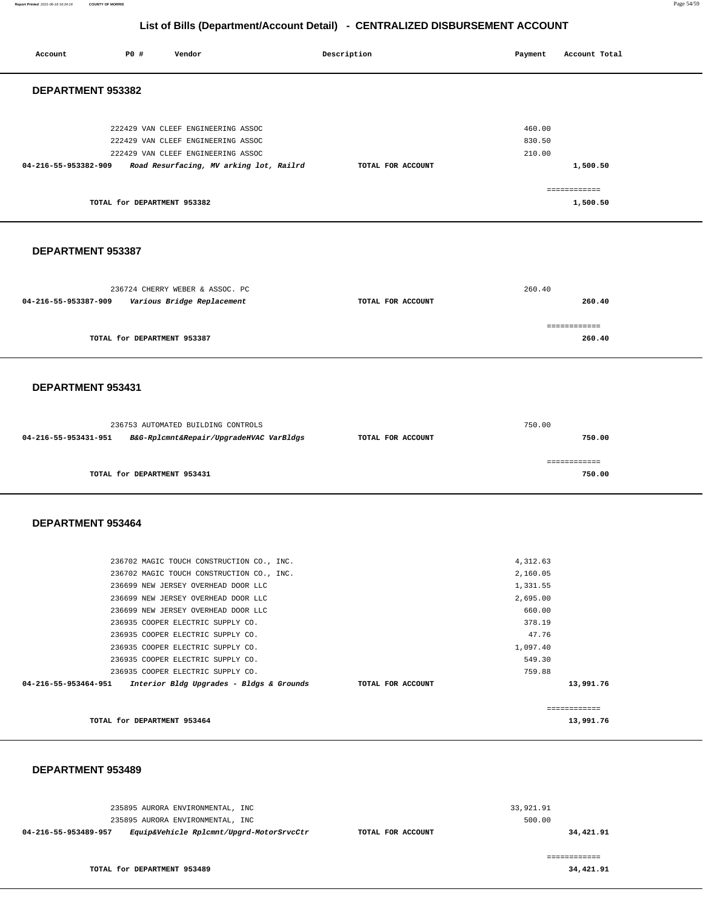**Report Printed** 2021-06-18 16:24:16 **COUNTY OF MORRIS** Page 54/59

# **List of Bills (Department/Account Detail) - CENTRALIZED DISBURSEMENT ACCOUNT**

| Account              | P0 #                        | Vendor                                                                                                                                                                                                                                                                                                                                                                                                                                           | Description       | Payment                                                                                                   | Account Total                          |
|----------------------|-----------------------------|--------------------------------------------------------------------------------------------------------------------------------------------------------------------------------------------------------------------------------------------------------------------------------------------------------------------------------------------------------------------------------------------------------------------------------------------------|-------------------|-----------------------------------------------------------------------------------------------------------|----------------------------------------|
| DEPARTMENT 953382    |                             |                                                                                                                                                                                                                                                                                                                                                                                                                                                  |                   |                                                                                                           |                                        |
| 04-216-55-953382-909 |                             | 222429 VAN CLEEF ENGINEERING ASSOC<br>222429 VAN CLEEF ENGINEERING ASSOC<br>222429 VAN CLEEF ENGINEERING ASSOC<br>Road Resurfacing, MV arking lot, Railrd                                                                                                                                                                                                                                                                                        | TOTAL FOR ACCOUNT | 460.00<br>830.50<br>210.00                                                                                | 1,500.50                               |
|                      | TOTAL for DEPARTMENT 953382 |                                                                                                                                                                                                                                                                                                                                                                                                                                                  |                   |                                                                                                           | ============<br>1,500.50               |
| DEPARTMENT 953387    |                             |                                                                                                                                                                                                                                                                                                                                                                                                                                                  |                   |                                                                                                           |                                        |
| 04-216-55-953387-909 |                             | 236724 CHERRY WEBER & ASSOC. PC<br>Various Bridge Replacement                                                                                                                                                                                                                                                                                                                                                                                    | TOTAL FOR ACCOUNT | 260.40                                                                                                    | 260.40                                 |
|                      | TOTAL for DEPARTMENT 953387 |                                                                                                                                                                                                                                                                                                                                                                                                                                                  |                   |                                                                                                           | ============<br>260.40                 |
| DEPARTMENT 953431    |                             |                                                                                                                                                                                                                                                                                                                                                                                                                                                  |                   |                                                                                                           |                                        |
| 04-216-55-953431-951 |                             | 236753 AUTOMATED BUILDING CONTROLS<br>B&G-Rplcmnt&Repair/UpgradeHVAC VarBldgs                                                                                                                                                                                                                                                                                                                                                                    | TOTAL FOR ACCOUNT | 750.00                                                                                                    | 750.00                                 |
|                      | TOTAL for DEPARTMENT 953431 |                                                                                                                                                                                                                                                                                                                                                                                                                                                  |                   |                                                                                                           | ============<br>750.00                 |
| DEPARTMENT 953464    |                             |                                                                                                                                                                                                                                                                                                                                                                                                                                                  |                   |                                                                                                           |                                        |
| 04-216-55-953464-951 | TOTAL for DEPARTMENT 953464 | 236702 MAGIC TOUCH CONSTRUCTION CO., INC.<br>236702 MAGIC TOUCH CONSTRUCTION CO., INC.<br>236699 NEW JERSEY OVERHEAD DOOR LLC<br>236699 NEW JERSEY OVERHEAD DOOR LLC<br>236699 NEW JERSEY OVERHEAD DOOR LLC<br>236935 COOPER ELECTRIC SUPPLY CO.<br>236935 COOPER ELECTRIC SUPPLY CO.<br>236935 COOPER ELECTRIC SUPPLY CO.<br>236935 COOPER ELECTRIC SUPPLY CO.<br>236935 COOPER ELECTRIC SUPPLY CO.<br>Interior Bldg Upgrades - Bldgs & Grounds | TOTAL FOR ACCOUNT | 4,312.63<br>2,160.05<br>1,331.55<br>2,695.00<br>660.00<br>378.19<br>47.76<br>1,097.40<br>549.30<br>759.88 | 13,991.76<br>------------<br>13,991.76 |
| DEPARTMENT 953489    |                             |                                                                                                                                                                                                                                                                                                                                                                                                                                                  |                   |                                                                                                           |                                        |

235895 AURORA ENVIRONMENTAL, INC 235895 AURORA ENVIRONMENTAL, INC **04-216-55-953489-957 Equip&Vehicle Rplcmnt/Upgrd-MotorSrvcCtr TOTAL FOR ACCOUNT**  33,921.91 500.00 **34,421.91** ============

**TOTAL for DEPARTMENT 953489** 

**34,421.91**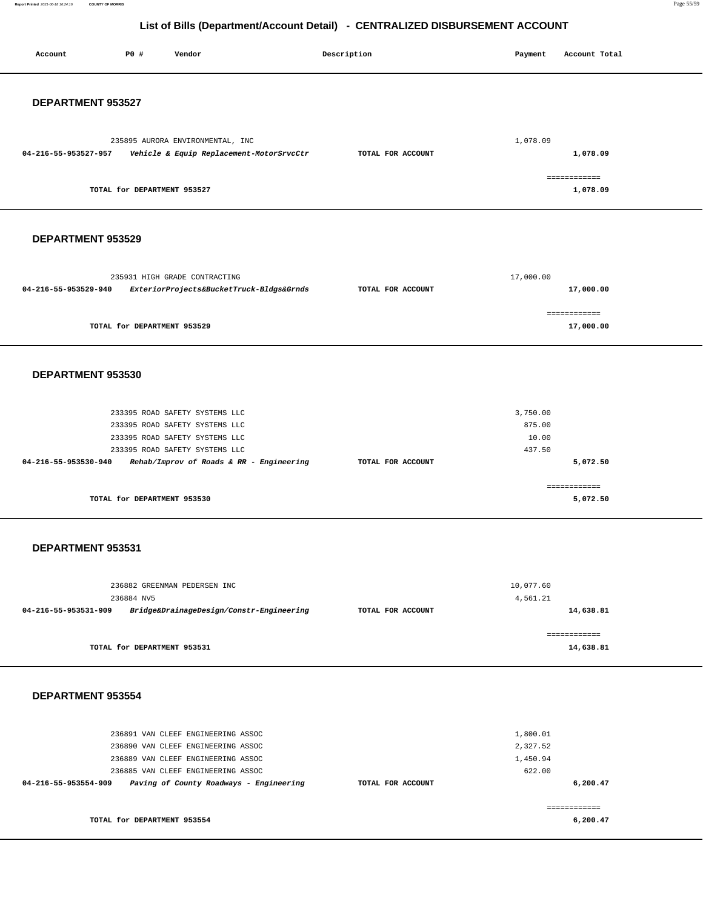**Report Printed** 2021-06-18 16:24:16 **COUNTY OF MORRIS** Page 55/59

| P0 #<br>Vendor<br>Account                                                                                                                                                                                               | Description       | Account Total<br>Payment                               |
|-------------------------------------------------------------------------------------------------------------------------------------------------------------------------------------------------------------------------|-------------------|--------------------------------------------------------|
| DEPARTMENT 953527                                                                                                                                                                                                       |                   |                                                        |
| 235895 AURORA ENVIRONMENTAL, INC<br>04-216-55-953527-957<br>Vehicle & Equip Replacement-MotorSrvcCtr                                                                                                                    | TOTAL FOR ACCOUNT | 1,078.09<br>1,078.09                                   |
| TOTAL for DEPARTMENT 953527                                                                                                                                                                                             |                   | ============<br>1,078.09                               |
| DEPARTMENT 953529                                                                                                                                                                                                       |                   |                                                        |
| 235931 HIGH GRADE CONTRACTING<br>04-216-55-953529-940<br>ExteriorProjects&BucketTruck-Bldgs&Grnds                                                                                                                       | TOTAL FOR ACCOUNT | 17,000.00<br>17,000.00                                 |
| TOTAL for DEPARTMENT 953529                                                                                                                                                                                             |                   | ------------<br>17,000.00                              |
| DEPARTMENT 953530                                                                                                                                                                                                       |                   |                                                        |
| 233395 ROAD SAFETY SYSTEMS LLC<br>233395 ROAD SAFETY SYSTEMS LLC<br>233395 ROAD SAFETY SYSTEMS LLC<br>233395 ROAD SAFETY SYSTEMS LLC<br>04-216-55-953530-940<br>Rehab/Improv of Roads & RR - Engineering                | TOTAL FOR ACCOUNT | 3,750.00<br>875.00<br>10.00<br>437.50<br>5,072.50      |
| TOTAL for DEPARTMENT 953530                                                                                                                                                                                             |                   | ============<br>5,072.50                               |
| DEPARTMENT 953531                                                                                                                                                                                                       |                   |                                                        |
| 236882 GREENMAN PEDERSEN INC<br>236884 NV5<br>04-216-55-953531-909<br>Bridge&DrainageDesign/Constr-Engineering                                                                                                          | TOTAL FOR ACCOUNT | 10,077.60<br>4,561.21<br>14,638.81                     |
| TOTAL for DEPARTMENT 953531                                                                                                                                                                                             |                   | ============<br>14,638.81                              |
| DEPARTMENT 953554                                                                                                                                                                                                       |                   |                                                        |
| 236891 VAN CLEEF ENGINEERING ASSOC<br>236890 VAN CLEEF ENGINEERING ASSOC<br>236889 VAN CLEEF ENGINEERING ASSOC<br>236885 VAN CLEEF ENGINEERING ASSOC<br>04-216-55-953554-909<br>Paving of County Roadways - Engineering | TOTAL FOR ACCOUNT | 1,800.01<br>2,327.52<br>1,450.94<br>622.00<br>6,200.47 |
| TOTAL for DEPARTMENT 953554                                                                                                                                                                                             |                   | ============<br>6,200.47                               |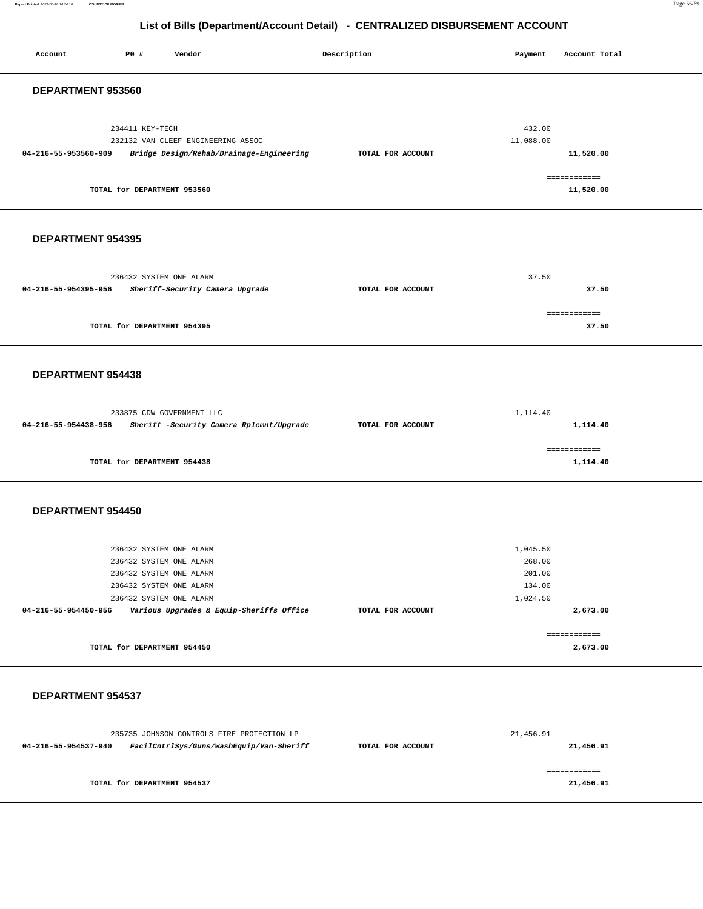**Report Printed** 2021-06-18 16:24:16 **COUNTY OF MORRIS** Page 56/59

| P0 #<br>Vendor<br>Account                                                                                                                                                                               | Description       | Account Total<br>Payment                                       |
|---------------------------------------------------------------------------------------------------------------------------------------------------------------------------------------------------------|-------------------|----------------------------------------------------------------|
| DEPARTMENT 953560                                                                                                                                                                                       |                   |                                                                |
| 234411 KEY-TECH<br>232132 VAN CLEEF ENGINEERING ASSOC<br>04-216-55-953560-909<br>Bridge Design/Rehab/Drainage-Engineering<br>TOTAL for DEPARTMENT 953560                                                | TOTAL FOR ACCOUNT | 432.00<br>11,088.00<br>11,520.00<br>============<br>11,520.00  |
| DEPARTMENT 954395                                                                                                                                                                                       |                   |                                                                |
| 236432 SYSTEM ONE ALARM<br>04-216-55-954395-956<br>Sheriff-Security Camera Upgrade                                                                                                                      | TOTAL FOR ACCOUNT | 37.50<br>37.50                                                 |
| TOTAL for DEPARTMENT 954395                                                                                                                                                                             |                   | ============<br>37.50                                          |
| <b>DEPARTMENT 954438</b>                                                                                                                                                                                |                   |                                                                |
| 233875 CDW GOVERNMENT LLC<br>04-216-55-954438-956<br>Sheriff -Security Camera Rplcmnt/Upgrade                                                                                                           | TOTAL FOR ACCOUNT | 1,114.40<br>1,114.40                                           |
| TOTAL for DEPARTMENT 954438                                                                                                                                                                             |                   | ============<br>1,114.40                                       |
| DEPARTMENT 954450                                                                                                                                                                                       |                   |                                                                |
| 236432 SYSTEM ONE ALARM<br>236432 SYSTEM ONE ALARM<br>236432 SYSTEM ONE ALARM<br>236432 SYSTEM ONE ALARM<br>236432 SYSTEM ONE ALARM<br>Various Upgrades & Equip-Sheriffs Office<br>04-216-55-954450-956 | TOTAL FOR ACCOUNT | 1,045.50<br>268.00<br>201.00<br>134.00<br>1,024.50<br>2,673.00 |
| TOTAL for DEPARTMENT 954450                                                                                                                                                                             |                   | ------------<br>2,673.00                                       |
| DEPARTMENT 954537                                                                                                                                                                                       |                   |                                                                |
| 235735 JOHNSON CONTROLS FIRE PROTECTION LP<br>FacilCntrlSys/Guns/WashEquip/Van-Sheriff<br>04-216-55-954537-940                                                                                          | TOTAL FOR ACCOUNT | 21,456.91<br>21,456.91                                         |
| TOTAL for DEPARTMENT 954537                                                                                                                                                                             |                   | ============<br>21,456.91                                      |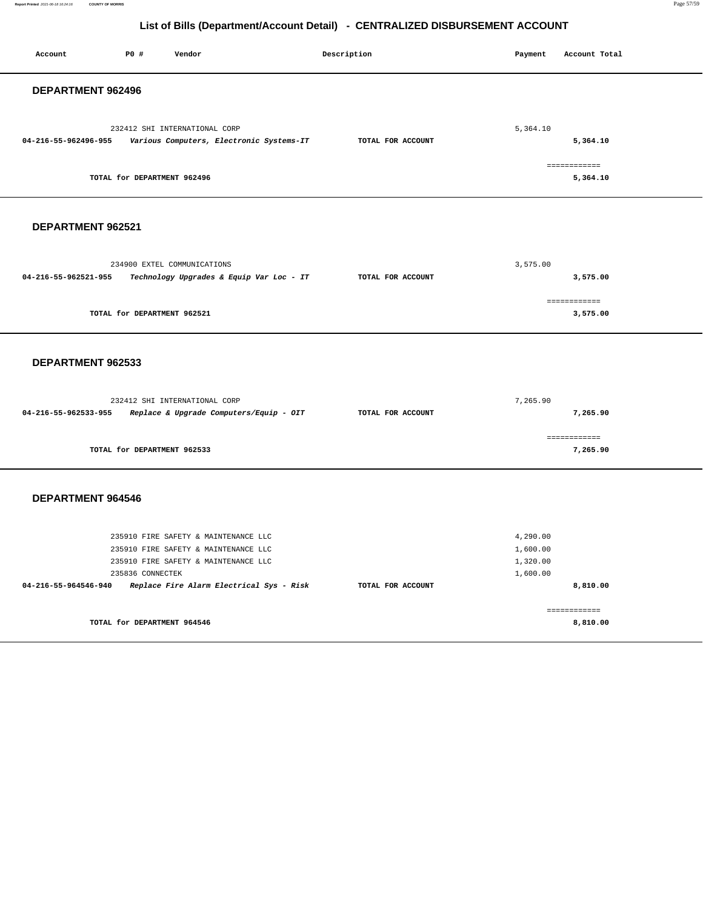**Report Printed** 2021-06-18 16:24:16 **COUNTY OF MORRIS** Page 57/59

| Account                  | P0 #                        | Vendor                                                                                                               |  | Description       | Payment                                      | Account Total            |  |  |
|--------------------------|-----------------------------|----------------------------------------------------------------------------------------------------------------------|--|-------------------|----------------------------------------------|--------------------------|--|--|
| <b>DEPARTMENT 962496</b> |                             |                                                                                                                      |  |                   |                                              |                          |  |  |
| 04-216-55-962496-955     |                             | 232412 SHI INTERNATIONAL CORP<br>Various Computers, Electronic Systems-IT                                            |  | TOTAL FOR ACCOUNT | 5,364.10                                     | 5,364.10<br>============ |  |  |
|                          | TOTAL for DEPARTMENT 962496 |                                                                                                                      |  |                   |                                              | 5,364.10                 |  |  |
| DEPARTMENT 962521        |                             |                                                                                                                      |  |                   |                                              |                          |  |  |
| 04-216-55-962521-955     |                             | 234900 EXTEL COMMUNICATIONS<br>Technology Upgrades & Equip Var Loc - IT                                              |  | TOTAL FOR ACCOUNT | 3,575.00                                     | 3,575.00                 |  |  |
|                          | TOTAL for DEPARTMENT 962521 |                                                                                                                      |  |                   |                                              | ============<br>3,575.00 |  |  |
| DEPARTMENT 962533        |                             |                                                                                                                      |  |                   |                                              |                          |  |  |
| 04-216-55-962533-955     |                             | 232412 SHI INTERNATIONAL CORP<br>Replace & Upgrade Computers/Equip - OIT                                             |  | TOTAL FOR ACCOUNT | 7,265.90                                     | 7,265.90                 |  |  |
|                          | TOTAL for DEPARTMENT 962533 |                                                                                                                      |  |                   |                                              | ============<br>7,265.90 |  |  |
| <b>DEPARTMENT 964546</b> |                             |                                                                                                                      |  |                   |                                              |                          |  |  |
|                          | 235836 CONNECTEK            | 235910 FIRE SAFETY & MAINTENANCE LLC<br>235910 FIRE SAFETY & MAINTENANCE LLC<br>235910 FIRE SAFETY & MAINTENANCE LLC |  |                   | 4,290.00<br>1,600.00<br>1,320.00<br>1,600.00 |                          |  |  |
| 04-216-55-964546-940     |                             | Replace Fire Alarm Electrical Sys - Risk                                                                             |  | TOTAL FOR ACCOUNT |                                              | 8,810.00<br>============ |  |  |
|                          | TOTAL for DEPARTMENT 964546 |                                                                                                                      |  |                   |                                              | 8,810.00                 |  |  |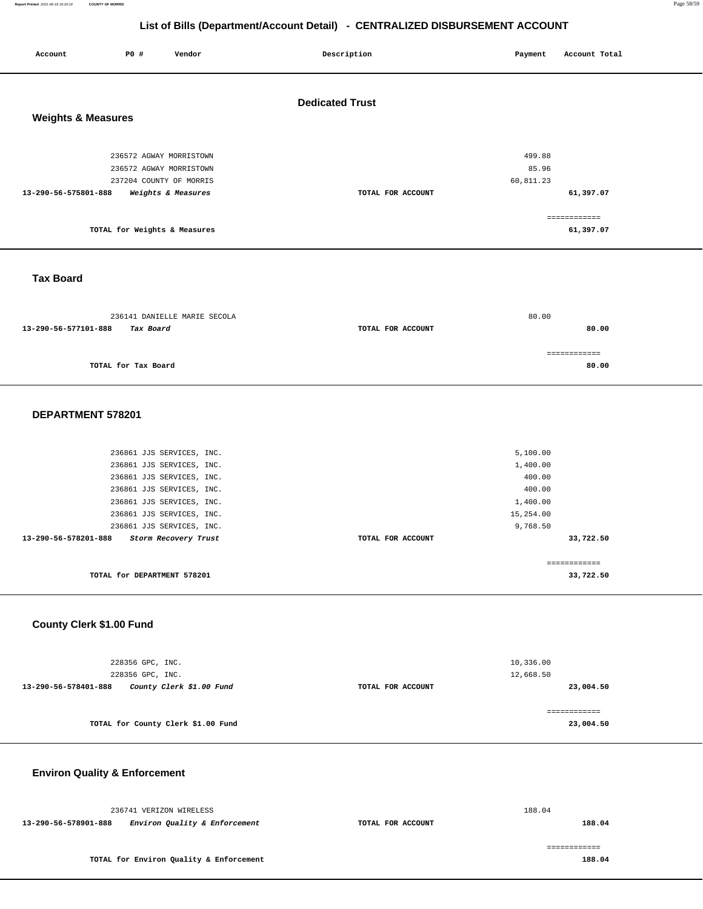#### **Report Printed** 2021-06-18 16:24:16 **COUNTY OF MORRIS** Page 58/59

# **List of Bills (Department/Account Detail) - CENTRALIZED DISBURSEMENT ACCOUNT**

| Account                       | P0 #                                                                          | Vendor             | Description            | Payment                      | Account Total                          |
|-------------------------------|-------------------------------------------------------------------------------|--------------------|------------------------|------------------------------|----------------------------------------|
| <b>Weights &amp; Measures</b> |                                                                               |                    | <b>Dedicated Trust</b> |                              |                                        |
|                               | 236572 AGWAY MORRISTOWN<br>236572 AGWAY MORRISTOWN<br>237204 COUNTY OF MORRIS |                    |                        | 499.88<br>85.96<br>60,811.23 |                                        |
| 13-290-56-575801-888          | TOTAL for Weights & Measures                                                  | Weights & Measures | TOTAL FOR ACCOUNT      |                              | 61,397.07<br>============<br>61,397.07 |
|                               |                                                                               |                    |                        |                              |                                        |

### **Tax Board**

| 236141 DANIELLE MARIE SECOLA      |                   | 80.00        |
|-----------------------------------|-------------------|--------------|
| 13-290-56-577101-888<br>Tax Board | TOTAL FOR ACCOUNT | 80.00        |
|                                   |                   |              |
|                                   |                   | ============ |
| TOTAL for Tax Board               |                   | 80.00        |
|                                   |                   |              |

#### **DEPARTMENT 578201**

| 236861 JJS SERVICES, INC.                    |                   | 5,100.00     |
|----------------------------------------------|-------------------|--------------|
| 236861 JJS SERVICES, INC.                    |                   | 1,400.00     |
| 236861 JJS SERVICES, INC.                    |                   | 400.00       |
| 236861 JJS SERVICES, INC.                    |                   | 400.00       |
| 236861 JJS SERVICES, INC.                    |                   | 1,400.00     |
| 236861 JJS SERVICES, INC.                    |                   | 15,254.00    |
| 236861 JJS SERVICES, INC.                    |                   | 9,768.50     |
| 13-290-56-578201-888<br>Storm Recovery Trust | TOTAL FOR ACCOUNT | 33,722.50    |
|                                              |                   |              |
|                                              |                   | ============ |
| TOTAL for DEPARTMENT 578201                  |                   | 33,722.50    |
|                                              |                   |              |

### **County Clerk \$1.00 Fund**

| 228356 GPC, INC.<br>228356 GPC, INC.             |                   | 10,336.00<br>12,668.50     |
|--------------------------------------------------|-------------------|----------------------------|
| County Clerk \$1.00 Fund<br>13-290-56-578401-888 | TOTAL FOR ACCOUNT | 23,004.50                  |
| TOTAL for County Clerk \$1.00 Fund               |                   | =============<br>23,004.50 |

# **Environ Quality & Enforcement**

|                      | 236741 VERIZON WIRELESS                 |                   | 188.04 |
|----------------------|-----------------------------------------|-------------------|--------|
| 13-290-56-578901-888 | Environ Quality & Enforcement           | TOTAL FOR ACCOUNT | 188.04 |
|                      |                                         |                   |        |
|                      | TOTAL for Environ Quality & Enforcement |                   | 188.04 |